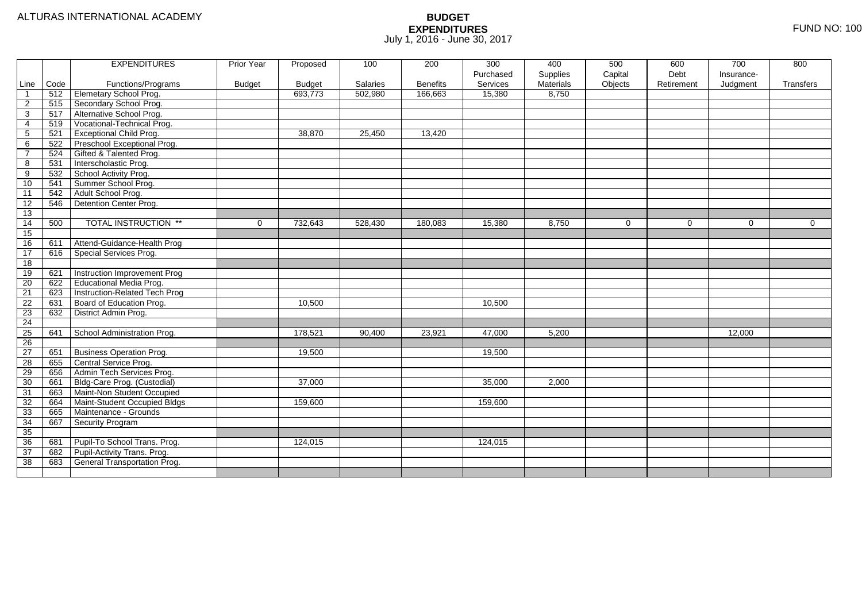|                 |      | <b>EXPENDITURES</b>              | <b>Prior Year</b> | Proposed      | 100      | 200             | 300       | 400              | 500         | 600         | 700         | 800         |
|-----------------|------|----------------------------------|-------------------|---------------|----------|-----------------|-----------|------------------|-------------|-------------|-------------|-------------|
|                 |      |                                  |                   |               |          |                 | Purchased | Supplies         | Capital     | Debt        | Insurance-  |             |
| Line            | Code | Functions/Programs               | <b>Budget</b>     | <b>Budget</b> | Salaries | <b>Benefits</b> | Services  | <b>Materials</b> | Objects     | Retirement  | Judgment    | Transfers   |
| $\overline{1}$  | 512  | Elemetary School Prog.           |                   | 693,773       | 502,980  | 166,663         | 15,380    | 8,750            |             |             |             |             |
| $\overline{c}$  | 515  | Secondary School Prog.           |                   |               |          |                 |           |                  |             |             |             |             |
| $\overline{3}$  | 517  | Alternative School Prog.         |                   |               |          |                 |           |                  |             |             |             |             |
| $\overline{4}$  | 519  | Vocational-Technical Prog.       |                   |               |          |                 |           |                  |             |             |             |             |
| $5\phantom{.0}$ | 521  | <b>Exceptional Child Prog.</b>   |                   | 38.870        | 25,450   | 13,420          |           |                  |             |             |             |             |
| $\,6$           | 522  | Preschool Exceptional Prog.      |                   |               |          |                 |           |                  |             |             |             |             |
| $\overline{7}$  | 524  | Gifted & Talented Prog.          |                   |               |          |                 |           |                  |             |             |             |             |
| 8               | 531  | Interscholastic Prog.            |                   |               |          |                 |           |                  |             |             |             |             |
| 9               | 532  | School Activity Prog.            |                   |               |          |                 |           |                  |             |             |             |             |
| 10              | 541  | Summer School Prog.              |                   |               |          |                 |           |                  |             |             |             |             |
| 11              | 542  | Adult School Prog.               |                   |               |          |                 |           |                  |             |             |             |             |
| 12              | 546  | Detention Center Prog.           |                   |               |          |                 |           |                  |             |             |             |             |
| 13              |      |                                  |                   |               |          |                 |           |                  |             |             |             |             |
| 14              | 500  | <b>TOTAL INSTRUCTION **</b>      | $\mathbf 0$       | 732,643       | 528,430  | 180,083         | 15,380    | 8,750            | $\mathbf 0$ | $\mathbf 0$ | $\mathbf 0$ | $\mathbf 0$ |
| 15              |      |                                  |                   |               |          |                 |           |                  |             |             |             |             |
| 16              | 611  | Attend-Guidance-Health Prog      |                   |               |          |                 |           |                  |             |             |             |             |
| 17              | 616  | Special Services Prog.           |                   |               |          |                 |           |                  |             |             |             |             |
| 18              |      |                                  |                   |               |          |                 |           |                  |             |             |             |             |
| 19              | 621  | Instruction Improvement Prog     |                   |               |          |                 |           |                  |             |             |             |             |
| 20              | 622  | <b>Educational Media Prog.</b>   |                   |               |          |                 |           |                  |             |             |             |             |
| 21              | 623  | Instruction-Related Tech Prog    |                   |               |          |                 |           |                  |             |             |             |             |
| 22              | 631  | Board of Education Prog.         |                   | 10,500        |          |                 | 10,500    |                  |             |             |             |             |
| 23              | 632  | District Admin Prog.             |                   |               |          |                 |           |                  |             |             |             |             |
| 24              |      |                                  |                   |               |          |                 |           |                  |             |             |             |             |
| 25              | 641  | School Administration Prog.      |                   | 178,521       | 90,400   | 23,921          | 47,000    | 5,200            |             |             | 12,000      |             |
| 26              |      |                                  |                   |               |          |                 |           |                  |             |             |             |             |
| 27              | 651  | <b>Business Operation Prog.</b>  |                   | 19,500        |          |                 | 19,500    |                  |             |             |             |             |
| 28              | 655  | Central Service Prog.            |                   |               |          |                 |           |                  |             |             |             |             |
| 29              | 656  | Admin Tech Services Prog.        |                   |               |          |                 |           |                  |             |             |             |             |
| 30              | 661  | Bldg-Care Prog. (Custodial)      |                   | 37,000        |          |                 | 35,000    | 2,000            |             |             |             |             |
| 31              | 663  | Maint-Non Student Occupied       |                   |               |          |                 |           |                  |             |             |             |             |
| $\overline{32}$ |      | 664 Maint-Student Occupied Bldgs |                   | 159,600       |          |                 | 159,600   |                  |             |             |             |             |
| 33              | 665  | Maintenance - Grounds            |                   |               |          |                 |           |                  |             |             |             |             |
| 34              | 667  | Security Program                 |                   |               |          |                 |           |                  |             |             |             |             |
| 35              |      |                                  |                   |               |          |                 |           |                  |             |             |             |             |
| 36              | 681  | Pupil-To School Trans. Prog.     |                   | 124,015       |          |                 | 124,015   |                  |             |             |             |             |
|                 | 682  | Pupil-Activity Trans. Prog.      |                   |               |          |                 |           |                  |             |             |             |             |
| 37              |      |                                  |                   |               |          |                 |           |                  |             |             |             |             |
| 38              | 683  | General Transportation Prog.     |                   |               |          |                 |           |                  |             |             |             |             |
|                 |      |                                  |                   |               |          |                 |           |                  |             |             |             |             |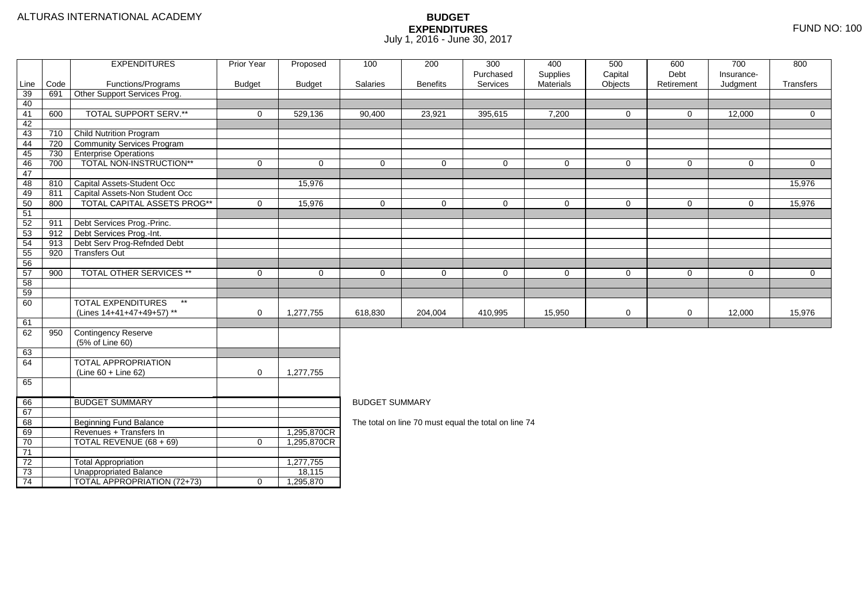#### ALTURAS INTERNATIONAL ACADEMY

|          |      | <b>EXPENDITURES</b>                   | <b>Prior Year</b>   | Proposed      | 100                   | 200             | 300<br>Purchased                                     | 400<br>Supplies | 500<br>Capital | 600<br>Debt  | 700<br>Insurance- | 800            |
|----------|------|---------------------------------------|---------------------|---------------|-----------------------|-----------------|------------------------------------------------------|-----------------|----------------|--------------|-------------------|----------------|
| Line     | Code | Functions/Programs                    | <b>Budget</b>       | <b>Budget</b> | Salaries              | <b>Benefits</b> | Services                                             | Materials       | Objects        | Retirement   | Judgment          | Transfers      |
| 39       | 691  | Other Support Services Prog.          |                     |               |                       |                 |                                                      |                 |                |              |                   |                |
| 40       |      |                                       |                     |               |                       |                 |                                                      |                 |                |              |                   |                |
| 41       | 600  | <b>TOTAL SUPPORT SERV.**</b>          | $\mathbf 0$         | 529,136       | 90,400                | 23,921          | 395,615                                              | 7,200           | 0              | $\mathbf{0}$ | 12,000            | $\mathbf 0$    |
| 42       |      |                                       |                     |               |                       |                 |                                                      |                 |                |              |                   |                |
| 43       | 710  | Child Nutrition Program               |                     |               |                       |                 |                                                      |                 |                |              |                   |                |
| 44       | 720  | Community Services Program            |                     |               |                       |                 |                                                      |                 |                |              |                   |                |
| 45       | 730  | <b>Enterprise Operations</b>          |                     |               |                       |                 |                                                      |                 |                |              |                   |                |
| 46       | 700  | TOTAL NON-INSTRUCTION**               | $\mathbf 0$         | $\Omega$      | $\mathbf 0$           | $\mathbf 0$     | $\Omega$                                             | $\mathbf 0$     | $\mathbf 0$    | $\mathbf 0$  | $\mathbf 0$       | $\mathbf 0$    |
| 47       |      |                                       |                     |               |                       |                 |                                                      |                 |                |              |                   |                |
| 48       | 810  | Capital Assets-Student Occ            |                     | 15,976        |                       |                 |                                                      |                 |                |              |                   | 15,976         |
| 49       | 811  | Capital Assets-Non Student Occ        |                     |               |                       |                 |                                                      |                 |                |              |                   |                |
| 50       | 800  | <b>TOTAL CAPITAL ASSETS PROG**</b>    | $\mathbf 0$         | 15,976        | $\mathbf 0$           | $\mathbf 0$     | $\mathbf 0$                                          | $\mathbf 0$     | $\mathbf 0$    | $\mathbf{0}$ | $\mathbf 0$       | 15,976         |
| 51       |      |                                       |                     |               |                       |                 |                                                      |                 |                |              |                   |                |
| 52       | 911  | Debt Services Prog.-Princ.            |                     |               |                       |                 |                                                      |                 |                |              |                   |                |
| 53       | 912  | Debt Services Prog.-Int.              |                     |               |                       |                 |                                                      |                 |                |              |                   |                |
| 54       | 913  | Debt Serv Prog-Refnded Debt           |                     |               |                       |                 |                                                      |                 |                |              |                   |                |
| 55       | 920  | <b>Transfers Out</b>                  |                     |               |                       |                 |                                                      |                 |                |              |                   |                |
| 56       |      |                                       |                     |               |                       |                 |                                                      |                 |                |              |                   |                |
| 57       | 900  | TOTAL OTHER SERVICES **               | $\mathbf 0$         | $\mathbf 0$   | $\mathbf 0$           | 0               | $\mathbf 0$                                          | $\mathbf 0$     | $\mathbf 0$    | $\mathsf{O}$ | 0                 | $\overline{0}$ |
| 58       |      |                                       |                     |               |                       |                 |                                                      |                 |                |              |                   |                |
| 59       |      |                                       |                     |               |                       |                 |                                                      |                 |                |              |                   |                |
| 60       |      | $^{\star\star}$<br>TOTAL EXPENDITURES |                     |               |                       |                 |                                                      |                 |                |              |                   |                |
|          |      | (Lines 14+41+47+49+57) **             | $\mathsf{O}\xspace$ | 1,277,755     | 618,830               | 204,004         | 410,995                                              | 15,950          | $\mathbf 0$    | 0            | 12,000            | 15,976         |
| 61       |      |                                       |                     |               |                       |                 |                                                      |                 |                |              |                   |                |
| 62       | 950  | Contingency Reserve                   |                     |               |                       |                 |                                                      |                 |                |              |                   |                |
|          |      | (5% of Line 60)                       |                     |               |                       |                 |                                                      |                 |                |              |                   |                |
| 63       |      |                                       |                     |               |                       |                 |                                                      |                 |                |              |                   |                |
| 64       |      | <b>TOTAL APPROPRIATION</b>            |                     |               |                       |                 |                                                      |                 |                |              |                   |                |
|          |      | (Line 60 + Line 62)                   | $\mathbf 0$         | 1,277,755     |                       |                 |                                                      |                 |                |              |                   |                |
| 65       |      |                                       |                     |               |                       |                 |                                                      |                 |                |              |                   |                |
| 66       |      | <b>BUDGET SUMMARY</b>                 |                     |               | <b>BUDGET SUMMARY</b> |                 |                                                      |                 |                |              |                   |                |
| 67       |      |                                       |                     |               |                       |                 |                                                      |                 |                |              |                   |                |
| 68       |      | <b>Beginning Fund Balance</b>         |                     |               |                       |                 | The total on line 70 must equal the total on line 74 |                 |                |              |                   |                |
|          |      | Revenues + Transfers In               |                     | 1,295,870CR   |                       |                 |                                                      |                 |                |              |                   |                |
| 69<br>70 |      | TOTAL REVENUE (68 + 69)               | $\mathbf 0$         | 1,295,870CR   |                       |                 |                                                      |                 |                |              |                   |                |
| 71       |      |                                       |                     |               |                       |                 |                                                      |                 |                |              |                   |                |
| 72       |      | <b>Total Appropriation</b>            |                     | 1,277,755     |                       |                 |                                                      |                 |                |              |                   |                |
| 73       |      | <b>Unappropriated Balance</b>         |                     | 18,115        |                       |                 |                                                      |                 |                |              |                   |                |
| 74       |      | TOTAL APPROPRIATION (72+73)           | $\mathbf 0$         | 1,295,870     |                       |                 |                                                      |                 |                |              |                   |                |
|          |      |                                       |                     |               |                       |                 |                                                      |                 |                |              |                   |                |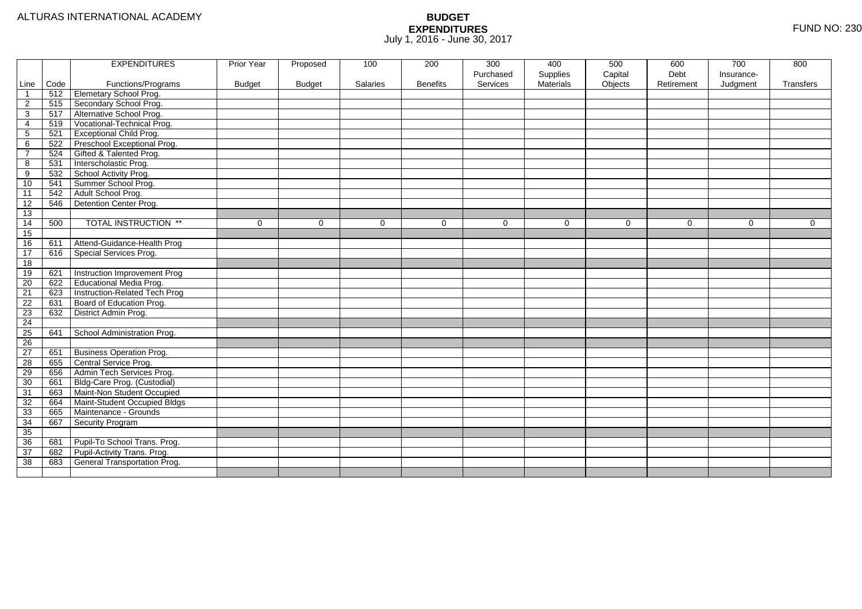|                 |      | <b>EXPENDITURES</b>                 | Prior Year    | Proposed      | 100      | 200             | 300       | 400       | 500      | 600        | 700        | 800       |
|-----------------|------|-------------------------------------|---------------|---------------|----------|-----------------|-----------|-----------|----------|------------|------------|-----------|
|                 |      |                                     |               |               |          |                 | Purchased | Supplies  | Capital  | Debt       | Insurance- |           |
| Line            | Code | Functions/Programs                  | <b>Budget</b> | <b>Budget</b> | Salaries | <b>Benefits</b> | Services  | Materials | Objects  | Retirement | Judgment   | Transfers |
| $\mathbf 1$     | 512  | Elemetary School Prog.              |               |               |          |                 |           |           |          |            |            |           |
| $\overline{2}$  | 515  | Secondary School Prog.              |               |               |          |                 |           |           |          |            |            |           |
| 3               | 517  | Alternative School Prog.            |               |               |          |                 |           |           |          |            |            |           |
| 4               | 519  | Vocational-Technical Prog.          |               |               |          |                 |           |           |          |            |            |           |
| $\mathbf{5}$    | 521  | <b>Exceptional Child Prog.</b>      |               |               |          |                 |           |           |          |            |            |           |
| 6               | 522  | Preschool Exceptional Prog.         |               |               |          |                 |           |           |          |            |            |           |
| $\overline{7}$  | 524  | Gifted & Talented Prog.             |               |               |          |                 |           |           |          |            |            |           |
| 8               | 531  | Interscholastic Prog.               |               |               |          |                 |           |           |          |            |            |           |
| 9               | 532  | School Activity Prog.               |               |               |          |                 |           |           |          |            |            |           |
| 10              | 541  | Summer School Prog.                 |               |               |          |                 |           |           |          |            |            |           |
| 11              | 542  | Adult School Prog.                  |               |               |          |                 |           |           |          |            |            |           |
| 12              | 546  | Detention Center Prog.              |               |               |          |                 |           |           |          |            |            |           |
| 13              |      |                                     |               |               |          |                 |           |           |          |            |            |           |
| 14              | 500  | <b>TOTAL INSTRUCTION **</b>         | $\mathbf 0$   | $\Omega$      | $\Omega$ | $\Omega$        | $\Omega$  | $\Omega$  | $\Omega$ | $\Omega$   | $\Omega$   | $\Omega$  |
| 15              |      |                                     |               |               |          |                 |           |           |          |            |            |           |
| 16              | 611  | Attend-Guidance-Health Prog         |               |               |          |                 |           |           |          |            |            |           |
| 17              | 616  | Special Services Prog.              |               |               |          |                 |           |           |          |            |            |           |
| 18              |      |                                     |               |               |          |                 |           |           |          |            |            |           |
| 19              | 621  | Instruction Improvement Prog        |               |               |          |                 |           |           |          |            |            |           |
| $\overline{20}$ | 622  | <b>Educational Media Prog.</b>      |               |               |          |                 |           |           |          |            |            |           |
| 21              | 623  | Instruction-Related Tech Prog       |               |               |          |                 |           |           |          |            |            |           |
| $\overline{22}$ | 631  | Board of Education Prog.            |               |               |          |                 |           |           |          |            |            |           |
| 23              | 632  | District Admin Prog.                |               |               |          |                 |           |           |          |            |            |           |
| $\overline{24}$ |      |                                     |               |               |          |                 |           |           |          |            |            |           |
| $\overline{25}$ | 641  | School Administration Prog.         |               |               |          |                 |           |           |          |            |            |           |
| 26              |      |                                     |               |               |          |                 |           |           |          |            |            |           |
| 27              | 651  | <b>Business Operation Prog.</b>     |               |               |          |                 |           |           |          |            |            |           |
| 28              | 655  | Central Service Prog.               |               |               |          |                 |           |           |          |            |            |           |
| 29              | 656  | Admin Tech Services Prog.           |               |               |          |                 |           |           |          |            |            |           |
| 30              | 661  | Bldg-Care Prog. (Custodial)         |               |               |          |                 |           |           |          |            |            |           |
| 31              | 663  | Maint-Non Student Occupied          |               |               |          |                 |           |           |          |            |            |           |
| 32              | 664  | Maint-Student Occupied Bldgs        |               |               |          |                 |           |           |          |            |            |           |
| 33              | 665  | Maintenance - Grounds               |               |               |          |                 |           |           |          |            |            |           |
| 34              | 667  | Security Program                    |               |               |          |                 |           |           |          |            |            |           |
| 35              |      |                                     |               |               |          |                 |           |           |          |            |            |           |
| 36              | 681  | Pupil-To School Trans. Prog.        |               |               |          |                 |           |           |          |            |            |           |
| $\overline{37}$ | 682  | Pupil-Activity Trans. Prog.         |               |               |          |                 |           |           |          |            |            |           |
| 38              | 683  | <b>General Transportation Prog.</b> |               |               |          |                 |           |           |          |            |            |           |
|                 |      |                                     |               |               |          |                 |           |           |          |            |            |           |
|                 |      |                                     |               |               |          |                 |           |           |          |            |            |           |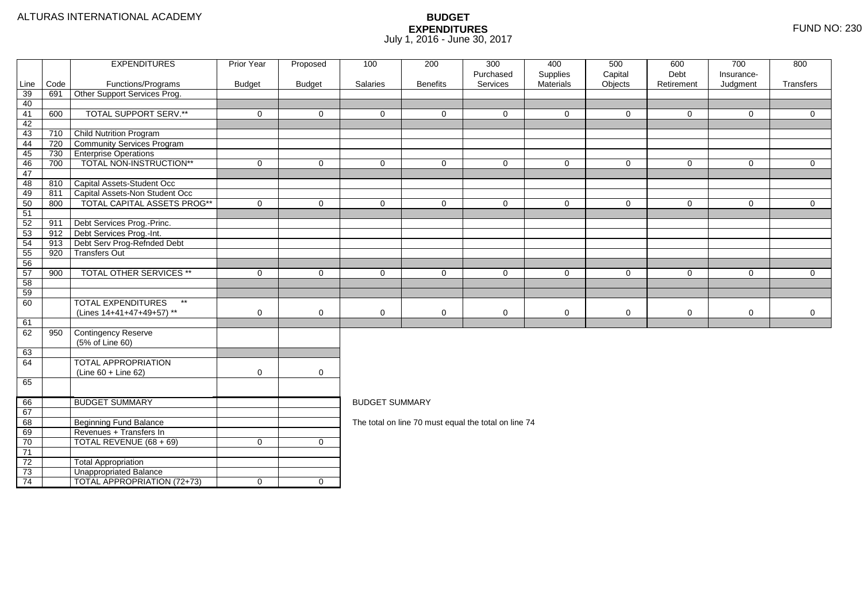|          |      | <b>EXPENDITURES</b>                       | <b>Prior Year</b> | Proposed            | 100                                                  | 200             | 300                   | 400                   | 500                | 600                | 700                    | 800            |  |  |
|----------|------|-------------------------------------------|-------------------|---------------------|------------------------------------------------------|-----------------|-----------------------|-----------------------|--------------------|--------------------|------------------------|----------------|--|--|
| Line     | Code | Functions/Programs                        | <b>Budget</b>     | <b>Budget</b>       | Salaries                                             | <b>Benefits</b> | Purchased<br>Services | Supplies<br>Materials | Capital<br>Objects | Debt<br>Retirement | Insurance-<br>Judgment | Transfers      |  |  |
| 39       | 691  | Other Support Services Prog.              |                   |                     |                                                      |                 |                       |                       |                    |                    |                        |                |  |  |
| 40       |      |                                           |                   |                     |                                                      |                 |                       |                       |                    |                    |                        |                |  |  |
| 41       | 600  | <b>TOTAL SUPPORT SERV.**</b>              | $\mathbf 0$       | $\mathbf{0}$        | $\Omega$                                             | $\Omega$        | $\Omega$              | $\Omega$              | $\mathbf{0}$       | $\mathbf 0$        | $\Omega$               | $\overline{0}$ |  |  |
| 42       |      |                                           |                   |                     |                                                      |                 |                       |                       |                    |                    |                        |                |  |  |
| 43       | 710  | <b>Child Nutrition Program</b>            |                   |                     |                                                      |                 |                       |                       |                    |                    |                        |                |  |  |
| 44       | 720  | Community Services Program                |                   |                     |                                                      |                 |                       |                       |                    |                    |                        |                |  |  |
| 45       | 730  | <b>Enterprise Operations</b>              |                   |                     |                                                      |                 |                       |                       |                    |                    |                        |                |  |  |
| 46       | 700  | TOTAL NON-INSTRUCTION**                   | $\mathbf 0$       | $\mathbf 0$         | $\mathbf 0$                                          | $\Omega$        | $\mathbf 0$           | $\Omega$              | $\mathbf 0$        | $\mathbf 0$        | $\mathbf 0$            | $\overline{0}$ |  |  |
| 47       |      |                                           |                   |                     |                                                      |                 |                       |                       |                    |                    |                        |                |  |  |
| 48       | 810  | Capital Assets-Student Occ                |                   |                     |                                                      |                 |                       |                       |                    |                    |                        |                |  |  |
| 49       | 811  | Capital Assets-Non Student Occ            |                   |                     |                                                      |                 |                       |                       |                    |                    |                        |                |  |  |
| 50       | 800  | TOTAL CAPITAL ASSETS PROG**               | $\Omega$          | $\overline{0}$      | $\Omega$                                             | $\Omega$        | $\Omega$              | $\Omega$              | $\mathbf 0$        | $\mathbf 0$        | $\mathbf 0$            | $\overline{0}$ |  |  |
| 51       |      |                                           |                   |                     |                                                      |                 |                       |                       |                    |                    |                        |                |  |  |
| 52       | 911  | Debt Services Prog.-Princ.                |                   |                     |                                                      |                 |                       |                       |                    |                    |                        |                |  |  |
| 53       | 912  | Debt Services Prog.-Int.                  |                   |                     |                                                      |                 |                       |                       |                    |                    |                        |                |  |  |
| 54       | 913  | Debt Serv Prog-Refnded Debt               |                   |                     |                                                      |                 |                       |                       |                    |                    |                        |                |  |  |
| 55       | 920  | <b>Transfers Out</b>                      |                   |                     |                                                      |                 |                       |                       |                    |                    |                        |                |  |  |
| 56       |      | TOTAL OTHER SERVICES **                   |                   |                     |                                                      |                 |                       |                       |                    |                    |                        |                |  |  |
| 57<br>58 | 900  |                                           | $\mathbf 0$       | $\mathbf 0$         | $\mathbf 0$                                          | $\mathbf 0$     | $\mathbf 0$           | $\mathbf 0$           | $\mathbf 0$        | 0                  | $\mathbf 0$            | $\overline{0}$ |  |  |
| 59       |      |                                           |                   |                     |                                                      |                 |                       |                       |                    |                    |                        |                |  |  |
| 60       |      | <b>TOTAL EXPENDITURES</b><br>$\star\star$ |                   |                     |                                                      |                 |                       |                       |                    |                    |                        |                |  |  |
|          |      | (Lines 14+41+47+49+57) **                 | 0                 | $\mathbf 0$         | $\mathbf 0$                                          | 0               | 0                     | 0                     | $\mathbf 0$        | $\mathbf 0$        | 0                      | $\mathbf 0$    |  |  |
| 61       |      |                                           |                   |                     |                                                      |                 |                       |                       |                    |                    |                        |                |  |  |
| 62       | 950  | Contingency Reserve                       |                   |                     |                                                      |                 |                       |                       |                    |                    |                        |                |  |  |
|          |      | (5% of Line 60)                           |                   |                     |                                                      |                 |                       |                       |                    |                    |                        |                |  |  |
| 63       |      |                                           |                   |                     |                                                      |                 |                       |                       |                    |                    |                        |                |  |  |
| 64       |      | <b>TOTAL APPROPRIATION</b>                |                   |                     |                                                      |                 |                       |                       |                    |                    |                        |                |  |  |
|          |      | $(Line 60 + Line 62)$                     | $\mathbf 0$       | $\mathsf{O}\xspace$ |                                                      |                 |                       |                       |                    |                    |                        |                |  |  |
| 65       |      |                                           |                   |                     |                                                      |                 |                       |                       |                    |                    |                        |                |  |  |
|          |      |                                           |                   |                     |                                                      |                 |                       |                       |                    |                    |                        |                |  |  |
| 66       |      | <b>BUDGET SUMMARY</b>                     |                   |                     | <b>BUDGET SUMMARY</b>                                |                 |                       |                       |                    |                    |                        |                |  |  |
| 67       |      |                                           |                   |                     |                                                      |                 |                       |                       |                    |                    |                        |                |  |  |
| 68       |      | <b>Beginning Fund Balance</b>             |                   |                     | The total on line 70 must equal the total on line 74 |                 |                       |                       |                    |                    |                        |                |  |  |
| 69       |      | Revenues + Transfers In                   |                   |                     |                                                      |                 |                       |                       |                    |                    |                        |                |  |  |
| 70       |      | TOTAL REVENUE (68 + 69)                   | $\mathbf 0$       | $\mathbf 0$         |                                                      |                 |                       |                       |                    |                    |                        |                |  |  |
| 71       |      |                                           |                   |                     |                                                      |                 |                       |                       |                    |                    |                        |                |  |  |
| 72       |      | <b>Total Appropriation</b>                |                   |                     |                                                      |                 |                       |                       |                    |                    |                        |                |  |  |
| 73       |      | Unappropriated Balance                    |                   |                     |                                                      |                 |                       |                       |                    |                    |                        |                |  |  |
| 74       |      | TOTAL APPROPRIATION (72+73)               | $\mathbf 0$       | $\overline{0}$      |                                                      |                 |                       |                       |                    |                    |                        |                |  |  |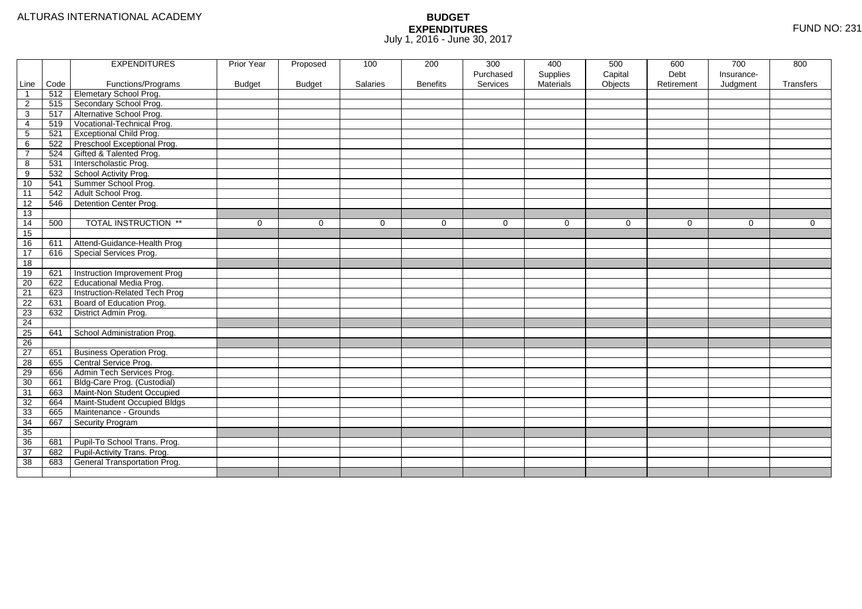|                 |      | <b>EXPENDITURES</b>                 | Prior Year    | Proposed      | 100      | 200             | 300       | 400       | 500      | 600        | 700        | 800       |
|-----------------|------|-------------------------------------|---------------|---------------|----------|-----------------|-----------|-----------|----------|------------|------------|-----------|
|                 |      |                                     |               |               |          |                 | Purchased | Supplies  | Capital  | Debt       | Insurance- |           |
| Line            | Code | Functions/Programs                  | <b>Budget</b> | <b>Budget</b> | Salaries | <b>Benefits</b> | Services  | Materials | Objects  | Retirement | Judgment   | Transfers |
| $\mathbf 1$     | 512  | Elemetary School Prog.              |               |               |          |                 |           |           |          |            |            |           |
| $\overline{2}$  | 515  | Secondary School Prog.              |               |               |          |                 |           |           |          |            |            |           |
| 3               | 517  | Alternative School Prog.            |               |               |          |                 |           |           |          |            |            |           |
| 4               | 519  | Vocational-Technical Prog.          |               |               |          |                 |           |           |          |            |            |           |
| $\mathbf{5}$    | 521  | <b>Exceptional Child Prog.</b>      |               |               |          |                 |           |           |          |            |            |           |
| 6               | 522  | Preschool Exceptional Prog.         |               |               |          |                 |           |           |          |            |            |           |
| $\overline{7}$  | 524  | Gifted & Talented Prog.             |               |               |          |                 |           |           |          |            |            |           |
| 8               | 531  | Interscholastic Prog.               |               |               |          |                 |           |           |          |            |            |           |
| 9               | 532  | School Activity Prog.               |               |               |          |                 |           |           |          |            |            |           |
| 10              | 541  | Summer School Prog.                 |               |               |          |                 |           |           |          |            |            |           |
| 11              | 542  | Adult School Prog.                  |               |               |          |                 |           |           |          |            |            |           |
| 12              | 546  | Detention Center Prog.              |               |               |          |                 |           |           |          |            |            |           |
| 13              |      |                                     |               |               |          |                 |           |           |          |            |            |           |
| 14              | 500  | <b>TOTAL INSTRUCTION **</b>         | $\mathbf 0$   | $\Omega$      | $\Omega$ | $\Omega$        | $\Omega$  | $\Omega$  | $\Omega$ | $\Omega$   | $\Omega$   | $\Omega$  |
| 15              |      |                                     |               |               |          |                 |           |           |          |            |            |           |
| 16              | 611  | Attend-Guidance-Health Prog         |               |               |          |                 |           |           |          |            |            |           |
| 17              | 616  | Special Services Prog.              |               |               |          |                 |           |           |          |            |            |           |
| 18              |      |                                     |               |               |          |                 |           |           |          |            |            |           |
| 19              | 621  | Instruction Improvement Prog        |               |               |          |                 |           |           |          |            |            |           |
| $\overline{20}$ | 622  | <b>Educational Media Prog.</b>      |               |               |          |                 |           |           |          |            |            |           |
| 21              | 623  | Instruction-Related Tech Prog       |               |               |          |                 |           |           |          |            |            |           |
| $\overline{22}$ | 631  | Board of Education Prog.            |               |               |          |                 |           |           |          |            |            |           |
| 23              | 632  | District Admin Prog.                |               |               |          |                 |           |           |          |            |            |           |
| $\overline{24}$ |      |                                     |               |               |          |                 |           |           |          |            |            |           |
| $\overline{25}$ | 641  | School Administration Prog.         |               |               |          |                 |           |           |          |            |            |           |
| 26              |      |                                     |               |               |          |                 |           |           |          |            |            |           |
| 27              | 651  | <b>Business Operation Prog.</b>     |               |               |          |                 |           |           |          |            |            |           |
| 28              | 655  | Central Service Prog.               |               |               |          |                 |           |           |          |            |            |           |
| 29              | 656  | Admin Tech Services Prog.           |               |               |          |                 |           |           |          |            |            |           |
| 30              | 661  | Bldg-Care Prog. (Custodial)         |               |               |          |                 |           |           |          |            |            |           |
| 31              | 663  | Maint-Non Student Occupied          |               |               |          |                 |           |           |          |            |            |           |
| 32              | 664  | Maint-Student Occupied Bldgs        |               |               |          |                 |           |           |          |            |            |           |
| 33              | 665  | Maintenance - Grounds               |               |               |          |                 |           |           |          |            |            |           |
| 34              | 667  | Security Program                    |               |               |          |                 |           |           |          |            |            |           |
| 35              |      |                                     |               |               |          |                 |           |           |          |            |            |           |
| 36              | 681  | Pupil-To School Trans. Prog.        |               |               |          |                 |           |           |          |            |            |           |
| $\overline{37}$ | 682  | Pupil-Activity Trans. Prog.         |               |               |          |                 |           |           |          |            |            |           |
| 38              | 683  | <b>General Transportation Prog.</b> |               |               |          |                 |           |           |          |            |            |           |
|                 |      |                                     |               |               |          |                 |           |           |          |            |            |           |
|                 |      |                                     |               |               |          |                 |           |           |          |            |            |           |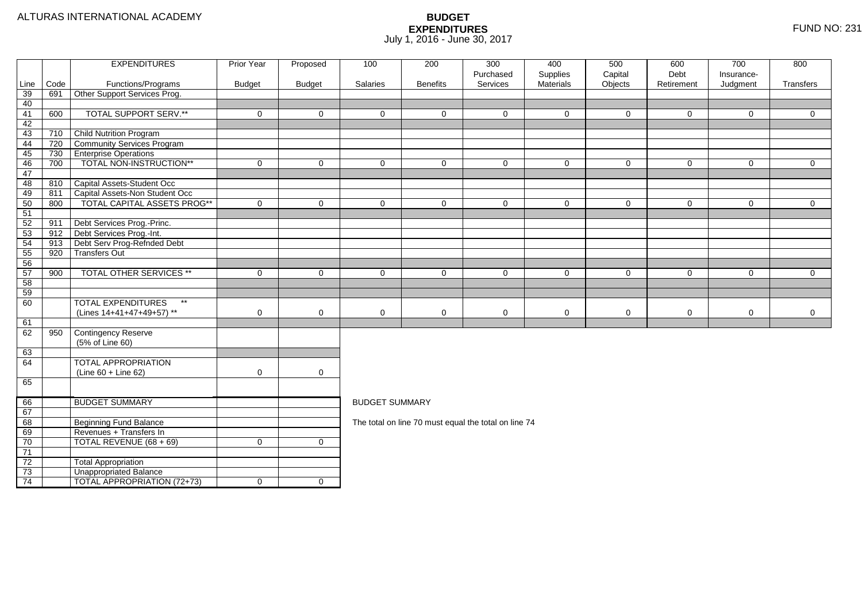|          |      | <b>EXPENDITURES</b>                       | <b>Prior Year</b> | Proposed            | 100                                                  | 200             | 300                   | 400                   | 500                | 600                | 700                    | 800            |  |  |
|----------|------|-------------------------------------------|-------------------|---------------------|------------------------------------------------------|-----------------|-----------------------|-----------------------|--------------------|--------------------|------------------------|----------------|--|--|
| Line     | Code | Functions/Programs                        | <b>Budget</b>     | <b>Budget</b>       | Salaries                                             | <b>Benefits</b> | Purchased<br>Services | Supplies<br>Materials | Capital<br>Objects | Debt<br>Retirement | Insurance-<br>Judgment | Transfers      |  |  |
| 39       | 691  | Other Support Services Prog.              |                   |                     |                                                      |                 |                       |                       |                    |                    |                        |                |  |  |
| 40       |      |                                           |                   |                     |                                                      |                 |                       |                       |                    |                    |                        |                |  |  |
| 41       | 600  | <b>TOTAL SUPPORT SERV.**</b>              | $\mathbf 0$       | $\mathbf{0}$        | $\Omega$                                             | $\Omega$        | $\Omega$              | $\Omega$              | $\mathbf{0}$       | $\mathbf 0$        | $\Omega$               | $\overline{0}$ |  |  |
| 42       |      |                                           |                   |                     |                                                      |                 |                       |                       |                    |                    |                        |                |  |  |
| 43       | 710  | <b>Child Nutrition Program</b>            |                   |                     |                                                      |                 |                       |                       |                    |                    |                        |                |  |  |
| 44       | 720  | Community Services Program                |                   |                     |                                                      |                 |                       |                       |                    |                    |                        |                |  |  |
| 45       | 730  | <b>Enterprise Operations</b>              |                   |                     |                                                      |                 |                       |                       |                    |                    |                        |                |  |  |
| 46       | 700  | TOTAL NON-INSTRUCTION**                   | $\mathbf 0$       | $\mathbf 0$         | $\mathbf 0$                                          | $\Omega$        | $\mathbf 0$           | $\Omega$              | $\mathbf 0$        | $\mathbf 0$        | $\mathbf 0$            | $\overline{0}$ |  |  |
| 47       |      |                                           |                   |                     |                                                      |                 |                       |                       |                    |                    |                        |                |  |  |
| 48       | 810  | Capital Assets-Student Occ                |                   |                     |                                                      |                 |                       |                       |                    |                    |                        |                |  |  |
| 49       | 811  | Capital Assets-Non Student Occ            |                   |                     |                                                      |                 |                       |                       |                    |                    |                        |                |  |  |
| 50       | 800  | TOTAL CAPITAL ASSETS PROG**               | $\Omega$          | $\overline{0}$      | $\Omega$                                             | $\Omega$        | $\Omega$              | $\Omega$              | $\mathbf 0$        | $\mathbf 0$        | $\mathbf 0$            | $\overline{0}$ |  |  |
| 51       |      |                                           |                   |                     |                                                      |                 |                       |                       |                    |                    |                        |                |  |  |
| 52       | 911  | Debt Services Prog.-Princ.                |                   |                     |                                                      |                 |                       |                       |                    |                    |                        |                |  |  |
| 53       | 912  | Debt Services Prog.-Int.                  |                   |                     |                                                      |                 |                       |                       |                    |                    |                        |                |  |  |
| 54       | 913  | Debt Serv Prog-Refnded Debt               |                   |                     |                                                      |                 |                       |                       |                    |                    |                        |                |  |  |
| 55       | 920  | <b>Transfers Out</b>                      |                   |                     |                                                      |                 |                       |                       |                    |                    |                        |                |  |  |
| 56       |      | TOTAL OTHER SERVICES **                   |                   |                     |                                                      |                 |                       |                       |                    |                    |                        |                |  |  |
| 57<br>58 | 900  |                                           | $\mathbf 0$       | $\mathbf 0$         | $\mathbf 0$                                          | $\mathbf 0$     | $\mathbf 0$           | $\mathbf 0$           | $\mathbf 0$        | 0                  | $\mathbf 0$            | $\overline{0}$ |  |  |
| 59       |      |                                           |                   |                     |                                                      |                 |                       |                       |                    |                    |                        |                |  |  |
| 60       |      | <b>TOTAL EXPENDITURES</b><br>$\star\star$ |                   |                     |                                                      |                 |                       |                       |                    |                    |                        |                |  |  |
|          |      | (Lines 14+41+47+49+57) **                 | 0                 | $\mathbf 0$         | $\mathbf 0$                                          | 0               | 0                     | 0                     | $\mathbf 0$        | $\mathbf 0$        | 0                      | $\mathbf 0$    |  |  |
| 61       |      |                                           |                   |                     |                                                      |                 |                       |                       |                    |                    |                        |                |  |  |
| 62       | 950  | Contingency Reserve                       |                   |                     |                                                      |                 |                       |                       |                    |                    |                        |                |  |  |
|          |      | (5% of Line 60)                           |                   |                     |                                                      |                 |                       |                       |                    |                    |                        |                |  |  |
| 63       |      |                                           |                   |                     |                                                      |                 |                       |                       |                    |                    |                        |                |  |  |
| 64       |      | <b>TOTAL APPROPRIATION</b>                |                   |                     |                                                      |                 |                       |                       |                    |                    |                        |                |  |  |
|          |      | $(Line 60 + Line 62)$                     | $\mathbf 0$       | $\mathsf{O}\xspace$ |                                                      |                 |                       |                       |                    |                    |                        |                |  |  |
| 65       |      |                                           |                   |                     |                                                      |                 |                       |                       |                    |                    |                        |                |  |  |
|          |      |                                           |                   |                     |                                                      |                 |                       |                       |                    |                    |                        |                |  |  |
| 66       |      | <b>BUDGET SUMMARY</b>                     |                   |                     | <b>BUDGET SUMMARY</b>                                |                 |                       |                       |                    |                    |                        |                |  |  |
| 67       |      |                                           |                   |                     |                                                      |                 |                       |                       |                    |                    |                        |                |  |  |
| 68       |      | <b>Beginning Fund Balance</b>             |                   |                     | The total on line 70 must equal the total on line 74 |                 |                       |                       |                    |                    |                        |                |  |  |
| 69       |      | Revenues + Transfers In                   |                   |                     |                                                      |                 |                       |                       |                    |                    |                        |                |  |  |
| 70       |      | TOTAL REVENUE (68 + 69)                   | $\mathbf 0$       | $\mathbf 0$         |                                                      |                 |                       |                       |                    |                    |                        |                |  |  |
| 71       |      |                                           |                   |                     |                                                      |                 |                       |                       |                    |                    |                        |                |  |  |
| 72       |      | <b>Total Appropriation</b>                |                   |                     |                                                      |                 |                       |                       |                    |                    |                        |                |  |  |
| 73       |      | Unappropriated Balance                    |                   |                     |                                                      |                 |                       |                       |                    |                    |                        |                |  |  |
| 74       |      | TOTAL APPROPRIATION (72+73)               | $\mathbf 0$       | $\overline{0}$      |                                                      |                 |                       |                       |                    |                    |                        |                |  |  |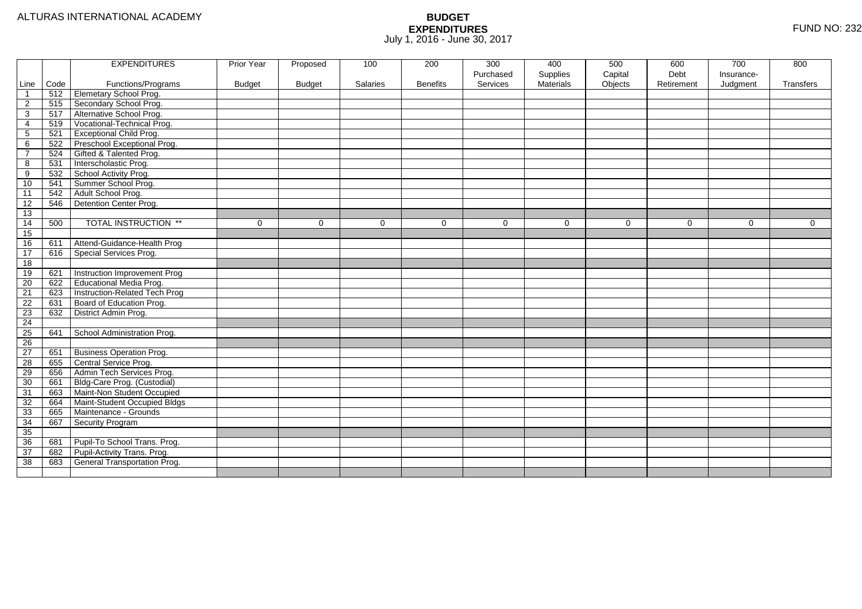|                         |      | <b>EXPENDITURES</b>             | Prior Year    | Proposed      | 100      | 200             | 300         | 400              | 500     | 600        | 700        | 800         |
|-------------------------|------|---------------------------------|---------------|---------------|----------|-----------------|-------------|------------------|---------|------------|------------|-------------|
|                         |      |                                 |               |               |          |                 | Purchased   | Supplies         | Capital | Debt       | Insurance- |             |
| Line                    | Code | Functions/Programs              | <b>Budget</b> | <b>Budget</b> | Salaries | <b>Benefits</b> | Services    | <b>Materials</b> | Objects | Retirement | Judgment   | Transfers   |
| $\overline{\mathbf{1}}$ | 512  | Elemetary School Prog.          |               |               |          |                 |             |                  |         |            |            |             |
| $\overline{2}$          | 515  | Secondary School Prog.          |               |               |          |                 |             |                  |         |            |            |             |
| 3                       | 517  | Alternative School Prog.        |               |               |          |                 |             |                  |         |            |            |             |
| 4                       | 519  | Vocational-Technical Prog.      |               |               |          |                 |             |                  |         |            |            |             |
| 5                       | 521  | <b>Exceptional Child Prog.</b>  |               |               |          |                 |             |                  |         |            |            |             |
| 6                       | 522  | Preschool Exceptional Prog.     |               |               |          |                 |             |                  |         |            |            |             |
| $\overline{7}$          | 524  | Gifted & Talented Prog.         |               |               |          |                 |             |                  |         |            |            |             |
| 8                       | 531  | Interscholastic Prog.           |               |               |          |                 |             |                  |         |            |            |             |
| 9                       | 532  | School Activity Prog.           |               |               |          |                 |             |                  |         |            |            |             |
| 10                      | 541  | Summer School Prog.             |               |               |          |                 |             |                  |         |            |            |             |
| $\overline{11}$         | 542  | Adult School Prog.              |               |               |          |                 |             |                  |         |            |            |             |
| 12                      | 546  | Detention Center Prog.          |               |               |          |                 |             |                  |         |            |            |             |
| 13                      |      |                                 |               |               |          |                 |             |                  |         |            |            |             |
| 14                      | 500  | <b>TOTAL INSTRUCTION **</b>     | $\mathbf 0$   | $\Omega$      | $\Omega$ | $\mathbf 0$     | $\mathbf 0$ | $\Omega$         | 0       | $\Omega$   | 0          | $\mathbf 0$ |
| 15                      |      |                                 |               |               |          |                 |             |                  |         |            |            |             |
| 16                      | 611  | Attend-Guidance-Health Prog     |               |               |          |                 |             |                  |         |            |            |             |
| 17                      | 616  | Special Services Prog.          |               |               |          |                 |             |                  |         |            |            |             |
| 18                      |      |                                 |               |               |          |                 |             |                  |         |            |            |             |
| 19                      | 621  | Instruction Improvement Prog    |               |               |          |                 |             |                  |         |            |            |             |
| $\overline{20}$         | 622  | Educational Media Prog.         |               |               |          |                 |             |                  |         |            |            |             |
| 21                      | 623  | Instruction-Related Tech Prog   |               |               |          |                 |             |                  |         |            |            |             |
| 22                      | 631  | Board of Education Prog.        |               |               |          |                 |             |                  |         |            |            |             |
| 23                      | 632  | District Admin Prog.            |               |               |          |                 |             |                  |         |            |            |             |
| 24                      |      |                                 |               |               |          |                 |             |                  |         |            |            |             |
| 25                      | 641  | School Administration Prog.     |               |               |          |                 |             |                  |         |            |            |             |
| 26                      |      |                                 |               |               |          |                 |             |                  |         |            |            |             |
| 27                      | 651  | <b>Business Operation Prog.</b> |               |               |          |                 |             |                  |         |            |            |             |
| 28                      | 655  | Central Service Prog.           |               |               |          |                 |             |                  |         |            |            |             |
| 29                      | 656  | Admin Tech Services Prog.       |               |               |          |                 |             |                  |         |            |            |             |
| 30                      | 661  | Bldg-Care Prog. (Custodial)     |               |               |          |                 |             |                  |         |            |            |             |
| 31                      | 663  | Maint-Non Student Occupied      |               |               |          |                 |             |                  |         |            |            |             |
| 32                      | 664  | Maint-Student Occupied Bldgs    |               |               |          |                 |             |                  |         |            |            |             |
| 33                      | 665  | Maintenance - Grounds           |               |               |          |                 |             |                  |         |            |            |             |
| 34                      | 667  | Security Program                |               |               |          |                 |             |                  |         |            |            |             |
| 35                      |      |                                 |               |               |          |                 |             |                  |         |            |            |             |
| 36                      | 681  | Pupil-To School Trans. Prog.    |               |               |          |                 |             |                  |         |            |            |             |
| 37                      | 682  | Pupil-Activity Trans. Prog.     |               |               |          |                 |             |                  |         |            |            |             |
| 38                      | 683  | General Transportation Prog.    |               |               |          |                 |             |                  |         |            |            |             |
|                         |      |                                 |               |               |          |                 |             |                  |         |            |            |             |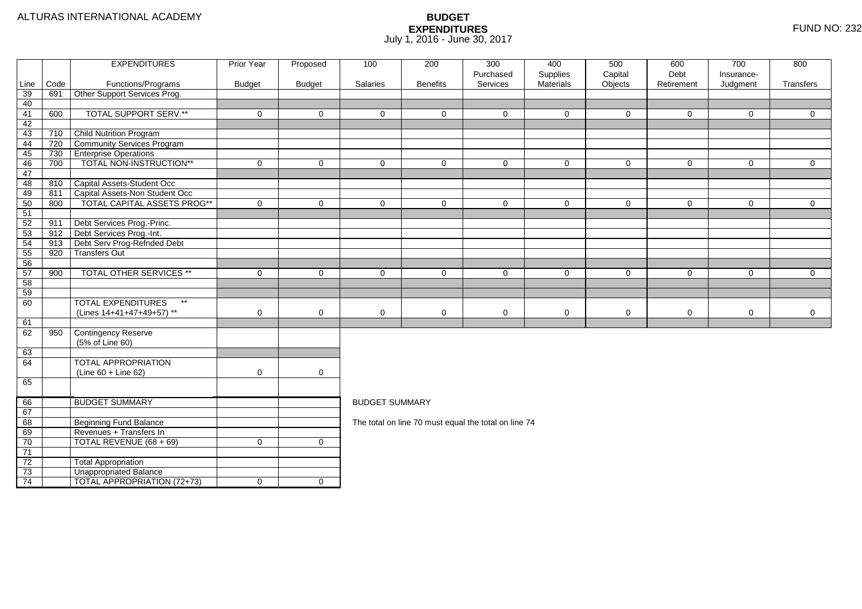|          |      | <b>EXPENDITURES</b>                       | <b>Prior Year</b> | Proposed            | 100                                                  | 200             | 300                   | 400                   | 500                | 600                | 700                    | 800            |  |  |
|----------|------|-------------------------------------------|-------------------|---------------------|------------------------------------------------------|-----------------|-----------------------|-----------------------|--------------------|--------------------|------------------------|----------------|--|--|
| Line     | Code | Functions/Programs                        | <b>Budget</b>     | <b>Budget</b>       | Salaries                                             | <b>Benefits</b> | Purchased<br>Services | Supplies<br>Materials | Capital<br>Objects | Debt<br>Retirement | Insurance-<br>Judgment | Transfers      |  |  |
| 39       | 691  | Other Support Services Prog.              |                   |                     |                                                      |                 |                       |                       |                    |                    |                        |                |  |  |
| 40       |      |                                           |                   |                     |                                                      |                 |                       |                       |                    |                    |                        |                |  |  |
| 41       | 600  | <b>TOTAL SUPPORT SERV.**</b>              | $\mathbf 0$       | $\mathbf{0}$        | $\Omega$                                             | $\Omega$        | $\Omega$              | $\Omega$              | $\mathbf{0}$       | $\mathbf 0$        | $\Omega$               | $\overline{0}$ |  |  |
| 42       |      |                                           |                   |                     |                                                      |                 |                       |                       |                    |                    |                        |                |  |  |
| 43       | 710  | <b>Child Nutrition Program</b>            |                   |                     |                                                      |                 |                       |                       |                    |                    |                        |                |  |  |
| 44       | 720  | Community Services Program                |                   |                     |                                                      |                 |                       |                       |                    |                    |                        |                |  |  |
| 45       | 730  | <b>Enterprise Operations</b>              |                   |                     |                                                      |                 |                       |                       |                    |                    |                        |                |  |  |
| 46       | 700  | TOTAL NON-INSTRUCTION**                   | $\mathbf 0$       | $\mathbf 0$         | $\mathbf 0$                                          | $\Omega$        | $\mathbf 0$           | $\Omega$              | $\mathbf 0$        | $\mathbf 0$        | $\mathbf 0$            | $\overline{0}$ |  |  |
| 47       |      |                                           |                   |                     |                                                      |                 |                       |                       |                    |                    |                        |                |  |  |
| 48       | 810  | Capital Assets-Student Occ                |                   |                     |                                                      |                 |                       |                       |                    |                    |                        |                |  |  |
| 49       | 811  | Capital Assets-Non Student Occ            |                   |                     |                                                      |                 |                       |                       |                    |                    |                        |                |  |  |
| 50       | 800  | TOTAL CAPITAL ASSETS PROG**               | $\Omega$          | $\overline{0}$      | $\Omega$                                             | $\Omega$        | $\Omega$              | $\Omega$              | $\mathbf 0$        | $\mathbf 0$        | $\mathbf 0$            | $\overline{0}$ |  |  |
| 51       |      |                                           |                   |                     |                                                      |                 |                       |                       |                    |                    |                        |                |  |  |
| 52       | 911  | Debt Services Prog.-Princ.                |                   |                     |                                                      |                 |                       |                       |                    |                    |                        |                |  |  |
| 53       | 912  | Debt Services Prog.-Int.                  |                   |                     |                                                      |                 |                       |                       |                    |                    |                        |                |  |  |
| 54       | 913  | Debt Serv Prog-Refnded Debt               |                   |                     |                                                      |                 |                       |                       |                    |                    |                        |                |  |  |
| 55       | 920  | <b>Transfers Out</b>                      |                   |                     |                                                      |                 |                       |                       |                    |                    |                        |                |  |  |
| 56       |      | TOTAL OTHER SERVICES **                   |                   |                     |                                                      |                 |                       |                       |                    |                    |                        |                |  |  |
| 57<br>58 | 900  |                                           | $\mathbf 0$       | $\mathbf 0$         | $\mathbf 0$                                          | $\mathbf 0$     | $\mathbf 0$           | $\mathbf 0$           | $\mathbf 0$        | 0                  | $\mathbf 0$            | $\overline{0}$ |  |  |
| 59       |      |                                           |                   |                     |                                                      |                 |                       |                       |                    |                    |                        |                |  |  |
| 60       |      | <b>TOTAL EXPENDITURES</b><br>$\star\star$ |                   |                     |                                                      |                 |                       |                       |                    |                    |                        |                |  |  |
|          |      | (Lines 14+41+47+49+57) **                 | 0                 | $\mathbf 0$         | $\mathbf 0$                                          | 0               | 0                     | 0                     | $\mathbf 0$        | $\mathbf 0$        | 0                      | $\mathbf 0$    |  |  |
| 61       |      |                                           |                   |                     |                                                      |                 |                       |                       |                    |                    |                        |                |  |  |
| 62       | 950  | Contingency Reserve                       |                   |                     |                                                      |                 |                       |                       |                    |                    |                        |                |  |  |
|          |      | (5% of Line 60)                           |                   |                     |                                                      |                 |                       |                       |                    |                    |                        |                |  |  |
| 63       |      |                                           |                   |                     |                                                      |                 |                       |                       |                    |                    |                        |                |  |  |
| 64       |      | <b>TOTAL APPROPRIATION</b>                |                   |                     |                                                      |                 |                       |                       |                    |                    |                        |                |  |  |
|          |      | $(Line 60 + Line 62)$                     | $\mathbf 0$       | $\mathsf{O}\xspace$ |                                                      |                 |                       |                       |                    |                    |                        |                |  |  |
| 65       |      |                                           |                   |                     |                                                      |                 |                       |                       |                    |                    |                        |                |  |  |
|          |      |                                           |                   |                     |                                                      |                 |                       |                       |                    |                    |                        |                |  |  |
| 66       |      | <b>BUDGET SUMMARY</b>                     |                   |                     | <b>BUDGET SUMMARY</b>                                |                 |                       |                       |                    |                    |                        |                |  |  |
| 67       |      |                                           |                   |                     |                                                      |                 |                       |                       |                    |                    |                        |                |  |  |
| 68       |      | <b>Beginning Fund Balance</b>             |                   |                     | The total on line 70 must equal the total on line 74 |                 |                       |                       |                    |                    |                        |                |  |  |
| 69       |      | Revenues + Transfers In                   |                   |                     |                                                      |                 |                       |                       |                    |                    |                        |                |  |  |
| 70       |      | TOTAL REVENUE (68 + 69)                   | $\mathbf 0$       | $\mathbf 0$         |                                                      |                 |                       |                       |                    |                    |                        |                |  |  |
| 71       |      |                                           |                   |                     |                                                      |                 |                       |                       |                    |                    |                        |                |  |  |
| 72       |      | <b>Total Appropriation</b>                |                   |                     |                                                      |                 |                       |                       |                    |                    |                        |                |  |  |
| 73       |      | <b>Unappropriated Balance</b>             |                   |                     |                                                      |                 |                       |                       |                    |                    |                        |                |  |  |
| 74       |      | TOTAL APPROPRIATION (72+73)               | $\mathbf 0$       | $\overline{0}$      |                                                      |                 |                       |                       |                    |                    |                        |                |  |  |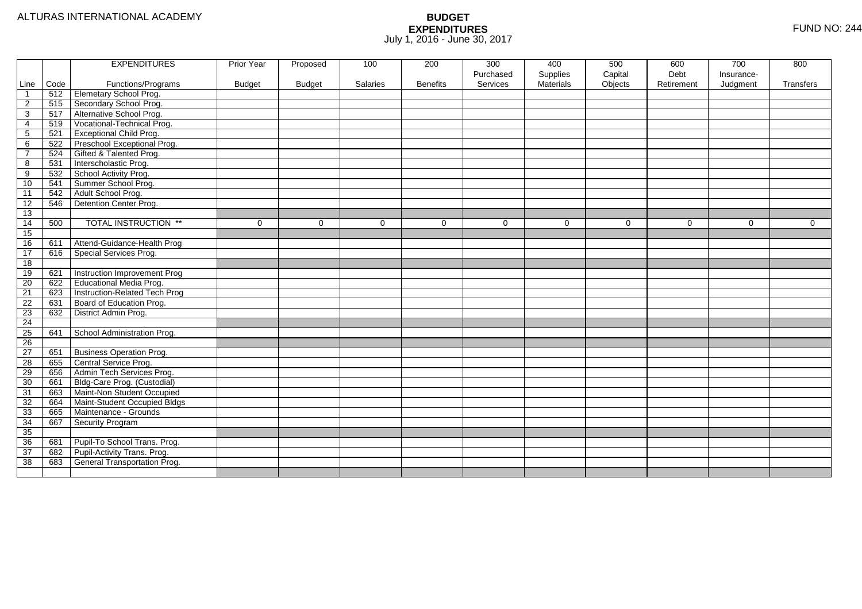|                 |      | <b>EXPENDITURES</b>             | Prior Year    | Proposed      | 100      | 200             | 300       | 400              | 500      | 600        | 700        | 800       |
|-----------------|------|---------------------------------|---------------|---------------|----------|-----------------|-----------|------------------|----------|------------|------------|-----------|
|                 |      |                                 |               |               |          |                 | Purchased | Supplies         | Capital  | Debt       | Insurance- |           |
| Line            | Code | Functions/Programs              | <b>Budget</b> | <b>Budget</b> | Salaries | <b>Benefits</b> | Services  | <b>Materials</b> | Objects  | Retirement | Judgment   | Transfers |
|                 | 512  | <b>Elemetary School Prog.</b>   |               |               |          |                 |           |                  |          |            |            |           |
| $\overline{c}$  | 515  | Secondary School Prog.          |               |               |          |                 |           |                  |          |            |            |           |
| 3               | 517  | Alternative School Prog.        |               |               |          |                 |           |                  |          |            |            |           |
| 4               | 519  | Vocational-Technical Prog.      |               |               |          |                 |           |                  |          |            |            |           |
| 5               | 521  | <b>Exceptional Child Prog.</b>  |               |               |          |                 |           |                  |          |            |            |           |
| 6               | 522  | Preschool Exceptional Prog.     |               |               |          |                 |           |                  |          |            |            |           |
| $\overline{7}$  | 524  | Gifted & Talented Prog.         |               |               |          |                 |           |                  |          |            |            |           |
| 8               | 531  | Interscholastic Prog.           |               |               |          |                 |           |                  |          |            |            |           |
| 9               | 532  | School Activity Prog.           |               |               |          |                 |           |                  |          |            |            |           |
| 10              | 541  | Summer School Prog.             |               |               |          |                 |           |                  |          |            |            |           |
| $\overline{11}$ | 542  | Adult School Prog.              |               |               |          |                 |           |                  |          |            |            |           |
| 12              | 546  | Detention Center Prog.          |               |               |          |                 |           |                  |          |            |            |           |
| 13              |      |                                 |               |               |          |                 |           |                  |          |            |            |           |
| 14              | 500  | <b>TOTAL INSTRUCTION **</b>     | $\Omega$      | $\Omega$      | $\Omega$ | $\Omega$        | $\Omega$  | $\Omega$         | $\Omega$ | $\Omega$   | $\Omega$   | $\Omega$  |
| 15              |      |                                 |               |               |          |                 |           |                  |          |            |            |           |
| 16              | 611  | Attend-Guidance-Health Prog     |               |               |          |                 |           |                  |          |            |            |           |
| 17              | 616  | Special Services Prog.          |               |               |          |                 |           |                  |          |            |            |           |
| 18              |      |                                 |               |               |          |                 |           |                  |          |            |            |           |
| 19              | 621  | Instruction Improvement Prog    |               |               |          |                 |           |                  |          |            |            |           |
| $\overline{20}$ | 622  | Educational Media Prog.         |               |               |          |                 |           |                  |          |            |            |           |
| $\overline{21}$ | 623  | Instruction-Related Tech Prog   |               |               |          |                 |           |                  |          |            |            |           |
| 22              | 631  | Board of Education Prog.        |               |               |          |                 |           |                  |          |            |            |           |
| 23              | 632  | District Admin Prog.            |               |               |          |                 |           |                  |          |            |            |           |
| 24              |      |                                 |               |               |          |                 |           |                  |          |            |            |           |
| 25              | 641  | School Administration Prog.     |               |               |          |                 |           |                  |          |            |            |           |
| 26              |      |                                 |               |               |          |                 |           |                  |          |            |            |           |
| 27              | 651  | <b>Business Operation Prog.</b> |               |               |          |                 |           |                  |          |            |            |           |
| 28              | 655  | Central Service Prog.           |               |               |          |                 |           |                  |          |            |            |           |
| 29              | 656  | Admin Tech Services Prog.       |               |               |          |                 |           |                  |          |            |            |           |
| 30              | 661  | Bldg-Care Prog. (Custodial)     |               |               |          |                 |           |                  |          |            |            |           |
| 31              | 663  | Maint-Non Student Occupied      |               |               |          |                 |           |                  |          |            |            |           |
| 32              | 664  | Maint-Student Occupied Bldgs    |               |               |          |                 |           |                  |          |            |            |           |
| 33              | 665  | Maintenance - Grounds           |               |               |          |                 |           |                  |          |            |            |           |
| 34              | 667  | Security Program                |               |               |          |                 |           |                  |          |            |            |           |
| 35              |      |                                 |               |               |          |                 |           |                  |          |            |            |           |
| 36              | 681  | Pupil-To School Trans. Prog.    |               |               |          |                 |           |                  |          |            |            |           |
| 37              | 682  | Pupil-Activity Trans. Prog.     |               |               |          |                 |           |                  |          |            |            |           |
| 38              | 683  | General Transportation Prog.    |               |               |          |                 |           |                  |          |            |            |           |
|                 |      |                                 |               |               |          |                 |           |                  |          |            |            |           |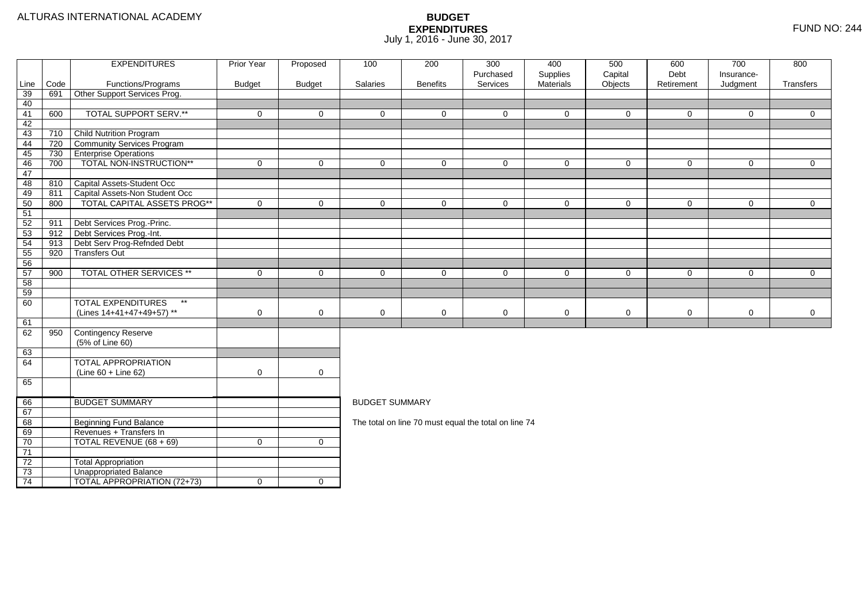|          |      | <b>EXPENDITURES</b>                       | <b>Prior Year</b> | Proposed            | 100                                                  | 200             | 300                   | 400                   | 500                | 600                | 700                    | 800            |  |  |
|----------|------|-------------------------------------------|-------------------|---------------------|------------------------------------------------------|-----------------|-----------------------|-----------------------|--------------------|--------------------|------------------------|----------------|--|--|
| Line     | Code | Functions/Programs                        | <b>Budget</b>     | <b>Budget</b>       | Salaries                                             | <b>Benefits</b> | Purchased<br>Services | Supplies<br>Materials | Capital<br>Objects | Debt<br>Retirement | Insurance-<br>Judgment | Transfers      |  |  |
| 39       | 691  | Other Support Services Prog.              |                   |                     |                                                      |                 |                       |                       |                    |                    |                        |                |  |  |
| 40       |      |                                           |                   |                     |                                                      |                 |                       |                       |                    |                    |                        |                |  |  |
| 41       | 600  | <b>TOTAL SUPPORT SERV.**</b>              | $\mathbf 0$       | $\mathbf{0}$        | $\Omega$                                             | $\Omega$        | $\Omega$              | $\Omega$              | $\mathbf{0}$       | $\mathbf 0$        | $\Omega$               | $\overline{0}$ |  |  |
| 42       |      |                                           |                   |                     |                                                      |                 |                       |                       |                    |                    |                        |                |  |  |
| 43       | 710  | <b>Child Nutrition Program</b>            |                   |                     |                                                      |                 |                       |                       |                    |                    |                        |                |  |  |
| 44       | 720  | Community Services Program                |                   |                     |                                                      |                 |                       |                       |                    |                    |                        |                |  |  |
| 45       | 730  | <b>Enterprise Operations</b>              |                   |                     |                                                      |                 |                       |                       |                    |                    |                        |                |  |  |
| 46       | 700  | TOTAL NON-INSTRUCTION**                   | $\mathbf 0$       | $\mathbf 0$         | $\mathbf 0$                                          | $\Omega$        | $\mathbf 0$           | $\Omega$              | $\mathbf 0$        | $\mathbf 0$        | $\mathbf 0$            | $\overline{0}$ |  |  |
| 47       |      |                                           |                   |                     |                                                      |                 |                       |                       |                    |                    |                        |                |  |  |
| 48       | 810  | Capital Assets-Student Occ                |                   |                     |                                                      |                 |                       |                       |                    |                    |                        |                |  |  |
| 49       | 811  | Capital Assets-Non Student Occ            |                   |                     |                                                      |                 |                       |                       |                    |                    |                        |                |  |  |
| 50       | 800  | TOTAL CAPITAL ASSETS PROG**               | $\Omega$          | $\overline{0}$      | $\Omega$                                             | $\Omega$        | $\Omega$              | $\Omega$              | $\mathbf 0$        | $\mathbf 0$        | $\mathbf 0$            | $\overline{0}$ |  |  |
| 51       |      |                                           |                   |                     |                                                      |                 |                       |                       |                    |                    |                        |                |  |  |
| 52       | 911  | Debt Services Prog.-Princ.                |                   |                     |                                                      |                 |                       |                       |                    |                    |                        |                |  |  |
| 53       | 912  | Debt Services Prog.-Int.                  |                   |                     |                                                      |                 |                       |                       |                    |                    |                        |                |  |  |
| 54       | 913  | Debt Serv Prog-Refnded Debt               |                   |                     |                                                      |                 |                       |                       |                    |                    |                        |                |  |  |
| 55       | 920  | <b>Transfers Out</b>                      |                   |                     |                                                      |                 |                       |                       |                    |                    |                        |                |  |  |
| 56       |      | TOTAL OTHER SERVICES **                   |                   |                     |                                                      |                 |                       |                       |                    |                    |                        |                |  |  |
| 57<br>58 | 900  |                                           | $\mathbf 0$       | $\mathbf 0$         | $\mathbf 0$                                          | $\mathbf 0$     | $\mathbf 0$           | $\mathbf 0$           | $\mathbf 0$        | 0                  | $\mathbf 0$            | $\overline{0}$ |  |  |
| 59       |      |                                           |                   |                     |                                                      |                 |                       |                       |                    |                    |                        |                |  |  |
| 60       |      | <b>TOTAL EXPENDITURES</b><br>$\star\star$ |                   |                     |                                                      |                 |                       |                       |                    |                    |                        |                |  |  |
|          |      | (Lines 14+41+47+49+57) **                 | 0                 | $\mathbf 0$         | $\mathbf 0$                                          | 0               | 0                     | 0                     | $\mathbf 0$        | $\mathbf 0$        | 0                      | $\mathbf 0$    |  |  |
| 61       |      |                                           |                   |                     |                                                      |                 |                       |                       |                    |                    |                        |                |  |  |
| 62       | 950  | Contingency Reserve                       |                   |                     |                                                      |                 |                       |                       |                    |                    |                        |                |  |  |
|          |      | (5% of Line 60)                           |                   |                     |                                                      |                 |                       |                       |                    |                    |                        |                |  |  |
| 63       |      |                                           |                   |                     |                                                      |                 |                       |                       |                    |                    |                        |                |  |  |
| 64       |      | <b>TOTAL APPROPRIATION</b>                |                   |                     |                                                      |                 |                       |                       |                    |                    |                        |                |  |  |
|          |      | $(Line 60 + Line 62)$                     | $\mathbf 0$       | $\mathsf{O}\xspace$ |                                                      |                 |                       |                       |                    |                    |                        |                |  |  |
| 65       |      |                                           |                   |                     |                                                      |                 |                       |                       |                    |                    |                        |                |  |  |
|          |      |                                           |                   |                     |                                                      |                 |                       |                       |                    |                    |                        |                |  |  |
| 66       |      | <b>BUDGET SUMMARY</b>                     |                   |                     | <b>BUDGET SUMMARY</b>                                |                 |                       |                       |                    |                    |                        |                |  |  |
| 67       |      |                                           |                   |                     |                                                      |                 |                       |                       |                    |                    |                        |                |  |  |
| 68       |      | <b>Beginning Fund Balance</b>             |                   |                     | The total on line 70 must equal the total on line 74 |                 |                       |                       |                    |                    |                        |                |  |  |
| 69       |      | Revenues + Transfers In                   |                   |                     |                                                      |                 |                       |                       |                    |                    |                        |                |  |  |
| 70       |      | TOTAL REVENUE (68 + 69)                   | $\mathbf 0$       | $\mathbf 0$         |                                                      |                 |                       |                       |                    |                    |                        |                |  |  |
| 71       |      |                                           |                   |                     |                                                      |                 |                       |                       |                    |                    |                        |                |  |  |
| 72       |      | <b>Total Appropriation</b>                |                   |                     |                                                      |                 |                       |                       |                    |                    |                        |                |  |  |
| 73       |      | <b>Unappropriated Balance</b>             |                   |                     |                                                      |                 |                       |                       |                    |                    |                        |                |  |  |
| 74       |      | TOTAL APPROPRIATION (72+73)               | $\mathbf 0$       | $\overline{0}$      |                                                      |                 |                       |                       |                    |                    |                        |                |  |  |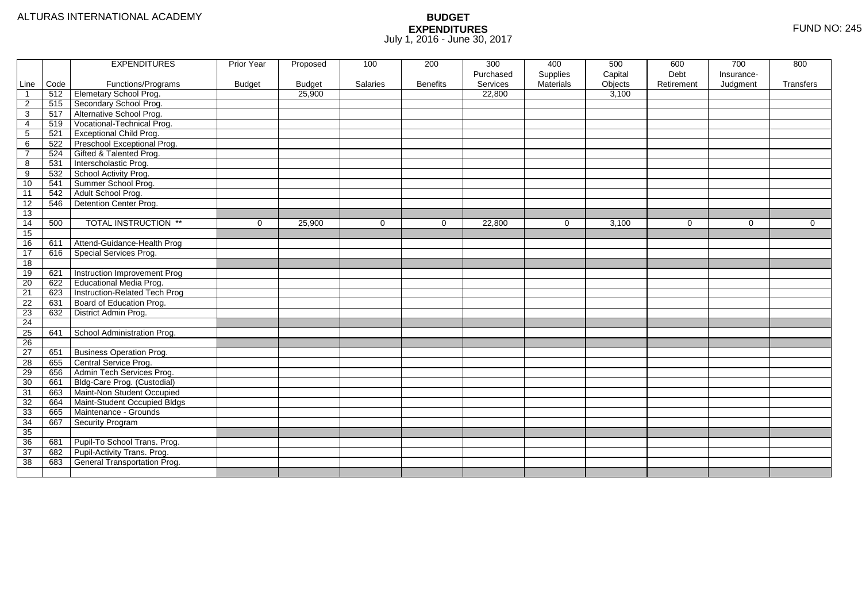|                |      | <b>EXPENDITURES</b>             | Prior Year    | Proposed      | 100      | 200             | 300       | 400              | 500     | 600        | 700         | 800            |
|----------------|------|---------------------------------|---------------|---------------|----------|-----------------|-----------|------------------|---------|------------|-------------|----------------|
|                |      |                                 |               |               |          |                 | Purchased | Supplies         | Capital | Debt       | Insurance-  |                |
| Line           | Code | Functions/Programs              | <b>Budget</b> | <b>Budget</b> | Salaries | <b>Benefits</b> | Services  | <b>Materials</b> | Objects | Retirement | Judgment    | Transfers      |
| $\overline{1}$ | 512  | Elemetary School Prog.          |               | 25,900        |          |                 | 22,800    |                  | 3,100   |            |             |                |
| $\overline{2}$ | 515  | Secondary School Prog.          |               |               |          |                 |           |                  |         |            |             |                |
| $\overline{3}$ | 517  | Alternative School Prog.        |               |               |          |                 |           |                  |         |            |             |                |
| $\overline{4}$ | 519  | Vocational-Technical Prog.      |               |               |          |                 |           |                  |         |            |             |                |
| $\sqrt{5}$     | 521  | <b>Exceptional Child Prog.</b>  |               |               |          |                 |           |                  |         |            |             |                |
| 6              | 522  | Preschool Exceptional Prog.     |               |               |          |                 |           |                  |         |            |             |                |
| $\overline{7}$ | 524  | Gifted & Talented Prog.         |               |               |          |                 |           |                  |         |            |             |                |
| $\overline{8}$ | 531  | Interscholastic Prog.           |               |               |          |                 |           |                  |         |            |             |                |
| $\overline{9}$ | 532  | School Activity Prog.           |               |               |          |                 |           |                  |         |            |             |                |
| 10             | 541  | Summer School Prog.             |               |               |          |                 |           |                  |         |            |             |                |
| 11             | 542  | Adult School Prog.              |               |               |          |                 |           |                  |         |            |             |                |
| 12             | 546  | Detention Center Prog.          |               |               |          |                 |           |                  |         |            |             |                |
| 13             |      |                                 |               |               |          |                 |           |                  |         |            |             |                |
| 14             | 500  | <b>TOTAL INSTRUCTION **</b>     | $\mathbf 0$   | 25,900        | $\Omega$ | $\Omega$        | 22,800    | $\mathbf 0$      | 3,100   | $\Omega$   | $\mathbf 0$ | $\overline{0}$ |
| 15             |      |                                 |               |               |          |                 |           |                  |         |            |             |                |
| 16             | 611  | Attend-Guidance-Health Prog     |               |               |          |                 |           |                  |         |            |             |                |
| 17             | 616  | Special Services Prog.          |               |               |          |                 |           |                  |         |            |             |                |
| 18             |      |                                 |               |               |          |                 |           |                  |         |            |             |                |
| 19             | 621  | Instruction Improvement Prog    |               |               |          |                 |           |                  |         |            |             |                |
| 20             | 622  | Educational Media Prog.         |               |               |          |                 |           |                  |         |            |             |                |
| 21             | 623  | Instruction-Related Tech Prog   |               |               |          |                 |           |                  |         |            |             |                |
| 22             | 631  | Board of Education Prog.        |               |               |          |                 |           |                  |         |            |             |                |
| 23             | 632  | District Admin Prog.            |               |               |          |                 |           |                  |         |            |             |                |
| 24             |      |                                 |               |               |          |                 |           |                  |         |            |             |                |
| 25             | 641  | School Administration Prog.     |               |               |          |                 |           |                  |         |            |             |                |
| 26             |      |                                 |               |               |          |                 |           |                  |         |            |             |                |
| 27             | 651  | <b>Business Operation Prog.</b> |               |               |          |                 |           |                  |         |            |             |                |
| 28             | 655  | Central Service Prog.           |               |               |          |                 |           |                  |         |            |             |                |
| 29             | 656  | Admin Tech Services Prog.       |               |               |          |                 |           |                  |         |            |             |                |
| 30             | 661  | Bldg-Care Prog. (Custodial)     |               |               |          |                 |           |                  |         |            |             |                |
| 31             | 663  | Maint-Non Student Occupied      |               |               |          |                 |           |                  |         |            |             |                |
| 32             | 664  | Maint-Student Occupied Bldgs    |               |               |          |                 |           |                  |         |            |             |                |
| 33             | 665  | Maintenance - Grounds           |               |               |          |                 |           |                  |         |            |             |                |
| 34             | 667  | Security Program                |               |               |          |                 |           |                  |         |            |             |                |
| 35             |      |                                 |               |               |          |                 |           |                  |         |            |             |                |
| 36             | 681  | Pupil-To School Trans. Prog.    |               |               |          |                 |           |                  |         |            |             |                |
| 37             | 682  | Pupil-Activity Trans. Prog.     |               |               |          |                 |           |                  |         |            |             |                |
| 38             | 683  | General Transportation Prog.    |               |               |          |                 |           |                  |         |            |             |                |
|                |      |                                 |               |               |          |                 |           |                  |         |            |             |                |
|                |      |                                 |               |               |          |                 |           |                  |         |            |             |                |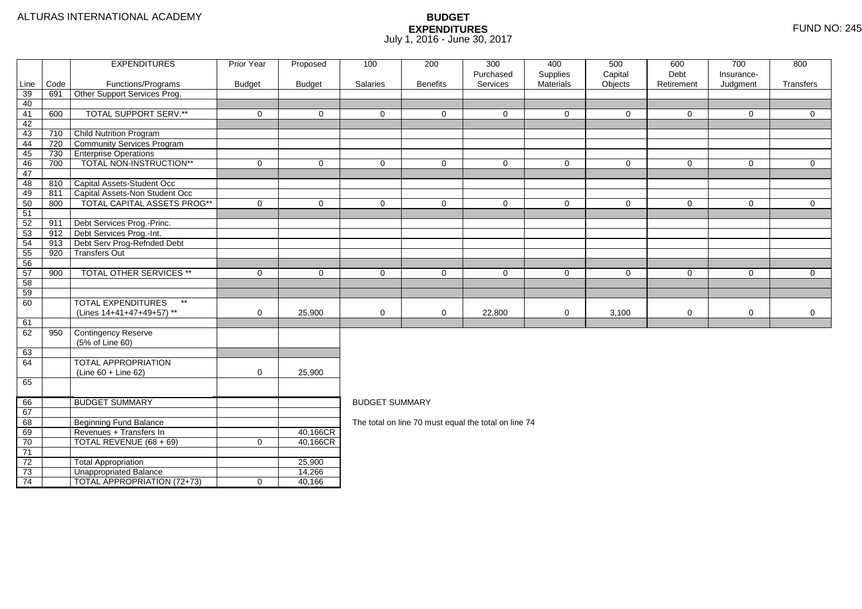|                 |            | <b>EXPENDITURES</b>                                     | Prior Year    | Proposed      | 100                                                  | 200             | 300<br>Purchased | 400<br>Supplies  | 500<br>Capital | 600<br>Debt  | 700<br>Insurance- | 800            |  |  |
|-----------------|------------|---------------------------------------------------------|---------------|---------------|------------------------------------------------------|-----------------|------------------|------------------|----------------|--------------|-------------------|----------------|--|--|
| Line            | Code       | Functions/Programs                                      | <b>Budget</b> | <b>Budget</b> | Salaries                                             | <b>Benefits</b> | Services         | <b>Materials</b> | Objects        | Retirement   | Judgment          | Transfers      |  |  |
| 39              | 691        | Other Support Services Prog.                            |               |               |                                                      |                 |                  |                  |                |              |                   |                |  |  |
| 40              |            |                                                         |               |               |                                                      |                 |                  |                  |                |              |                   |                |  |  |
| 41              | 600        | <b>TOTAL SUPPORT SERV.**</b>                            | $\mathbf 0$   | $\mathbf 0$   | $\mathbf 0$                                          | $\overline{0}$  | 0                | 0                | $\mathbf{0}$   | 0            | $\mathbf{0}$      | $\overline{0}$ |  |  |
| 42              |            |                                                         |               |               |                                                      |                 |                  |                  |                |              |                   |                |  |  |
| 43              | 710        | <b>Child Nutrition Program</b>                          |               |               |                                                      |                 |                  |                  |                |              |                   |                |  |  |
| 44              | 720        | Community Services Program                              |               |               |                                                      |                 |                  |                  |                |              |                   |                |  |  |
| 45              | 730        | <b>Enterprise Operations</b>                            |               |               |                                                      |                 |                  |                  |                |              |                   |                |  |  |
| 46              | 700        | TOTAL NON-INSTRUCTION**                                 | $\mathbf 0$   | $\mathbf 0$   | $\mathbf 0$                                          | $\mathbf 0$     | $\mathbf 0$      | 0                | $\mathbf{0}$   | 0            | $\mathbf 0$       | $\overline{0}$ |  |  |
| 47              |            |                                                         |               |               |                                                      |                 |                  |                  |                |              |                   |                |  |  |
| 48              | 810        | Capital Assets-Student Occ                              |               |               |                                                      |                 |                  |                  |                |              |                   |                |  |  |
| 49              | 811        | Capital Assets-Non Student Occ                          |               |               |                                                      |                 |                  |                  |                |              |                   |                |  |  |
| 50              | 800        | <b>TOTAL CAPITAL ASSETS PROG**</b>                      | $\mathbf 0$   | $\mathbf 0$   | $\mathbf 0$                                          | $\mathbf 0$     | $\mathbf{0}$     | $\mathbf 0$      | $\mathbf 0$    | $\mathsf{O}$ | $\mathbf 0$       | $\overline{0}$ |  |  |
| 51              |            |                                                         |               |               |                                                      |                 |                  |                  |                |              |                   |                |  |  |
| 52              | 911        | Debt Services Prog.-Princ.                              |               |               |                                                      |                 |                  |                  |                |              |                   |                |  |  |
| 53<br>54        | 912        | Debt Services Prog.-Int.<br>Debt Serv Prog-Refnded Debt |               |               |                                                      |                 |                  |                  |                |              |                   |                |  |  |
|                 | 913<br>920 | <b>Transfers Out</b>                                    |               |               |                                                      |                 |                  |                  |                |              |                   |                |  |  |
| 55<br>56        |            |                                                         |               |               |                                                      |                 |                  |                  |                |              |                   |                |  |  |
| 57              | 900        | TOTAL OTHER SERVICES **                                 | $\mathbf 0$   | $\mathbf 0$   | $\mathbf 0$                                          | $\mathbf 0$     | 0                | 0                | $\mathbf 0$    | $\mathsf{O}$ | $\mathbf 0$       | $\overline{0}$ |  |  |
| 58              |            |                                                         |               |               |                                                      |                 |                  |                  |                |              |                   |                |  |  |
| 59              |            |                                                         |               |               |                                                      |                 |                  |                  |                |              |                   |                |  |  |
| 60              |            | <b>TOTAL EXPENDITURES</b><br>$\star\star$               |               |               |                                                      |                 |                  |                  |                |              |                   |                |  |  |
|                 |            | (Lines 14+41+47+49+57) **                               | 0             | 25,900        | $\mathbf 0$                                          | $\mathbf 0$     | 22,800           | 0                | 3,100          | $\mathbf 0$  | 0                 | $\overline{0}$ |  |  |
| 61              |            |                                                         |               |               |                                                      |                 |                  |                  |                |              |                   |                |  |  |
| 62              | 950        | Contingency Reserve                                     |               |               |                                                      |                 |                  |                  |                |              |                   |                |  |  |
|                 |            | (5% of Line 60)                                         |               |               |                                                      |                 |                  |                  |                |              |                   |                |  |  |
| 63              |            |                                                         |               |               |                                                      |                 |                  |                  |                |              |                   |                |  |  |
| 64              |            | TOTAL APPROPRIATION                                     |               |               |                                                      |                 |                  |                  |                |              |                   |                |  |  |
|                 |            | (Line 60 + Line 62)                                     | $\mathbf 0$   | 25,900        |                                                      |                 |                  |                  |                |              |                   |                |  |  |
| 65              |            |                                                         |               |               |                                                      |                 |                  |                  |                |              |                   |                |  |  |
|                 |            |                                                         |               |               |                                                      |                 |                  |                  |                |              |                   |                |  |  |
| 66              |            | <b>BUDGET SUMMARY</b>                                   |               |               | <b>BUDGET SUMMARY</b>                                |                 |                  |                  |                |              |                   |                |  |  |
| 67              |            |                                                         |               |               |                                                      |                 |                  |                  |                |              |                   |                |  |  |
| 68              |            | <b>Beginning Fund Balance</b>                           |               |               | The total on line 70 must equal the total on line 74 |                 |                  |                  |                |              |                   |                |  |  |
| 69              |            | Revenues + Transfers In                                 |               | 40,166CR      |                                                      |                 |                  |                  |                |              |                   |                |  |  |
| 70              |            | TOTAL REVENUE (68 + 69)                                 | $\mathbf 0$   | 40,166CR      |                                                      |                 |                  |                  |                |              |                   |                |  |  |
| 71              |            |                                                         |               |               |                                                      |                 |                  |                  |                |              |                   |                |  |  |
| $\overline{72}$ |            | <b>Total Appropriation</b>                              |               | 25,900        |                                                      |                 |                  |                  |                |              |                   |                |  |  |
| $\overline{73}$ |            | <b>Unappropriated Balance</b>                           |               | 14,266        |                                                      |                 |                  |                  |                |              |                   |                |  |  |
| 74              |            | <b>TOTAL APPROPRIATION (72+73)</b>                      | $\mathbf 0$   | 40,166        |                                                      |                 |                  |                  |                |              |                   |                |  |  |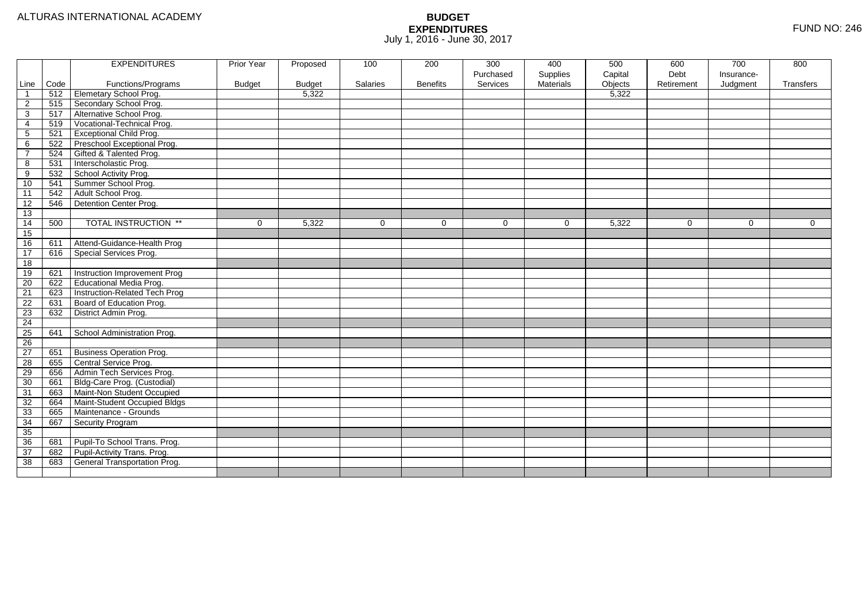|                |      | <b>EXPENDITURES</b>             | Prior Year    | Proposed      | 100      | 200             | 300       | 400              | 500     | 600        | 700         | 800            |
|----------------|------|---------------------------------|---------------|---------------|----------|-----------------|-----------|------------------|---------|------------|-------------|----------------|
|                |      |                                 |               |               |          |                 | Purchased | Supplies         | Capital | Debt       | Insurance-  |                |
| Line           | Code | Functions/Programs              | <b>Budget</b> | <b>Budget</b> | Salaries | <b>Benefits</b> | Services  | <b>Materials</b> | Objects | Retirement | Judgment    | Transfers      |
| $\overline{1}$ | 512  | Elemetary School Prog.          |               | 5,322         |          |                 |           |                  | 5,322   |            |             |                |
| $\overline{2}$ | 515  | Secondary School Prog.          |               |               |          |                 |           |                  |         |            |             |                |
| $\overline{3}$ | 517  | Alternative School Prog.        |               |               |          |                 |           |                  |         |            |             |                |
| $\overline{4}$ | 519  | Vocational-Technical Prog.      |               |               |          |                 |           |                  |         |            |             |                |
| $\overline{5}$ | 521  | <b>Exceptional Child Prog.</b>  |               |               |          |                 |           |                  |         |            |             |                |
| 6              | 522  | Preschool Exceptional Prog.     |               |               |          |                 |           |                  |         |            |             |                |
| $\overline{7}$ | 524  | Gifted & Talented Prog.         |               |               |          |                 |           |                  |         |            |             |                |
| $\overline{8}$ | 531  | Interscholastic Prog.           |               |               |          |                 |           |                  |         |            |             |                |
| $\overline{9}$ | 532  | School Activity Prog.           |               |               |          |                 |           |                  |         |            |             |                |
| 10             | 541  | Summer School Prog.             |               |               |          |                 |           |                  |         |            |             |                |
| 11             | 542  | Adult School Prog.              |               |               |          |                 |           |                  |         |            |             |                |
| 12             | 546  | Detention Center Prog.          |               |               |          |                 |           |                  |         |            |             |                |
| 13             |      |                                 |               |               |          |                 |           |                  |         |            |             |                |
| 14             | 500  | <b>TOTAL INSTRUCTION **</b>     | $\mathbf 0$   | 5,322         | $\Omega$ | $\Omega$        | $\Omega$  | $\mathbf 0$      | 5,322   | $\Omega$   | $\mathbf 0$ | $\overline{0}$ |
| 15             |      |                                 |               |               |          |                 |           |                  |         |            |             |                |
| 16             | 611  | Attend-Guidance-Health Prog     |               |               |          |                 |           |                  |         |            |             |                |
| 17             | 616  | Special Services Prog.          |               |               |          |                 |           |                  |         |            |             |                |
| 18             |      |                                 |               |               |          |                 |           |                  |         |            |             |                |
| 19             | 621  | Instruction Improvement Prog    |               |               |          |                 |           |                  |         |            |             |                |
| 20             | 622  | Educational Media Prog.         |               |               |          |                 |           |                  |         |            |             |                |
| 21             | 623  | Instruction-Related Tech Prog   |               |               |          |                 |           |                  |         |            |             |                |
| 22             | 631  | Board of Education Prog.        |               |               |          |                 |           |                  |         |            |             |                |
| 23             | 632  | District Admin Prog.            |               |               |          |                 |           |                  |         |            |             |                |
| 24             |      |                                 |               |               |          |                 |           |                  |         |            |             |                |
| 25             | 641  | School Administration Prog.     |               |               |          |                 |           |                  |         |            |             |                |
| 26             |      |                                 |               |               |          |                 |           |                  |         |            |             |                |
| 27             | 651  | <b>Business Operation Prog.</b> |               |               |          |                 |           |                  |         |            |             |                |
| 28             | 655  | Central Service Prog.           |               |               |          |                 |           |                  |         |            |             |                |
| 29             | 656  | Admin Tech Services Prog.       |               |               |          |                 |           |                  |         |            |             |                |
| 30             | 661  | Bldg-Care Prog. (Custodial)     |               |               |          |                 |           |                  |         |            |             |                |
| 31             | 663  | Maint-Non Student Occupied      |               |               |          |                 |           |                  |         |            |             |                |
| 32             | 664  | Maint-Student Occupied Bldgs    |               |               |          |                 |           |                  |         |            |             |                |
| 33             | 665  | Maintenance - Grounds           |               |               |          |                 |           |                  |         |            |             |                |
| 34             | 667  | Security Program                |               |               |          |                 |           |                  |         |            |             |                |
| 35             |      |                                 |               |               |          |                 |           |                  |         |            |             |                |
| 36             | 681  | Pupil-To School Trans. Prog.    |               |               |          |                 |           |                  |         |            |             |                |
| 37             |      | Pupil-Activity Trans. Prog.     |               |               |          |                 |           |                  |         |            |             |                |
|                | 682  |                                 |               |               |          |                 |           |                  |         |            |             |                |
| 38             | 683  | General Transportation Prog.    |               |               |          |                 |           |                  |         |            |             |                |
|                |      |                                 |               |               |          |                 |           |                  |         |            |             |                |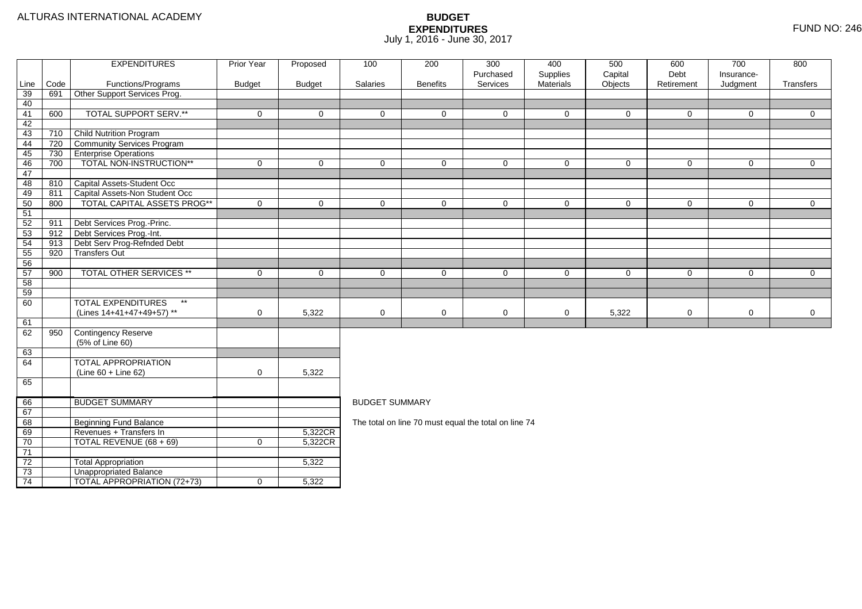| Debt<br>Purchased<br>Supplies<br>Capital<br>Insurance-<br>Code<br>Services<br>Materials<br>Objects<br>Retirement<br>Line<br>Functions/Programs<br><b>Budget</b><br><b>Budget</b><br>Salaries<br><b>Benefits</b><br>Judgment<br>Other Support Services Prog.<br>39<br>691<br>40<br><b>TOTAL SUPPORT SERV.**</b><br>600<br>41<br>$\mathbf 0$<br>$\mathbf 0$<br>$\mathbf 0$<br>$\mathbf 0$<br>$\overline{0}$<br>0<br>0<br>$\mathbf 0$<br>$\mathbf 0$<br>42<br>Child Nutrition Program<br>43<br>710<br>Community Services Program<br>44<br>720<br>730<br><b>Enterprise Operations</b><br>45<br>TOTAL NON-INSTRUCTION**<br>$\pmb{0}$<br>$\mathsf{O}$<br>$\overline{0}$<br>46<br>700<br>$\mathbf 0$<br>$\mathbf 0$<br>$\mathbf 0$<br>$\mathbf 0$<br>$\mathbf 0$<br>$\mathbf 0$<br>47 | Transfers                                                                                                                |  |  |  |  |  |  |  |
|--------------------------------------------------------------------------------------------------------------------------------------------------------------------------------------------------------------------------------------------------------------------------------------------------------------------------------------------------------------------------------------------------------------------------------------------------------------------------------------------------------------------------------------------------------------------------------------------------------------------------------------------------------------------------------------------------------------------------------------------------------------------------------|--------------------------------------------------------------------------------------------------------------------------|--|--|--|--|--|--|--|
|                                                                                                                                                                                                                                                                                                                                                                                                                                                                                                                                                                                                                                                                                                                                                                                |                                                                                                                          |  |  |  |  |  |  |  |
|                                                                                                                                                                                                                                                                                                                                                                                                                                                                                                                                                                                                                                                                                                                                                                                |                                                                                                                          |  |  |  |  |  |  |  |
|                                                                                                                                                                                                                                                                                                                                                                                                                                                                                                                                                                                                                                                                                                                                                                                |                                                                                                                          |  |  |  |  |  |  |  |
|                                                                                                                                                                                                                                                                                                                                                                                                                                                                                                                                                                                                                                                                                                                                                                                | $\mathbf 0$                                                                                                              |  |  |  |  |  |  |  |
|                                                                                                                                                                                                                                                                                                                                                                                                                                                                                                                                                                                                                                                                                                                                                                                |                                                                                                                          |  |  |  |  |  |  |  |
|                                                                                                                                                                                                                                                                                                                                                                                                                                                                                                                                                                                                                                                                                                                                                                                |                                                                                                                          |  |  |  |  |  |  |  |
|                                                                                                                                                                                                                                                                                                                                                                                                                                                                                                                                                                                                                                                                                                                                                                                |                                                                                                                          |  |  |  |  |  |  |  |
|                                                                                                                                                                                                                                                                                                                                                                                                                                                                                                                                                                                                                                                                                                                                                                                |                                                                                                                          |  |  |  |  |  |  |  |
|                                                                                                                                                                                                                                                                                                                                                                                                                                                                                                                                                                                                                                                                                                                                                                                | $\mathbf 0$                                                                                                              |  |  |  |  |  |  |  |
|                                                                                                                                                                                                                                                                                                                                                                                                                                                                                                                                                                                                                                                                                                                                                                                |                                                                                                                          |  |  |  |  |  |  |  |
| Capital Assets-Student Occ<br>48<br>810                                                                                                                                                                                                                                                                                                                                                                                                                                                                                                                                                                                                                                                                                                                                        |                                                                                                                          |  |  |  |  |  |  |  |
| 49<br>Capital Assets-Non Student Occ<br>811                                                                                                                                                                                                                                                                                                                                                                                                                                                                                                                                                                                                                                                                                                                                    |                                                                                                                          |  |  |  |  |  |  |  |
| <b>TOTAL CAPITAL ASSETS PROG**</b><br>50<br>800<br>$\mathbf 0$<br>$\mathbf 0$<br>$\mathbf{0}$<br>$\Omega$<br>$\mathbf 0$<br>$\mathbf 0$<br>$\mathbf 0$<br>$\mathbf 0$<br>$\mathbf 0$                                                                                                                                                                                                                                                                                                                                                                                                                                                                                                                                                                                           | $\overline{0}$                                                                                                           |  |  |  |  |  |  |  |
| 51                                                                                                                                                                                                                                                                                                                                                                                                                                                                                                                                                                                                                                                                                                                                                                             |                                                                                                                          |  |  |  |  |  |  |  |
| 52<br>Debt Services Prog.-Princ.<br>911<br>Debt Services Prog.-Int.<br>53<br>912                                                                                                                                                                                                                                                                                                                                                                                                                                                                                                                                                                                                                                                                                               |                                                                                                                          |  |  |  |  |  |  |  |
| 54<br>Debt Serv Prog-Refnded Debt<br>913                                                                                                                                                                                                                                                                                                                                                                                                                                                                                                                                                                                                                                                                                                                                       |                                                                                                                          |  |  |  |  |  |  |  |
| 920<br><b>Transfers Out</b><br>55                                                                                                                                                                                                                                                                                                                                                                                                                                                                                                                                                                                                                                                                                                                                              |                                                                                                                          |  |  |  |  |  |  |  |
| 56                                                                                                                                                                                                                                                                                                                                                                                                                                                                                                                                                                                                                                                                                                                                                                             |                                                                                                                          |  |  |  |  |  |  |  |
| 57<br>TOTAL OTHER SERVICES **<br>900<br>$\mathbf 0$<br>$\mathbf 0$                                                                                                                                                                                                                                                                                                                                                                                                                                                                                                                                                                                                                                                                                                             | $\overline{0}$<br>$\mathbf{0}$<br>$\mathbf 0$<br>$\mathbf 0$<br>$\mathbf 0$<br>$\mathbf 0$<br>$\mathbf 0$<br>$\mathbf 0$ |  |  |  |  |  |  |  |
| 58                                                                                                                                                                                                                                                                                                                                                                                                                                                                                                                                                                                                                                                                                                                                                                             |                                                                                                                          |  |  |  |  |  |  |  |
| 59                                                                                                                                                                                                                                                                                                                                                                                                                                                                                                                                                                                                                                                                                                                                                                             |                                                                                                                          |  |  |  |  |  |  |  |
| <b>TOTAL EXPENDITURES</b><br>$\star\star$<br>60                                                                                                                                                                                                                                                                                                                                                                                                                                                                                                                                                                                                                                                                                                                                |                                                                                                                          |  |  |  |  |  |  |  |
| 5,322<br>$\mathbf 0$<br>$\mathbf 0$<br>(Lines 14+41+47+49+57) **<br>$\mathbf 0$<br>0<br>0<br>0<br>5,322<br>$\mathbf 0$                                                                                                                                                                                                                                                                                                                                                                                                                                                                                                                                                                                                                                                         | $\overline{0}$                                                                                                           |  |  |  |  |  |  |  |
| 61                                                                                                                                                                                                                                                                                                                                                                                                                                                                                                                                                                                                                                                                                                                                                                             |                                                                                                                          |  |  |  |  |  |  |  |
| Contingency Reserve<br>62<br>950                                                                                                                                                                                                                                                                                                                                                                                                                                                                                                                                                                                                                                                                                                                                               |                                                                                                                          |  |  |  |  |  |  |  |
| (5% of Line 60)                                                                                                                                                                                                                                                                                                                                                                                                                                                                                                                                                                                                                                                                                                                                                                |                                                                                                                          |  |  |  |  |  |  |  |
| 63                                                                                                                                                                                                                                                                                                                                                                                                                                                                                                                                                                                                                                                                                                                                                                             |                                                                                                                          |  |  |  |  |  |  |  |
| <b>TOTAL APPROPRIATION</b><br>64                                                                                                                                                                                                                                                                                                                                                                                                                                                                                                                                                                                                                                                                                                                                               |                                                                                                                          |  |  |  |  |  |  |  |
| $\mathbf 0$<br>5,322<br>(Line 60 + Line 62)                                                                                                                                                                                                                                                                                                                                                                                                                                                                                                                                                                                                                                                                                                                                    |                                                                                                                          |  |  |  |  |  |  |  |
| 65                                                                                                                                                                                                                                                                                                                                                                                                                                                                                                                                                                                                                                                                                                                                                                             |                                                                                                                          |  |  |  |  |  |  |  |
|                                                                                                                                                                                                                                                                                                                                                                                                                                                                                                                                                                                                                                                                                                                                                                                |                                                                                                                          |  |  |  |  |  |  |  |
| <b>BUDGET SUMMARY</b><br><b>BUDGET SUMMARY</b><br>66                                                                                                                                                                                                                                                                                                                                                                                                                                                                                                                                                                                                                                                                                                                           |                                                                                                                          |  |  |  |  |  |  |  |
| 67<br>Beginning Fund Balance<br>68                                                                                                                                                                                                                                                                                                                                                                                                                                                                                                                                                                                                                                                                                                                                             |                                                                                                                          |  |  |  |  |  |  |  |
| The total on line 70 must equal the total on line 74<br>Revenues + Transfers In<br>69<br>5,322CR                                                                                                                                                                                                                                                                                                                                                                                                                                                                                                                                                                                                                                                                               |                                                                                                                          |  |  |  |  |  |  |  |
| 70<br>TOTAL REVENUE (68 + 69)<br>5,322CR<br>$\mathbf 0$                                                                                                                                                                                                                                                                                                                                                                                                                                                                                                                                                                                                                                                                                                                        |                                                                                                                          |  |  |  |  |  |  |  |
| 71                                                                                                                                                                                                                                                                                                                                                                                                                                                                                                                                                                                                                                                                                                                                                                             |                                                                                                                          |  |  |  |  |  |  |  |
| $\overline{72}$<br><b>Total Appropriation</b><br>5,322                                                                                                                                                                                                                                                                                                                                                                                                                                                                                                                                                                                                                                                                                                                         |                                                                                                                          |  |  |  |  |  |  |  |
| $\overline{73}$<br><b>Unappropriated Balance</b>                                                                                                                                                                                                                                                                                                                                                                                                                                                                                                                                                                                                                                                                                                                               |                                                                                                                          |  |  |  |  |  |  |  |
| <b>TOTAL APPROPRIATION (72+73)</b><br>74<br>5,322<br>$\mathbf 0$                                                                                                                                                                                                                                                                                                                                                                                                                                                                                                                                                                                                                                                                                                               |                                                                                                                          |  |  |  |  |  |  |  |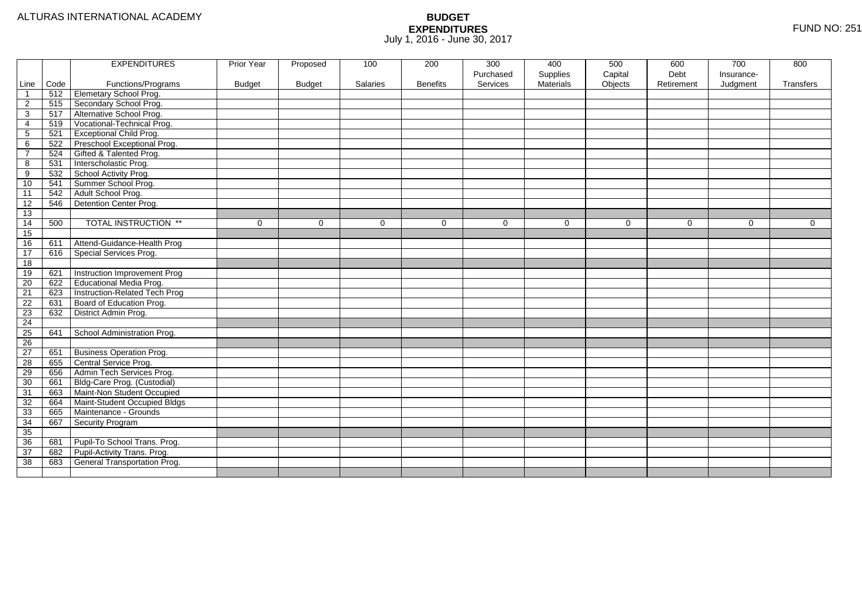|                 |      | <b>EXPENDITURES</b>                 | Prior Year    | Proposed      | 100      | 200             | 300       | 400       | 500     | 600        | 700        | 800         |
|-----------------|------|-------------------------------------|---------------|---------------|----------|-----------------|-----------|-----------|---------|------------|------------|-------------|
|                 |      |                                     |               |               |          |                 | Purchased | Supplies  | Capital | Debt       | Insurance- |             |
| Line            | Code | Functions/Programs                  | <b>Budget</b> | <b>Budget</b> | Salaries | <b>Benefits</b> | Services  | Materials | Objects | Retirement | Judgment   | Transfers   |
| $\mathbf{1}$    | 512  | Elemetary School Prog.              |               |               |          |                 |           |           |         |            |            |             |
| $\overline{2}$  | 515  | Secondary School Prog.              |               |               |          |                 |           |           |         |            |            |             |
| 3               | 517  | Alternative School Prog.            |               |               |          |                 |           |           |         |            |            |             |
| 4               | 519  | Vocational-Technical Prog.          |               |               |          |                 |           |           |         |            |            |             |
| 5               | 521  | <b>Exceptional Child Prog.</b>      |               |               |          |                 |           |           |         |            |            |             |
| 6               | 522  | Preschool Exceptional Prog.         |               |               |          |                 |           |           |         |            |            |             |
| $\overline{7}$  | 524  | Gifted & Talented Prog.             |               |               |          |                 |           |           |         |            |            |             |
| 8               | 531  | Interscholastic Prog.               |               |               |          |                 |           |           |         |            |            |             |
| 9               | 532  | School Activity Prog.               |               |               |          |                 |           |           |         |            |            |             |
| 10              | 541  | Summer School Prog.                 |               |               |          |                 |           |           |         |            |            |             |
| 11              | 542  | Adult School Prog.                  |               |               |          |                 |           |           |         |            |            |             |
| 12              | 546  | Detention Center Prog.              |               |               |          |                 |           |           |         |            |            |             |
| 13              |      |                                     |               |               |          |                 |           |           |         |            |            |             |
| 14              | 500  | <b>TOTAL INSTRUCTION **</b>         | $\mathbf 0$   | $\Omega$      | $\Omega$ | $\mathbf 0$     | 0         | $\Omega$  | 0       | $\Omega$   | 0          | $\mathbf 0$ |
| 15              |      |                                     |               |               |          |                 |           |           |         |            |            |             |
| 16              | 611  | Attend-Guidance-Health Prog         |               |               |          |                 |           |           |         |            |            |             |
| 17              | 616  | Special Services Prog.              |               |               |          |                 |           |           |         |            |            |             |
| 18              |      |                                     |               |               |          |                 |           |           |         |            |            |             |
| 19              | 621  | Instruction Improvement Prog        |               |               |          |                 |           |           |         |            |            |             |
| $\overline{20}$ | 622  | <b>Educational Media Prog.</b>      |               |               |          |                 |           |           |         |            |            |             |
| 21              | 623  | Instruction-Related Tech Prog       |               |               |          |                 |           |           |         |            |            |             |
| $\overline{22}$ | 631  | Board of Education Prog.            |               |               |          |                 |           |           |         |            |            |             |
| $\overline{23}$ | 632  | District Admin Prog.                |               |               |          |                 |           |           |         |            |            |             |
| $\overline{24}$ |      |                                     |               |               |          |                 |           |           |         |            |            |             |
| $\overline{25}$ | 641  | School Administration Prog.         |               |               |          |                 |           |           |         |            |            |             |
| 26              |      |                                     |               |               |          |                 |           |           |         |            |            |             |
| $\overline{27}$ | 651  | <b>Business Operation Prog.</b>     |               |               |          |                 |           |           |         |            |            |             |
| 28              | 655  | Central Service Prog.               |               |               |          |                 |           |           |         |            |            |             |
| 29              | 656  | Admin Tech Services Prog.           |               |               |          |                 |           |           |         |            |            |             |
| 30              | 661  | Bldg-Care Prog. (Custodial)         |               |               |          |                 |           |           |         |            |            |             |
| 31              | 663  | Maint-Non Student Occupied          |               |               |          |                 |           |           |         |            |            |             |
| 32              | 664  | Maint-Student Occupied Bldgs        |               |               |          |                 |           |           |         |            |            |             |
| 33              | 665  | Maintenance - Grounds               |               |               |          |                 |           |           |         |            |            |             |
| 34              | 667  | Security Program                    |               |               |          |                 |           |           |         |            |            |             |
| $\overline{35}$ |      |                                     |               |               |          |                 |           |           |         |            |            |             |
| 36              | 681  | Pupil-To School Trans. Prog.        |               |               |          |                 |           |           |         |            |            |             |
| 37              | 682  | Pupil-Activity Trans. Prog.         |               |               |          |                 |           |           |         |            |            |             |
| 38              | 683  | <b>General Transportation Prog.</b> |               |               |          |                 |           |           |         |            |            |             |
|                 |      |                                     |               |               |          |                 |           |           |         |            |            |             |
|                 |      |                                     |               |               |          |                 |           |           |         |            |            |             |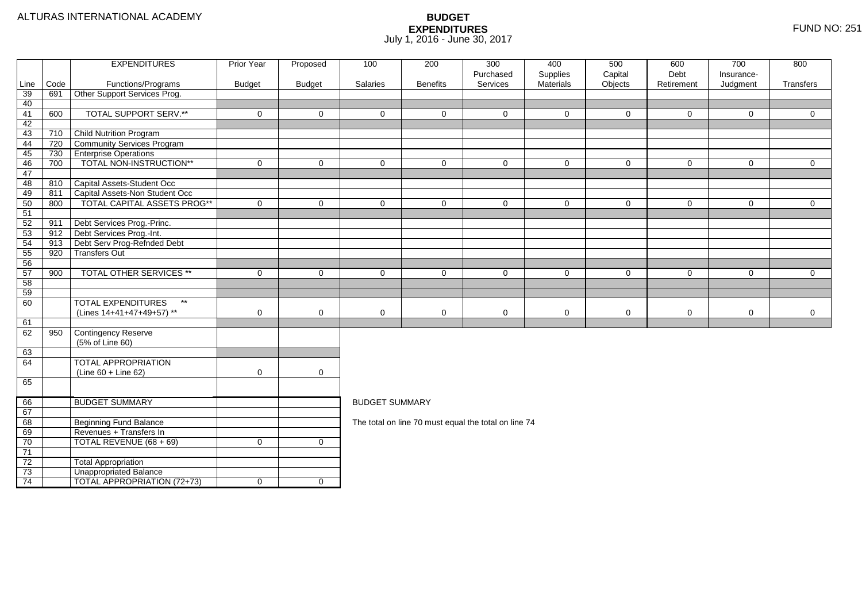|          |      | <b>EXPENDITURES</b>                       | <b>Prior Year</b> | Proposed            | 100                                                                                                           | 200             | 300                                                  | 400                   | 500                | 600                | 700                    | 800            |  |  |
|----------|------|-------------------------------------------|-------------------|---------------------|---------------------------------------------------------------------------------------------------------------|-----------------|------------------------------------------------------|-----------------------|--------------------|--------------------|------------------------|----------------|--|--|
| Line     | Code | Functions/Programs                        | <b>Budget</b>     | <b>Budget</b>       | Salaries                                                                                                      | <b>Benefits</b> | Purchased<br>Services                                | Supplies<br>Materials | Capital<br>Objects | Debt<br>Retirement | Insurance-<br>Judgment | Transfers      |  |  |
| 39       | 691  | Other Support Services Prog.              |                   |                     |                                                                                                               |                 |                                                      |                       |                    |                    |                        |                |  |  |
| 40       |      |                                           |                   |                     |                                                                                                               |                 |                                                      |                       |                    |                    |                        |                |  |  |
| 41       | 600  | <b>TOTAL SUPPORT SERV.**</b>              | $\mathbf 0$       | $\mathbf{0}$        | $\Omega$                                                                                                      | $\Omega$        | $\Omega$                                             | $\Omega$              | $\mathbf{0}$       | $\mathbf 0$        | $\Omega$               | $\overline{0}$ |  |  |
| 42       |      |                                           |                   |                     |                                                                                                               |                 |                                                      |                       |                    |                    |                        |                |  |  |
| 43       | 710  | <b>Child Nutrition Program</b>            |                   |                     |                                                                                                               |                 |                                                      |                       |                    |                    |                        |                |  |  |
| 44       | 720  | Community Services Program                |                   |                     |                                                                                                               |                 |                                                      |                       |                    |                    |                        |                |  |  |
| 45       | 730  | <b>Enterprise Operations</b>              |                   |                     |                                                                                                               |                 |                                                      |                       |                    |                    |                        |                |  |  |
| 46       | 700  | TOTAL NON-INSTRUCTION**                   | $\mathbf 0$       | $\mathbf 0$         | $\mathbf 0$                                                                                                   | $\Omega$        | $\mathbf 0$                                          | $\Omega$              | $\mathbf 0$        | $\mathbf 0$        | $\mathbf 0$            | $\overline{0}$ |  |  |
| 47       |      |                                           |                   |                     |                                                                                                               |                 |                                                      |                       |                    |                    |                        |                |  |  |
| 48       | 810  | Capital Assets-Student Occ                |                   |                     |                                                                                                               |                 |                                                      |                       |                    |                    |                        |                |  |  |
| 49       | 811  | Capital Assets-Non Student Occ            |                   |                     |                                                                                                               |                 |                                                      |                       |                    |                    |                        |                |  |  |
| 50       | 800  | TOTAL CAPITAL ASSETS PROG**               | $\Omega$          | $\overline{0}$      | $\Omega$                                                                                                      | $\Omega$        | $\Omega$                                             | $\Omega$              | $\mathbf 0$        | $\mathbf 0$        | $\mathbf 0$            | $\overline{0}$ |  |  |
| 51       |      |                                           |                   |                     |                                                                                                               |                 |                                                      |                       |                    |                    |                        |                |  |  |
| 52       | 911  | Debt Services Prog.-Princ.                |                   |                     |                                                                                                               |                 |                                                      |                       |                    |                    |                        |                |  |  |
| 53       | 912  | Debt Services Prog.-Int.                  |                   |                     |                                                                                                               |                 |                                                      |                       |                    |                    |                        |                |  |  |
| 54       | 913  | Debt Serv Prog-Refnded Debt               |                   |                     |                                                                                                               |                 |                                                      |                       |                    |                    |                        |                |  |  |
| 55       | 920  | <b>Transfers Out</b>                      |                   |                     |                                                                                                               |                 |                                                      |                       |                    |                    |                        |                |  |  |
| 56       |      | TOTAL OTHER SERVICES **                   |                   |                     |                                                                                                               |                 |                                                      |                       |                    |                    |                        |                |  |  |
| 57<br>58 | 900  |                                           | $\mathbf 0$       | $\mathbf 0$         | $\overline{0}$<br>$\mathbf 0$<br>$\mathbf 0$<br>$\mathbf 0$<br>$\mathbf 0$<br>$\mathbf 0$<br>0<br>$\mathbf 0$ |                 |                                                      |                       |                    |                    |                        |                |  |  |
| 59       |      |                                           |                   |                     |                                                                                                               |                 |                                                      |                       |                    |                    |                        |                |  |  |
| 60       |      | <b>TOTAL EXPENDITURES</b><br>$\star\star$ |                   |                     |                                                                                                               |                 |                                                      |                       |                    |                    |                        |                |  |  |
|          |      | (Lines 14+41+47+49+57) **                 | 0                 | $\mathbf 0$         | $\mathbf 0$                                                                                                   | 0               | 0                                                    | 0                     | $\mathbf 0$        | $\mathbf 0$        | 0                      | $\mathbf 0$    |  |  |
| 61       |      |                                           |                   |                     |                                                                                                               |                 |                                                      |                       |                    |                    |                        |                |  |  |
| 62       | 950  | Contingency Reserve                       |                   |                     |                                                                                                               |                 |                                                      |                       |                    |                    |                        |                |  |  |
|          |      | (5% of Line 60)                           |                   |                     |                                                                                                               |                 |                                                      |                       |                    |                    |                        |                |  |  |
| 63       |      |                                           |                   |                     |                                                                                                               |                 |                                                      |                       |                    |                    |                        |                |  |  |
| 64       |      | <b>TOTAL APPROPRIATION</b>                |                   |                     |                                                                                                               |                 |                                                      |                       |                    |                    |                        |                |  |  |
|          |      | $(Line 60 + Line 62)$                     | $\mathbf 0$       | $\mathsf{O}\xspace$ |                                                                                                               |                 |                                                      |                       |                    |                    |                        |                |  |  |
| 65       |      |                                           |                   |                     |                                                                                                               |                 |                                                      |                       |                    |                    |                        |                |  |  |
|          |      |                                           |                   |                     |                                                                                                               |                 |                                                      |                       |                    |                    |                        |                |  |  |
| 66       |      | <b>BUDGET SUMMARY</b>                     |                   |                     | <b>BUDGET SUMMARY</b>                                                                                         |                 |                                                      |                       |                    |                    |                        |                |  |  |
| 67       |      |                                           |                   |                     |                                                                                                               |                 |                                                      |                       |                    |                    |                        |                |  |  |
| 68       |      | <b>Beginning Fund Balance</b>             |                   |                     |                                                                                                               |                 | The total on line 70 must equal the total on line 74 |                       |                    |                    |                        |                |  |  |
| 69       |      | Revenues + Transfers In                   |                   |                     |                                                                                                               |                 |                                                      |                       |                    |                    |                        |                |  |  |
| 70       |      | TOTAL REVENUE (68 + 69)                   | $\mathbf 0$       | $\mathbf 0$         |                                                                                                               |                 |                                                      |                       |                    |                    |                        |                |  |  |
| 71       |      |                                           |                   |                     |                                                                                                               |                 |                                                      |                       |                    |                    |                        |                |  |  |
| 72       |      | <b>Total Appropriation</b>                |                   |                     |                                                                                                               |                 |                                                      |                       |                    |                    |                        |                |  |  |
| 73       |      | <b>Unappropriated Balance</b>             |                   |                     |                                                                                                               |                 |                                                      |                       |                    |                    |                        |                |  |  |
| 74       |      | TOTAL APPROPRIATION (72+73)               | $\mathbf 0$       | $\overline{0}$      |                                                                                                               |                 |                                                      |                       |                    |                    |                        |                |  |  |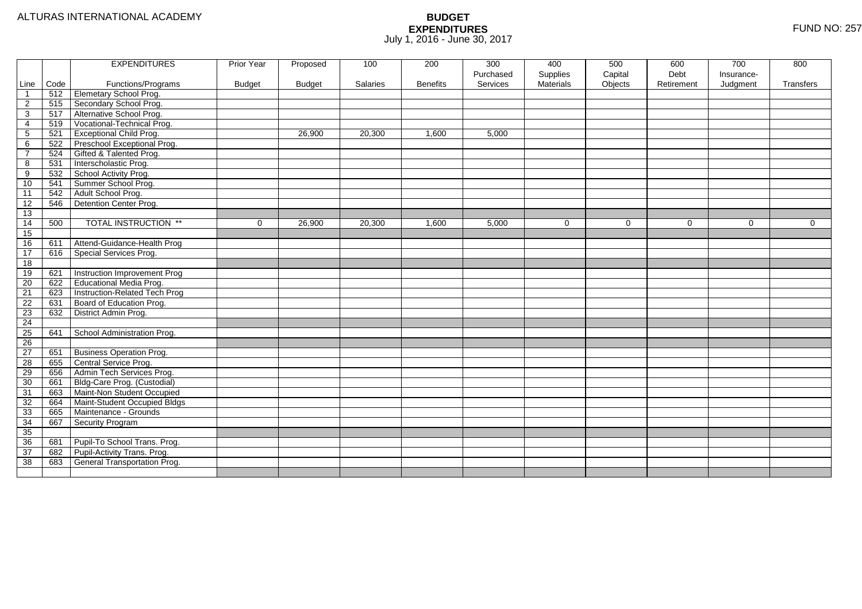|                 |      | <b>EXPENDITURES</b>             | Prior Year    | Proposed      | 100      | 200             | 300<br>Purchased | 400<br>Supplies | 500<br>Capital | 600<br>Debt | 700<br>Insurance- | 800         |
|-----------------|------|---------------------------------|---------------|---------------|----------|-----------------|------------------|-----------------|----------------|-------------|-------------------|-------------|
| Line            | Code | Functions/Programs              | <b>Budget</b> | <b>Budget</b> | Salaries | <b>Benefits</b> | Services         | Materials       | Objects        | Retirement  | Judgment          | Transfers   |
| $\overline{1}$  | 512  | Elemetary School Prog.          |               |               |          |                 |                  |                 |                |             |                   |             |
| $\overline{c}$  | 515  | Secondary School Prog.          |               |               |          |                 |                  |                 |                |             |                   |             |
| 3               | 517  | Alternative School Prog.        |               |               |          |                 |                  |                 |                |             |                   |             |
| 4               | 519  | Vocational-Technical Prog.      |               |               |          |                 |                  |                 |                |             |                   |             |
| 5               | 521  | <b>Exceptional Child Prog.</b>  |               | 26,900        | 20,300   | 1,600           | 5,000            |                 |                |             |                   |             |
| 6               | 522  | Preschool Exceptional Prog.     |               |               |          |                 |                  |                 |                |             |                   |             |
| $\overline{7}$  | 524  | Gifted & Talented Prog.         |               |               |          |                 |                  |                 |                |             |                   |             |
| 8               | 531  | Interscholastic Prog.           |               |               |          |                 |                  |                 |                |             |                   |             |
| 9               | 532  | School Activity Prog.           |               |               |          |                 |                  |                 |                |             |                   |             |
| 10              | 541  | Summer School Prog.             |               |               |          |                 |                  |                 |                |             |                   |             |
| 11              | 542  | Adult School Prog.              |               |               |          |                 |                  |                 |                |             |                   |             |
| 12              | 546  | Detention Center Prog.          |               |               |          |                 |                  |                 |                |             |                   |             |
| 13              |      |                                 |               |               |          |                 |                  |                 |                |             |                   |             |
| 14              | 500  | <b>TOTAL INSTRUCTION **</b>     | 0             | 26,900        | 20,300   | 1,600           | 5,000            | 0               | 0              | 0           | 0                 | $\mathbf 0$ |
| 15              |      |                                 |               |               |          |                 |                  |                 |                |             |                   |             |
| 16              | 611  | Attend-Guidance-Health Prog     |               |               |          |                 |                  |                 |                |             |                   |             |
| 17              | 616  | Special Services Prog.          |               |               |          |                 |                  |                 |                |             |                   |             |
| 18              |      |                                 |               |               |          |                 |                  |                 |                |             |                   |             |
| 19              | 621  | Instruction Improvement Prog    |               |               |          |                 |                  |                 |                |             |                   |             |
| $\overline{20}$ | 622  | Educational Media Prog.         |               |               |          |                 |                  |                 |                |             |                   |             |
| 21              | 623  | Instruction-Related Tech Prog   |               |               |          |                 |                  |                 |                |             |                   |             |
| 22              | 631  | Board of Education Prog.        |               |               |          |                 |                  |                 |                |             |                   |             |
| 23              | 632  | District Admin Prog.            |               |               |          |                 |                  |                 |                |             |                   |             |
| $\overline{24}$ |      |                                 |               |               |          |                 |                  |                 |                |             |                   |             |
| 25              | 641  | School Administration Prog.     |               |               |          |                 |                  |                 |                |             |                   |             |
| 26              |      |                                 |               |               |          |                 |                  |                 |                |             |                   |             |
| 27              | 651  | <b>Business Operation Prog.</b> |               |               |          |                 |                  |                 |                |             |                   |             |
| 28              | 655  | Central Service Prog.           |               |               |          |                 |                  |                 |                |             |                   |             |
| 29              | 656  | Admin Tech Services Prog.       |               |               |          |                 |                  |                 |                |             |                   |             |
| 30              | 661  | Bldg-Care Prog. (Custodial)     |               |               |          |                 |                  |                 |                |             |                   |             |
| 31              | 663  | Maint-Non Student Occupied      |               |               |          |                 |                  |                 |                |             |                   |             |
| 32              | 664  | Maint-Student Occupied Bldgs    |               |               |          |                 |                  |                 |                |             |                   |             |
| 33              | 665  | Maintenance - Grounds           |               |               |          |                 |                  |                 |                |             |                   |             |
| 34              | 667  | Security Program                |               |               |          |                 |                  |                 |                |             |                   |             |
| 35              |      |                                 |               |               |          |                 |                  |                 |                |             |                   |             |
| 36              | 681  | Pupil-To School Trans. Prog.    |               |               |          |                 |                  |                 |                |             |                   |             |
| 37              | 682  | Pupil-Activity Trans. Prog.     |               |               |          |                 |                  |                 |                |             |                   |             |
| 38              | 683  | General Transportation Prog.    |               |               |          |                 |                  |                 |                |             |                   |             |
|                 |      |                                 |               |               |          |                 |                  |                 |                |             |                   |             |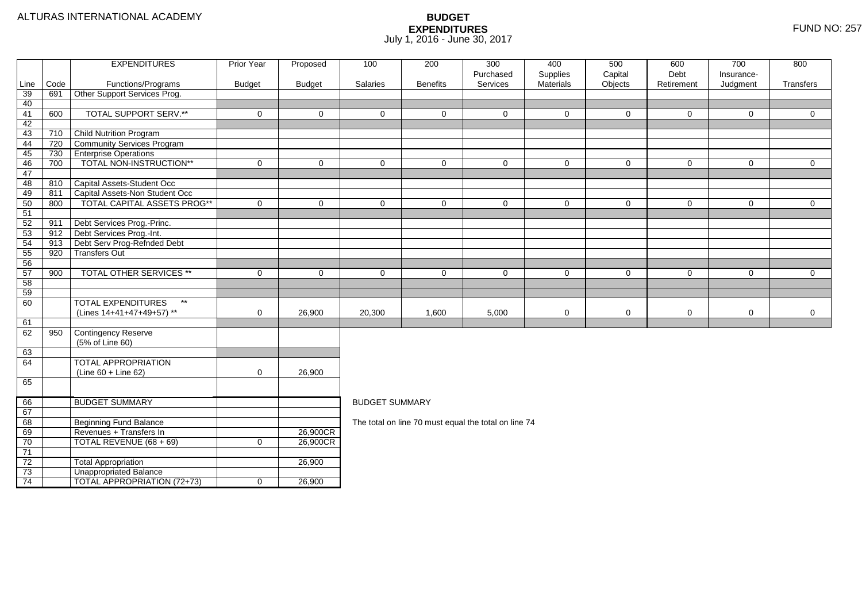| Code<br>Objects<br>Line<br>Functions/Programs<br><b>Budget</b><br><b>Budget</b><br>Salaries<br><b>Benefits</b><br>Services<br><b>Materials</b><br>Retirement<br>Judgment<br>Transfers<br>Other Support Services Prog.<br>39<br>691<br>40<br><b>TOTAL SUPPORT SERV.**</b><br>600<br>41<br>$\mathbf 0$<br>$\mathbf 0$<br>$\mathbf 0$<br>$\mathbf 0$<br>$\overline{0}$<br>$\overline{0}$<br>0<br>0<br>$\mathbf 0$<br>$\mathbf 0$<br>42<br><b>Child Nutrition Program</b><br>43<br>710<br>Community Services Program<br>44<br>720<br><b>Enterprise Operations</b><br>730<br>45<br>TOTAL NON-INSTRUCTION**<br>46<br>700<br>$\mathbf 0$<br>$\mathbf 0$<br>$\mathbf{0}$<br>$\mathbf 0$<br>$\mathbf 0$<br>$\mathbf 0$<br>0<br>$\mathbf 0$<br>0<br>0<br>47<br>Capital Assets-Student Occ<br>48<br>810<br>Capital Assets-Non Student Occ<br>49<br>811<br><b>TOTAL CAPITAL ASSETS PROG**</b><br>50<br>$\mathbf 0$<br>$\mathbf 0$<br>$\mathbf 0$<br>$\overline{0}$<br>$\overline{0}$<br>800<br>$\mathbf 0$<br>$\mathbf 0$<br>$\mathbf 0$<br>$\mathbf 0$<br>$\mathbf 0$<br>51<br>Debt Services Prog.-Princ.<br>52<br>911<br>Debt Services Prog.-Int.<br>53<br>912<br>54<br>Debt Serv Prog-Refnded Debt<br>913<br>55<br>920<br><b>Transfers Out</b><br>56<br>57<br>TOTAL OTHER SERVICES **<br>900<br>$\mathbf 0$<br>$\mathbf 0$<br>$\mathbf 0$<br>$\mathbf 0$<br>$\mathbf 0$<br>$\overline{0}$<br>$\mathbf 0$<br>0<br>0<br>0<br>58<br>59<br><b>TOTAL EXPENDITURES</b><br>$\star\star$<br>60<br>(Lines 14+41+47+49+57) **<br>$\mathbf 0$<br>20,300<br>5,000<br>$\mathbf 0$<br>$\mathbf 0$<br>$\mathbf 0$<br>$\mathbf 0$<br>$\overline{0}$<br>26,900<br>1,600<br>61<br>Contingency Reserve<br>62<br>950<br>(5% of Line 60)<br>63<br>64<br>TOTAL APPROPRIATION<br>(Line 60 + Line 62)<br>$\mathbf 0$<br>26,900<br>65<br><b>BUDGET SUMMARY</b><br>66<br><b>BUDGET SUMMARY</b><br>67<br>Beginning Fund Balance<br>68<br>The total on line 70 must equal the total on line 74<br>69<br>Revenues + Transfers In<br>26,900CR<br>70<br>TOTAL REVENUE (68 + 69)<br>26,900CR<br>$\mathbf 0$<br>71<br>$\overline{72}$<br><b>Total Appropriation</b><br>26,900<br>$\overline{73}$<br><b>Unappropriated Balance</b> |    | <b>EXPENDITURES</b>                | Prior Year  | Proposed | 100 | 200 | 300<br>Purchased | 400      | 500     | 600<br>Debt | 700<br>Insurance- | 800 |  |
|-----------------------------------------------------------------------------------------------------------------------------------------------------------------------------------------------------------------------------------------------------------------------------------------------------------------------------------------------------------------------------------------------------------------------------------------------------------------------------------------------------------------------------------------------------------------------------------------------------------------------------------------------------------------------------------------------------------------------------------------------------------------------------------------------------------------------------------------------------------------------------------------------------------------------------------------------------------------------------------------------------------------------------------------------------------------------------------------------------------------------------------------------------------------------------------------------------------------------------------------------------------------------------------------------------------------------------------------------------------------------------------------------------------------------------------------------------------------------------------------------------------------------------------------------------------------------------------------------------------------------------------------------------------------------------------------------------------------------------------------------------------------------------------------------------------------------------------------------------------------------------------------------------------------------------------------------------------------------------------------------------------------------------------------------------------------------------------------------------------------------------------------------------------------------------------------|----|------------------------------------|-------------|----------|-----|-----|------------------|----------|---------|-------------|-------------------|-----|--|
|                                                                                                                                                                                                                                                                                                                                                                                                                                                                                                                                                                                                                                                                                                                                                                                                                                                                                                                                                                                                                                                                                                                                                                                                                                                                                                                                                                                                                                                                                                                                                                                                                                                                                                                                                                                                                                                                                                                                                                                                                                                                                                                                                                                         |    |                                    |             |          |     |     |                  | Supplies | Capital |             |                   |     |  |
|                                                                                                                                                                                                                                                                                                                                                                                                                                                                                                                                                                                                                                                                                                                                                                                                                                                                                                                                                                                                                                                                                                                                                                                                                                                                                                                                                                                                                                                                                                                                                                                                                                                                                                                                                                                                                                                                                                                                                                                                                                                                                                                                                                                         |    |                                    |             |          |     |     |                  |          |         |             |                   |     |  |
|                                                                                                                                                                                                                                                                                                                                                                                                                                                                                                                                                                                                                                                                                                                                                                                                                                                                                                                                                                                                                                                                                                                                                                                                                                                                                                                                                                                                                                                                                                                                                                                                                                                                                                                                                                                                                                                                                                                                                                                                                                                                                                                                                                                         |    |                                    |             |          |     |     |                  |          |         |             |                   |     |  |
|                                                                                                                                                                                                                                                                                                                                                                                                                                                                                                                                                                                                                                                                                                                                                                                                                                                                                                                                                                                                                                                                                                                                                                                                                                                                                                                                                                                                                                                                                                                                                                                                                                                                                                                                                                                                                                                                                                                                                                                                                                                                                                                                                                                         |    |                                    |             |          |     |     |                  |          |         |             |                   |     |  |
|                                                                                                                                                                                                                                                                                                                                                                                                                                                                                                                                                                                                                                                                                                                                                                                                                                                                                                                                                                                                                                                                                                                                                                                                                                                                                                                                                                                                                                                                                                                                                                                                                                                                                                                                                                                                                                                                                                                                                                                                                                                                                                                                                                                         |    |                                    |             |          |     |     |                  |          |         |             |                   |     |  |
|                                                                                                                                                                                                                                                                                                                                                                                                                                                                                                                                                                                                                                                                                                                                                                                                                                                                                                                                                                                                                                                                                                                                                                                                                                                                                                                                                                                                                                                                                                                                                                                                                                                                                                                                                                                                                                                                                                                                                                                                                                                                                                                                                                                         |    |                                    |             |          |     |     |                  |          |         |             |                   |     |  |
|                                                                                                                                                                                                                                                                                                                                                                                                                                                                                                                                                                                                                                                                                                                                                                                                                                                                                                                                                                                                                                                                                                                                                                                                                                                                                                                                                                                                                                                                                                                                                                                                                                                                                                                                                                                                                                                                                                                                                                                                                                                                                                                                                                                         |    |                                    |             |          |     |     |                  |          |         |             |                   |     |  |
|                                                                                                                                                                                                                                                                                                                                                                                                                                                                                                                                                                                                                                                                                                                                                                                                                                                                                                                                                                                                                                                                                                                                                                                                                                                                                                                                                                                                                                                                                                                                                                                                                                                                                                                                                                                                                                                                                                                                                                                                                                                                                                                                                                                         |    |                                    |             |          |     |     |                  |          |         |             |                   |     |  |
|                                                                                                                                                                                                                                                                                                                                                                                                                                                                                                                                                                                                                                                                                                                                                                                                                                                                                                                                                                                                                                                                                                                                                                                                                                                                                                                                                                                                                                                                                                                                                                                                                                                                                                                                                                                                                                                                                                                                                                                                                                                                                                                                                                                         |    |                                    |             |          |     |     |                  |          |         |             |                   |     |  |
|                                                                                                                                                                                                                                                                                                                                                                                                                                                                                                                                                                                                                                                                                                                                                                                                                                                                                                                                                                                                                                                                                                                                                                                                                                                                                                                                                                                                                                                                                                                                                                                                                                                                                                                                                                                                                                                                                                                                                                                                                                                                                                                                                                                         |    |                                    |             |          |     |     |                  |          |         |             |                   |     |  |
|                                                                                                                                                                                                                                                                                                                                                                                                                                                                                                                                                                                                                                                                                                                                                                                                                                                                                                                                                                                                                                                                                                                                                                                                                                                                                                                                                                                                                                                                                                                                                                                                                                                                                                                                                                                                                                                                                                                                                                                                                                                                                                                                                                                         |    |                                    |             |          |     |     |                  |          |         |             |                   |     |  |
|                                                                                                                                                                                                                                                                                                                                                                                                                                                                                                                                                                                                                                                                                                                                                                                                                                                                                                                                                                                                                                                                                                                                                                                                                                                                                                                                                                                                                                                                                                                                                                                                                                                                                                                                                                                                                                                                                                                                                                                                                                                                                                                                                                                         |    |                                    |             |          |     |     |                  |          |         |             |                   |     |  |
|                                                                                                                                                                                                                                                                                                                                                                                                                                                                                                                                                                                                                                                                                                                                                                                                                                                                                                                                                                                                                                                                                                                                                                                                                                                                                                                                                                                                                                                                                                                                                                                                                                                                                                                                                                                                                                                                                                                                                                                                                                                                                                                                                                                         |    |                                    |             |          |     |     |                  |          |         |             |                   |     |  |
|                                                                                                                                                                                                                                                                                                                                                                                                                                                                                                                                                                                                                                                                                                                                                                                                                                                                                                                                                                                                                                                                                                                                                                                                                                                                                                                                                                                                                                                                                                                                                                                                                                                                                                                                                                                                                                                                                                                                                                                                                                                                                                                                                                                         |    |                                    |             |          |     |     |                  |          |         |             |                   |     |  |
|                                                                                                                                                                                                                                                                                                                                                                                                                                                                                                                                                                                                                                                                                                                                                                                                                                                                                                                                                                                                                                                                                                                                                                                                                                                                                                                                                                                                                                                                                                                                                                                                                                                                                                                                                                                                                                                                                                                                                                                                                                                                                                                                                                                         |    |                                    |             |          |     |     |                  |          |         |             |                   |     |  |
|                                                                                                                                                                                                                                                                                                                                                                                                                                                                                                                                                                                                                                                                                                                                                                                                                                                                                                                                                                                                                                                                                                                                                                                                                                                                                                                                                                                                                                                                                                                                                                                                                                                                                                                                                                                                                                                                                                                                                                                                                                                                                                                                                                                         |    |                                    |             |          |     |     |                  |          |         |             |                   |     |  |
|                                                                                                                                                                                                                                                                                                                                                                                                                                                                                                                                                                                                                                                                                                                                                                                                                                                                                                                                                                                                                                                                                                                                                                                                                                                                                                                                                                                                                                                                                                                                                                                                                                                                                                                                                                                                                                                                                                                                                                                                                                                                                                                                                                                         |    |                                    |             |          |     |     |                  |          |         |             |                   |     |  |
|                                                                                                                                                                                                                                                                                                                                                                                                                                                                                                                                                                                                                                                                                                                                                                                                                                                                                                                                                                                                                                                                                                                                                                                                                                                                                                                                                                                                                                                                                                                                                                                                                                                                                                                                                                                                                                                                                                                                                                                                                                                                                                                                                                                         |    |                                    |             |          |     |     |                  |          |         |             |                   |     |  |
|                                                                                                                                                                                                                                                                                                                                                                                                                                                                                                                                                                                                                                                                                                                                                                                                                                                                                                                                                                                                                                                                                                                                                                                                                                                                                                                                                                                                                                                                                                                                                                                                                                                                                                                                                                                                                                                                                                                                                                                                                                                                                                                                                                                         |    |                                    |             |          |     |     |                  |          |         |             |                   |     |  |
|                                                                                                                                                                                                                                                                                                                                                                                                                                                                                                                                                                                                                                                                                                                                                                                                                                                                                                                                                                                                                                                                                                                                                                                                                                                                                                                                                                                                                                                                                                                                                                                                                                                                                                                                                                                                                                                                                                                                                                                                                                                                                                                                                                                         |    |                                    |             |          |     |     |                  |          |         |             |                   |     |  |
|                                                                                                                                                                                                                                                                                                                                                                                                                                                                                                                                                                                                                                                                                                                                                                                                                                                                                                                                                                                                                                                                                                                                                                                                                                                                                                                                                                                                                                                                                                                                                                                                                                                                                                                                                                                                                                                                                                                                                                                                                                                                                                                                                                                         |    |                                    |             |          |     |     |                  |          |         |             |                   |     |  |
|                                                                                                                                                                                                                                                                                                                                                                                                                                                                                                                                                                                                                                                                                                                                                                                                                                                                                                                                                                                                                                                                                                                                                                                                                                                                                                                                                                                                                                                                                                                                                                                                                                                                                                                                                                                                                                                                                                                                                                                                                                                                                                                                                                                         |    |                                    |             |          |     |     |                  |          |         |             |                   |     |  |
|                                                                                                                                                                                                                                                                                                                                                                                                                                                                                                                                                                                                                                                                                                                                                                                                                                                                                                                                                                                                                                                                                                                                                                                                                                                                                                                                                                                                                                                                                                                                                                                                                                                                                                                                                                                                                                                                                                                                                                                                                                                                                                                                                                                         |    |                                    |             |          |     |     |                  |          |         |             |                   |     |  |
|                                                                                                                                                                                                                                                                                                                                                                                                                                                                                                                                                                                                                                                                                                                                                                                                                                                                                                                                                                                                                                                                                                                                                                                                                                                                                                                                                                                                                                                                                                                                                                                                                                                                                                                                                                                                                                                                                                                                                                                                                                                                                                                                                                                         |    |                                    |             |          |     |     |                  |          |         |             |                   |     |  |
|                                                                                                                                                                                                                                                                                                                                                                                                                                                                                                                                                                                                                                                                                                                                                                                                                                                                                                                                                                                                                                                                                                                                                                                                                                                                                                                                                                                                                                                                                                                                                                                                                                                                                                                                                                                                                                                                                                                                                                                                                                                                                                                                                                                         |    |                                    |             |          |     |     |                  |          |         |             |                   |     |  |
|                                                                                                                                                                                                                                                                                                                                                                                                                                                                                                                                                                                                                                                                                                                                                                                                                                                                                                                                                                                                                                                                                                                                                                                                                                                                                                                                                                                                                                                                                                                                                                                                                                                                                                                                                                                                                                                                                                                                                                                                                                                                                                                                                                                         |    |                                    |             |          |     |     |                  |          |         |             |                   |     |  |
|                                                                                                                                                                                                                                                                                                                                                                                                                                                                                                                                                                                                                                                                                                                                                                                                                                                                                                                                                                                                                                                                                                                                                                                                                                                                                                                                                                                                                                                                                                                                                                                                                                                                                                                                                                                                                                                                                                                                                                                                                                                                                                                                                                                         |    |                                    |             |          |     |     |                  |          |         |             |                   |     |  |
|                                                                                                                                                                                                                                                                                                                                                                                                                                                                                                                                                                                                                                                                                                                                                                                                                                                                                                                                                                                                                                                                                                                                                                                                                                                                                                                                                                                                                                                                                                                                                                                                                                                                                                                                                                                                                                                                                                                                                                                                                                                                                                                                                                                         |    |                                    |             |          |     |     |                  |          |         |             |                   |     |  |
|                                                                                                                                                                                                                                                                                                                                                                                                                                                                                                                                                                                                                                                                                                                                                                                                                                                                                                                                                                                                                                                                                                                                                                                                                                                                                                                                                                                                                                                                                                                                                                                                                                                                                                                                                                                                                                                                                                                                                                                                                                                                                                                                                                                         |    |                                    |             |          |     |     |                  |          |         |             |                   |     |  |
|                                                                                                                                                                                                                                                                                                                                                                                                                                                                                                                                                                                                                                                                                                                                                                                                                                                                                                                                                                                                                                                                                                                                                                                                                                                                                                                                                                                                                                                                                                                                                                                                                                                                                                                                                                                                                                                                                                                                                                                                                                                                                                                                                                                         |    |                                    |             |          |     |     |                  |          |         |             |                   |     |  |
|                                                                                                                                                                                                                                                                                                                                                                                                                                                                                                                                                                                                                                                                                                                                                                                                                                                                                                                                                                                                                                                                                                                                                                                                                                                                                                                                                                                                                                                                                                                                                                                                                                                                                                                                                                                                                                                                                                                                                                                                                                                                                                                                                                                         |    |                                    |             |          |     |     |                  |          |         |             |                   |     |  |
|                                                                                                                                                                                                                                                                                                                                                                                                                                                                                                                                                                                                                                                                                                                                                                                                                                                                                                                                                                                                                                                                                                                                                                                                                                                                                                                                                                                                                                                                                                                                                                                                                                                                                                                                                                                                                                                                                                                                                                                                                                                                                                                                                                                         |    |                                    |             |          |     |     |                  |          |         |             |                   |     |  |
|                                                                                                                                                                                                                                                                                                                                                                                                                                                                                                                                                                                                                                                                                                                                                                                                                                                                                                                                                                                                                                                                                                                                                                                                                                                                                                                                                                                                                                                                                                                                                                                                                                                                                                                                                                                                                                                                                                                                                                                                                                                                                                                                                                                         |    |                                    |             |          |     |     |                  |          |         |             |                   |     |  |
|                                                                                                                                                                                                                                                                                                                                                                                                                                                                                                                                                                                                                                                                                                                                                                                                                                                                                                                                                                                                                                                                                                                                                                                                                                                                                                                                                                                                                                                                                                                                                                                                                                                                                                                                                                                                                                                                                                                                                                                                                                                                                                                                                                                         |    |                                    |             |          |     |     |                  |          |         |             |                   |     |  |
|                                                                                                                                                                                                                                                                                                                                                                                                                                                                                                                                                                                                                                                                                                                                                                                                                                                                                                                                                                                                                                                                                                                                                                                                                                                                                                                                                                                                                                                                                                                                                                                                                                                                                                                                                                                                                                                                                                                                                                                                                                                                                                                                                                                         |    |                                    |             |          |     |     |                  |          |         |             |                   |     |  |
|                                                                                                                                                                                                                                                                                                                                                                                                                                                                                                                                                                                                                                                                                                                                                                                                                                                                                                                                                                                                                                                                                                                                                                                                                                                                                                                                                                                                                                                                                                                                                                                                                                                                                                                                                                                                                                                                                                                                                                                                                                                                                                                                                                                         |    |                                    |             |          |     |     |                  |          |         |             |                   |     |  |
|                                                                                                                                                                                                                                                                                                                                                                                                                                                                                                                                                                                                                                                                                                                                                                                                                                                                                                                                                                                                                                                                                                                                                                                                                                                                                                                                                                                                                                                                                                                                                                                                                                                                                                                                                                                                                                                                                                                                                                                                                                                                                                                                                                                         |    |                                    |             |          |     |     |                  |          |         |             |                   |     |  |
|                                                                                                                                                                                                                                                                                                                                                                                                                                                                                                                                                                                                                                                                                                                                                                                                                                                                                                                                                                                                                                                                                                                                                                                                                                                                                                                                                                                                                                                                                                                                                                                                                                                                                                                                                                                                                                                                                                                                                                                                                                                                                                                                                                                         |    |                                    |             |          |     |     |                  |          |         |             |                   |     |  |
|                                                                                                                                                                                                                                                                                                                                                                                                                                                                                                                                                                                                                                                                                                                                                                                                                                                                                                                                                                                                                                                                                                                                                                                                                                                                                                                                                                                                                                                                                                                                                                                                                                                                                                                                                                                                                                                                                                                                                                                                                                                                                                                                                                                         | 74 | <b>TOTAL APPROPRIATION (72+73)</b> | $\mathbf 0$ | 26,900   |     |     |                  |          |         |             |                   |     |  |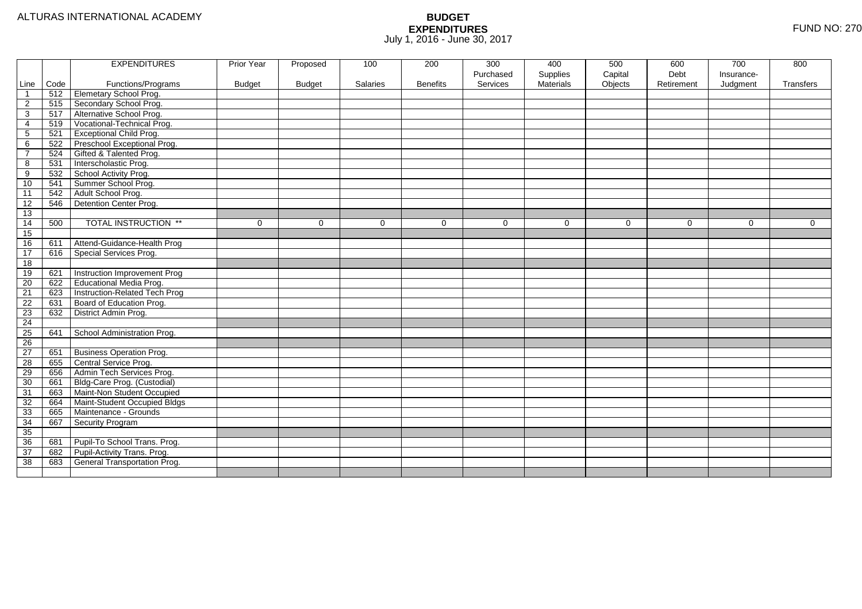|                 |      | <b>EXPENDITURES</b>             | Prior Year    | Proposed      | 100      | 200             | 300       | 400              | 500      | 600        | 700        | 800       |
|-----------------|------|---------------------------------|---------------|---------------|----------|-----------------|-----------|------------------|----------|------------|------------|-----------|
|                 |      |                                 |               |               |          |                 | Purchased | Supplies         | Capital  | Debt       | Insurance- |           |
| Line            | Code | Functions/Programs              | <b>Budget</b> | <b>Budget</b> | Salaries | <b>Benefits</b> | Services  | <b>Materials</b> | Objects  | Retirement | Judgment   | Transfers |
|                 | 512  | <b>Elemetary School Prog.</b>   |               |               |          |                 |           |                  |          |            |            |           |
| $\overline{c}$  | 515  | Secondary School Prog.          |               |               |          |                 |           |                  |          |            |            |           |
| 3               | 517  | Alternative School Prog.        |               |               |          |                 |           |                  |          |            |            |           |
| 4               | 519  | Vocational-Technical Prog.      |               |               |          |                 |           |                  |          |            |            |           |
| 5               | 521  | <b>Exceptional Child Prog.</b>  |               |               |          |                 |           |                  |          |            |            |           |
| 6               | 522  | Preschool Exceptional Prog.     |               |               |          |                 |           |                  |          |            |            |           |
| $\overline{7}$  | 524  | Gifted & Talented Prog.         |               |               |          |                 |           |                  |          |            |            |           |
| 8               | 531  | Interscholastic Prog.           |               |               |          |                 |           |                  |          |            |            |           |
| 9               | 532  | School Activity Prog.           |               |               |          |                 |           |                  |          |            |            |           |
| 10              | 541  | Summer School Prog.             |               |               |          |                 |           |                  |          |            |            |           |
| $\overline{11}$ | 542  | Adult School Prog.              |               |               |          |                 |           |                  |          |            |            |           |
| 12              | 546  | Detention Center Prog.          |               |               |          |                 |           |                  |          |            |            |           |
| 13              |      |                                 |               |               |          |                 |           |                  |          |            |            |           |
| 14              | 500  | <b>TOTAL INSTRUCTION **</b>     | $\Omega$      | $\Omega$      | $\Omega$ | $\Omega$        | $\Omega$  | $\Omega$         | $\Omega$ | $\Omega$   | $\Omega$   | $\Omega$  |
| 15              |      |                                 |               |               |          |                 |           |                  |          |            |            |           |
| 16              | 611  | Attend-Guidance-Health Prog     |               |               |          |                 |           |                  |          |            |            |           |
| 17              | 616  | Special Services Prog.          |               |               |          |                 |           |                  |          |            |            |           |
| 18              |      |                                 |               |               |          |                 |           |                  |          |            |            |           |
| 19              | 621  | Instruction Improvement Prog    |               |               |          |                 |           |                  |          |            |            |           |
| $\overline{20}$ | 622  | Educational Media Prog.         |               |               |          |                 |           |                  |          |            |            |           |
| $\overline{21}$ | 623  | Instruction-Related Tech Prog   |               |               |          |                 |           |                  |          |            |            |           |
| 22              | 631  | Board of Education Prog.        |               |               |          |                 |           |                  |          |            |            |           |
| 23              | 632  | District Admin Prog.            |               |               |          |                 |           |                  |          |            |            |           |
| 24              |      |                                 |               |               |          |                 |           |                  |          |            |            |           |
| 25              | 641  | School Administration Prog.     |               |               |          |                 |           |                  |          |            |            |           |
| 26              |      |                                 |               |               |          |                 |           |                  |          |            |            |           |
| 27              | 651  | <b>Business Operation Prog.</b> |               |               |          |                 |           |                  |          |            |            |           |
| 28              | 655  | Central Service Prog.           |               |               |          |                 |           |                  |          |            |            |           |
| 29              | 656  | Admin Tech Services Prog.       |               |               |          |                 |           |                  |          |            |            |           |
| 30              | 661  | Bldg-Care Prog. (Custodial)     |               |               |          |                 |           |                  |          |            |            |           |
| 31              | 663  | Maint-Non Student Occupied      |               |               |          |                 |           |                  |          |            |            |           |
| 32              | 664  | Maint-Student Occupied Bldgs    |               |               |          |                 |           |                  |          |            |            |           |
| 33              | 665  | Maintenance - Grounds           |               |               |          |                 |           |                  |          |            |            |           |
| 34              | 667  | Security Program                |               |               |          |                 |           |                  |          |            |            |           |
| 35              |      |                                 |               |               |          |                 |           |                  |          |            |            |           |
| 36              | 681  | Pupil-To School Trans. Prog.    |               |               |          |                 |           |                  |          |            |            |           |
| 37              | 682  | Pupil-Activity Trans. Prog.     |               |               |          |                 |           |                  |          |            |            |           |
| 38              | 683  | General Transportation Prog.    |               |               |          |                 |           |                  |          |            |            |           |
|                 |      |                                 |               |               |          |                 |           |                  |          |            |            |           |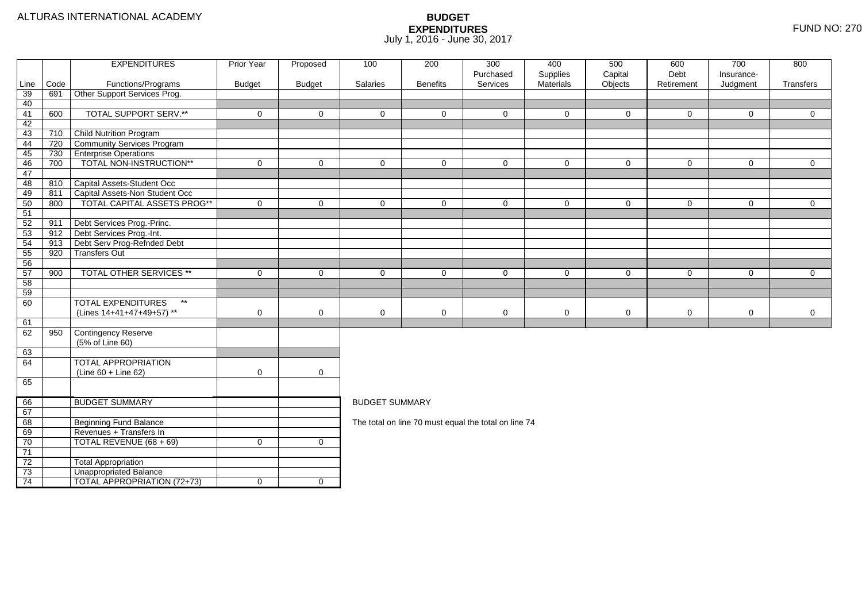|          |      | <b>EXPENDITURES</b>                       | <b>Prior Year</b> | Proposed            | 100                                                                                                           | 200             | 300                                                  | 400                   | 500                | 600                | 700                    | 800            |  |  |
|----------|------|-------------------------------------------|-------------------|---------------------|---------------------------------------------------------------------------------------------------------------|-----------------|------------------------------------------------------|-----------------------|--------------------|--------------------|------------------------|----------------|--|--|
| Line     | Code | Functions/Programs                        | <b>Budget</b>     | <b>Budget</b>       | Salaries                                                                                                      | <b>Benefits</b> | Purchased<br>Services                                | Supplies<br>Materials | Capital<br>Objects | Debt<br>Retirement | Insurance-<br>Judgment | Transfers      |  |  |
| 39       | 691  | Other Support Services Prog.              |                   |                     |                                                                                                               |                 |                                                      |                       |                    |                    |                        |                |  |  |
| 40       |      |                                           |                   |                     |                                                                                                               |                 |                                                      |                       |                    |                    |                        |                |  |  |
| 41       | 600  | <b>TOTAL SUPPORT SERV.**</b>              | $\mathbf 0$       | $\mathbf{0}$        | $\Omega$                                                                                                      | $\Omega$        | $\Omega$                                             | $\Omega$              | $\mathbf{0}$       | $\mathbf 0$        | $\Omega$               | $\overline{0}$ |  |  |
| 42       |      |                                           |                   |                     |                                                                                                               |                 |                                                      |                       |                    |                    |                        |                |  |  |
| 43       | 710  | <b>Child Nutrition Program</b>            |                   |                     |                                                                                                               |                 |                                                      |                       |                    |                    |                        |                |  |  |
| 44       | 720  | Community Services Program                |                   |                     |                                                                                                               |                 |                                                      |                       |                    |                    |                        |                |  |  |
| 45       | 730  | <b>Enterprise Operations</b>              |                   |                     |                                                                                                               |                 |                                                      |                       |                    |                    |                        |                |  |  |
| 46       | 700  | TOTAL NON-INSTRUCTION**                   | $\mathbf 0$       | $\mathbf 0$         | $\mathbf 0$                                                                                                   | $\Omega$        | $\mathbf 0$                                          | $\Omega$              | $\mathbf 0$        | $\mathbf 0$        | $\mathbf 0$            | $\overline{0}$ |  |  |
| 47       |      |                                           |                   |                     |                                                                                                               |                 |                                                      |                       |                    |                    |                        |                |  |  |
| 48       | 810  | Capital Assets-Student Occ                |                   |                     |                                                                                                               |                 |                                                      |                       |                    |                    |                        |                |  |  |
| 49       | 811  | Capital Assets-Non Student Occ            |                   |                     |                                                                                                               |                 |                                                      |                       |                    |                    |                        |                |  |  |
| 50       | 800  | TOTAL CAPITAL ASSETS PROG**               | $\Omega$          | $\overline{0}$      | $\Omega$                                                                                                      | $\Omega$        | $\Omega$                                             | $\Omega$              | $\mathbf 0$        | $\mathbf 0$        | $\mathbf 0$            | $\overline{0}$ |  |  |
| 51       |      |                                           |                   |                     |                                                                                                               |                 |                                                      |                       |                    |                    |                        |                |  |  |
| 52       | 911  | Debt Services Prog.-Princ.                |                   |                     |                                                                                                               |                 |                                                      |                       |                    |                    |                        |                |  |  |
| 53       | 912  | Debt Services Prog.-Int.                  |                   |                     |                                                                                                               |                 |                                                      |                       |                    |                    |                        |                |  |  |
| 54       | 913  | Debt Serv Prog-Refnded Debt               |                   |                     |                                                                                                               |                 |                                                      |                       |                    |                    |                        |                |  |  |
| 55       | 920  | <b>Transfers Out</b>                      |                   |                     |                                                                                                               |                 |                                                      |                       |                    |                    |                        |                |  |  |
| 56       |      | TOTAL OTHER SERVICES **                   |                   |                     |                                                                                                               |                 |                                                      |                       |                    |                    |                        |                |  |  |
| 57<br>58 | 900  |                                           | $\mathbf 0$       | $\mathbf 0$         | $\overline{0}$<br>$\mathbf 0$<br>$\mathbf 0$<br>$\mathbf 0$<br>$\mathbf 0$<br>$\mathbf 0$<br>0<br>$\mathbf 0$ |                 |                                                      |                       |                    |                    |                        |                |  |  |
| 59       |      |                                           |                   |                     |                                                                                                               |                 |                                                      |                       |                    |                    |                        |                |  |  |
| 60       |      | <b>TOTAL EXPENDITURES</b><br>$\star\star$ |                   |                     |                                                                                                               |                 |                                                      |                       |                    |                    |                        |                |  |  |
|          |      | (Lines 14+41+47+49+57) **                 | 0                 | $\mathbf 0$         | $\mathbf 0$                                                                                                   | 0               | 0                                                    | 0                     | $\mathbf 0$        | $\mathbf 0$        | 0                      | $\mathbf 0$    |  |  |
| 61       |      |                                           |                   |                     |                                                                                                               |                 |                                                      |                       |                    |                    |                        |                |  |  |
| 62       | 950  | Contingency Reserve                       |                   |                     |                                                                                                               |                 |                                                      |                       |                    |                    |                        |                |  |  |
|          |      | (5% of Line 60)                           |                   |                     |                                                                                                               |                 |                                                      |                       |                    |                    |                        |                |  |  |
| 63       |      |                                           |                   |                     |                                                                                                               |                 |                                                      |                       |                    |                    |                        |                |  |  |
| 64       |      | <b>TOTAL APPROPRIATION</b>                |                   |                     |                                                                                                               |                 |                                                      |                       |                    |                    |                        |                |  |  |
|          |      | $(Line 60 + Line 62)$                     | $\mathbf 0$       | $\mathsf{O}\xspace$ |                                                                                                               |                 |                                                      |                       |                    |                    |                        |                |  |  |
| 65       |      |                                           |                   |                     |                                                                                                               |                 |                                                      |                       |                    |                    |                        |                |  |  |
|          |      |                                           |                   |                     |                                                                                                               |                 |                                                      |                       |                    |                    |                        |                |  |  |
| 66       |      | <b>BUDGET SUMMARY</b>                     |                   |                     | <b>BUDGET SUMMARY</b>                                                                                         |                 |                                                      |                       |                    |                    |                        |                |  |  |
| 67       |      |                                           |                   |                     |                                                                                                               |                 |                                                      |                       |                    |                    |                        |                |  |  |
| 68       |      | <b>Beginning Fund Balance</b>             |                   |                     |                                                                                                               |                 | The total on line 70 must equal the total on line 74 |                       |                    |                    |                        |                |  |  |
| 69       |      | Revenues + Transfers In                   |                   |                     |                                                                                                               |                 |                                                      |                       |                    |                    |                        |                |  |  |
| 70       |      | TOTAL REVENUE (68 + 69)                   | $\mathbf 0$       | $\mathbf 0$         |                                                                                                               |                 |                                                      |                       |                    |                    |                        |                |  |  |
| 71       |      |                                           |                   |                     |                                                                                                               |                 |                                                      |                       |                    |                    |                        |                |  |  |
| 72       |      | <b>Total Appropriation</b>                |                   |                     |                                                                                                               |                 |                                                      |                       |                    |                    |                        |                |  |  |
| 73       |      | <b>Unappropriated Balance</b>             |                   |                     |                                                                                                               |                 |                                                      |                       |                    |                    |                        |                |  |  |
| 74       |      | TOTAL APPROPRIATION (72+73)               | $\mathbf 0$       | $\overline{0}$      |                                                                                                               |                 |                                                      |                       |                    |                    |                        |                |  |  |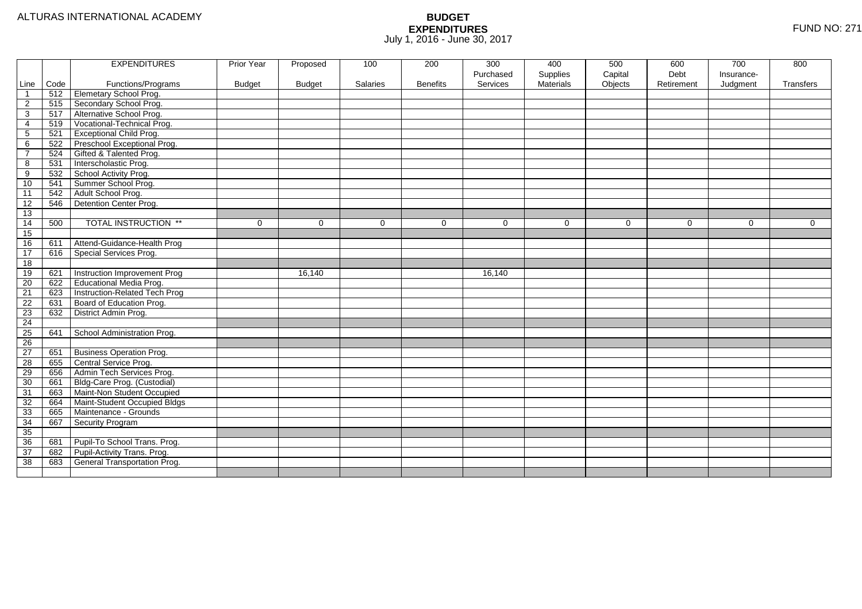|                 |      | <b>EXPENDITURES</b>             | Prior Year    | Proposed      | 100      | 200             | 300         | 400              | 500         | 600        | 700         | 800            |
|-----------------|------|---------------------------------|---------------|---------------|----------|-----------------|-------------|------------------|-------------|------------|-------------|----------------|
|                 |      |                                 |               |               |          |                 | Purchased   | Supplies         | Capital     | Debt       | Insurance-  |                |
| Line            | Code | Functions/Programs              | <b>Budget</b> | <b>Budget</b> | Salaries | <b>Benefits</b> | Services    | <b>Materials</b> | Objects     | Retirement | Judgment    | Transfers      |
| $\overline{1}$  | 512  | Elemetary School Prog.          |               |               |          |                 |             |                  |             |            |             |                |
| $\overline{2}$  | 515  | Secondary School Prog.          |               |               |          |                 |             |                  |             |            |             |                |
| 3               | 517  | Alternative School Prog.        |               |               |          |                 |             |                  |             |            |             |                |
| 4               | 519  | Vocational-Technical Prog.      |               |               |          |                 |             |                  |             |            |             |                |
| 5               | 521  | <b>Exceptional Child Prog.</b>  |               |               |          |                 |             |                  |             |            |             |                |
| 6               | 522  | Preschool Exceptional Prog.     |               |               |          |                 |             |                  |             |            |             |                |
| $\overline{7}$  | 524  | Gifted & Talented Prog.         |               |               |          |                 |             |                  |             |            |             |                |
| 8               | 531  | Interscholastic Prog.           |               |               |          |                 |             |                  |             |            |             |                |
| 9               | 532  | School Activity Prog.           |               |               |          |                 |             |                  |             |            |             |                |
| 10              | 541  | Summer School Prog.             |               |               |          |                 |             |                  |             |            |             |                |
| $\overline{11}$ | 542  | Adult School Prog.              |               |               |          |                 |             |                  |             |            |             |                |
| $\overline{12}$ | 546  | Detention Center Prog.          |               |               |          |                 |             |                  |             |            |             |                |
| 13              |      |                                 |               |               |          |                 |             |                  |             |            |             |                |
| 14              | 500  | <b>TOTAL INSTRUCTION **</b>     | $\mathbf 0$   | $\Omega$      | $\Omega$ | $\mathbf 0$     | $\mathbf 0$ | $\mathbf 0$      | $\mathbf 0$ | $\Omega$   | $\mathbf 0$ | $\overline{0}$ |
| 15              |      |                                 |               |               |          |                 |             |                  |             |            |             |                |
| 16              | 611  | Attend-Guidance-Health Prog     |               |               |          |                 |             |                  |             |            |             |                |
| 17              | 616  | Special Services Prog.          |               |               |          |                 |             |                  |             |            |             |                |
| 18              |      |                                 |               |               |          |                 |             |                  |             |            |             |                |
| 19              | 621  | Instruction Improvement Prog    |               | 16,140        |          |                 | 16,140      |                  |             |            |             |                |
| 20              | 622  | <b>Educational Media Prog.</b>  |               |               |          |                 |             |                  |             |            |             |                |
| 21              | 623  | Instruction-Related Tech Prog   |               |               |          |                 |             |                  |             |            |             |                |
| 22              | 631  | Board of Education Prog.        |               |               |          |                 |             |                  |             |            |             |                |
| 23              | 632  | District Admin Prog.            |               |               |          |                 |             |                  |             |            |             |                |
| 24              |      |                                 |               |               |          |                 |             |                  |             |            |             |                |
| 25              | 641  | School Administration Prog.     |               |               |          |                 |             |                  |             |            |             |                |
| 26              |      |                                 |               |               |          |                 |             |                  |             |            |             |                |
| 27              | 651  | <b>Business Operation Prog.</b> |               |               |          |                 |             |                  |             |            |             |                |
| 28              | 655  | Central Service Prog.           |               |               |          |                 |             |                  |             |            |             |                |
| 29              | 656  | Admin Tech Services Prog.       |               |               |          |                 |             |                  |             |            |             |                |
| 30              | 661  | Bldg-Care Prog. (Custodial)     |               |               |          |                 |             |                  |             |            |             |                |
| 31              | 663  | Maint-Non Student Occupied      |               |               |          |                 |             |                  |             |            |             |                |
| 32              | 664  | Maint-Student Occupied Bldgs    |               |               |          |                 |             |                  |             |            |             |                |
| 33              | 665  | Maintenance - Grounds           |               |               |          |                 |             |                  |             |            |             |                |
| 34              | 667  | Security Program                |               |               |          |                 |             |                  |             |            |             |                |
| 35              |      |                                 |               |               |          |                 |             |                  |             |            |             |                |
| 36              | 681  | Pupil-To School Trans. Prog.    |               |               |          |                 |             |                  |             |            |             |                |
| 37              | 682  | Pupil-Activity Trans. Prog.     |               |               |          |                 |             |                  |             |            |             |                |
| 38              | 683  | General Transportation Prog.    |               |               |          |                 |             |                  |             |            |             |                |
|                 |      |                                 |               |               |          |                 |             |                  |             |            |             |                |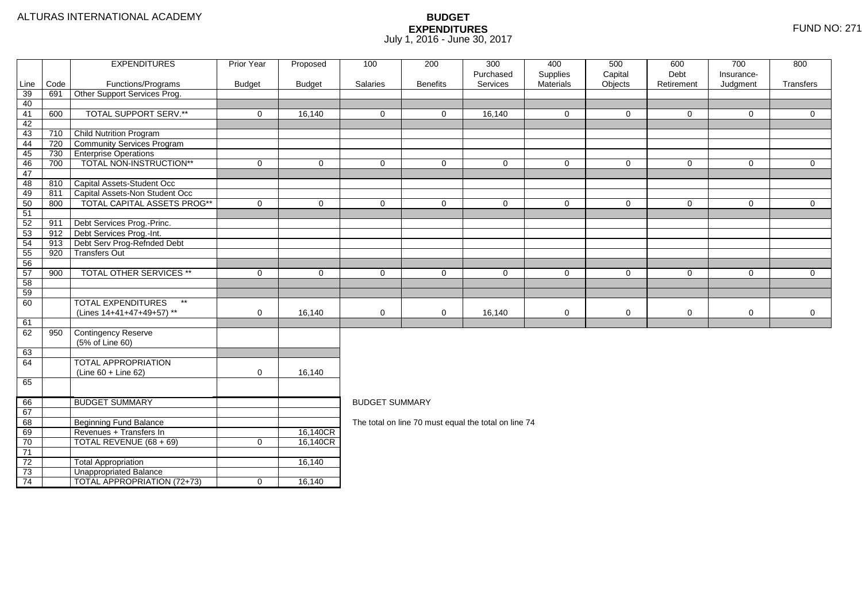#### ALTURAS INTERNATIONAL ACADEMY

|          |            | <b>EXPENDITURES</b>                                    | Prior Year    | Proposed      | 100                                                                                                 | 200             | 300<br>Purchased                                     | 400<br>Supplies | 500<br>Capital | 600<br>Debt    | 700<br>Insurance- | 800            |  |
|----------|------------|--------------------------------------------------------|---------------|---------------|-----------------------------------------------------------------------------------------------------|-----------------|------------------------------------------------------|-----------------|----------------|----------------|-------------------|----------------|--|
| Line     | Code       | Functions/Programs                                     | <b>Budget</b> | <b>Budget</b> | Salaries                                                                                            | <b>Benefits</b> | Services                                             | Materials       | Objects        | Retirement     | Judgment          | Transfers      |  |
| 39       | 691        | Other Support Services Prog.                           |               |               |                                                                                                     |                 |                                                      |                 |                |                |                   |                |  |
| 40       |            |                                                        |               |               |                                                                                                     |                 |                                                      |                 |                |                |                   |                |  |
| 41       | 600        | <b>TOTAL SUPPORT SERV.**</b>                           | $\mathbf 0$   | 16,140        | $\mathbf 0$                                                                                         | $\mathbf 0$     | 16,140                                               | $\overline{0}$  | $\mathbf 0$    | $\mathbf 0$    | $\mathbf 0$       | $\overline{0}$ |  |
| 42       |            |                                                        |               |               |                                                                                                     |                 |                                                      |                 |                |                |                   |                |  |
| 43       | 710        | <b>Child Nutrition Program</b>                         |               |               |                                                                                                     |                 |                                                      |                 |                |                |                   |                |  |
| 44       | 720        | Community Services Program                             |               |               |                                                                                                     |                 |                                                      |                 |                |                |                   |                |  |
| 45       | 730        | <b>Enterprise Operations</b>                           |               |               |                                                                                                     |                 |                                                      |                 |                |                |                   |                |  |
| 46       | 700        | TOTAL NON-INSTRUCTION**                                | $\mathbf 0$   | $\mathbf 0$   | $\Omega$                                                                                            | $\Omega$        | $\mathbf 0$                                          | $\mathbf 0$     | $\mathbf 0$    | $\mathsf{O}$   | $\mathbf 0$       | $\overline{0}$ |  |
| 47       |            |                                                        |               |               |                                                                                                     |                 |                                                      |                 |                |                |                   |                |  |
| 48       | 810        | Capital Assets-Student Occ                             |               |               |                                                                                                     |                 |                                                      |                 |                |                |                   |                |  |
| 49       | 811        | Capital Assets-Non Student Occ                         |               |               |                                                                                                     |                 |                                                      |                 |                |                |                   |                |  |
| 50       | 800        | TOTAL CAPITAL ASSETS PROG**                            | $\mathbf 0$   | $\mathbf{0}$  | $\Omega$                                                                                            | $\Omega$        | $\mathbf 0$                                          | $\mathbf 0$     | $\mathbf{0}$   | $\overline{0}$ | $\mathbf 0$       | $\overline{0}$ |  |
| 51       |            |                                                        |               |               |                                                                                                     |                 |                                                      |                 |                |                |                   |                |  |
| 52<br>53 | 911<br>912 | Debt Services Prog.-Princ.<br>Debt Services Prog.-Int. |               |               |                                                                                                     |                 |                                                      |                 |                |                |                   |                |  |
| 54       | 913        | Debt Serv Prog-Refnded Debt                            |               |               |                                                                                                     |                 |                                                      |                 |                |                |                   |                |  |
| 55       | 920        | <b>Transfers Out</b>                                   |               |               |                                                                                                     |                 |                                                      |                 |                |                |                   |                |  |
| 56       |            |                                                        |               |               |                                                                                                     |                 |                                                      |                 |                |                |                   |                |  |
| 57       | 900        | TOTAL OTHER SERVICES **                                | 0             | $\mathbf 0$   |                                                                                                     |                 |                                                      |                 |                |                |                   |                |  |
| 58       |            |                                                        |               |               | $\mathbf 0$<br>$\mathbf 0$<br>0<br>$\mathbf 0$<br>$\mathbf 0$<br>$\overline{0}$<br>0<br>$\mathbf 0$ |                 |                                                      |                 |                |                |                   |                |  |
| 59       |            |                                                        |               |               |                                                                                                     |                 |                                                      |                 |                |                |                   |                |  |
| 60       |            | <b>TOTAL EXPENDITURES</b><br>$\star\star$              |               |               |                                                                                                     |                 |                                                      |                 |                |                |                   |                |  |
|          |            | (Lines 14+41+47+49+57) **                              | 0             | 16,140        | $\mathbf 0$                                                                                         | $\mathbf 0$     | 16,140                                               | $\mathbf 0$     | $\mathbf 0$    | 0              | $\mathbf 0$       | $\mathbf 0$    |  |
| 61       |            |                                                        |               |               |                                                                                                     |                 |                                                      |                 |                |                |                   |                |  |
| 62       | 950        | Contingency Reserve                                    |               |               |                                                                                                     |                 |                                                      |                 |                |                |                   |                |  |
|          |            | (5% of Line 60)                                        |               |               |                                                                                                     |                 |                                                      |                 |                |                |                   |                |  |
| 63       |            |                                                        |               |               |                                                                                                     |                 |                                                      |                 |                |                |                   |                |  |
| 64       |            | <b>TOTAL APPROPRIATION</b>                             |               |               |                                                                                                     |                 |                                                      |                 |                |                |                   |                |  |
|          |            | (Line 60 + Line 62)                                    | 0             | 16,140        |                                                                                                     |                 |                                                      |                 |                |                |                   |                |  |
| 65       |            |                                                        |               |               |                                                                                                     |                 |                                                      |                 |                |                |                   |                |  |
| 66       |            | <b>BUDGET SUMMARY</b>                                  |               |               | <b>BUDGET SUMMARY</b>                                                                               |                 |                                                      |                 |                |                |                   |                |  |
| 67       |            |                                                        |               |               |                                                                                                     |                 |                                                      |                 |                |                |                   |                |  |
| 68       |            | Beginning Fund Balance                                 |               |               |                                                                                                     |                 | The total on line 70 must equal the total on line 74 |                 |                |                |                   |                |  |
| 69       |            | Revenues + Transfers In                                |               | 16,140CR      |                                                                                                     |                 |                                                      |                 |                |                |                   |                |  |
| 70       |            | TOTAL REVENUE (68 + 69)                                | 0             | 16,140CR      |                                                                                                     |                 |                                                      |                 |                |                |                   |                |  |
| 71       |            |                                                        |               |               |                                                                                                     |                 |                                                      |                 |                |                |                   |                |  |
| 72       |            | <b>Total Appropriation</b>                             |               | 16,140        |                                                                                                     |                 |                                                      |                 |                |                |                   |                |  |
| 73       |            | <b>Unappropriated Balance</b>                          |               |               |                                                                                                     |                 |                                                      |                 |                |                |                   |                |  |
| 74       |            | <b>TOTAL APPROPRIATION (72+73)</b>                     | $\mathbf 0$   | 16,140        |                                                                                                     |                 |                                                      |                 |                |                |                   |                |  |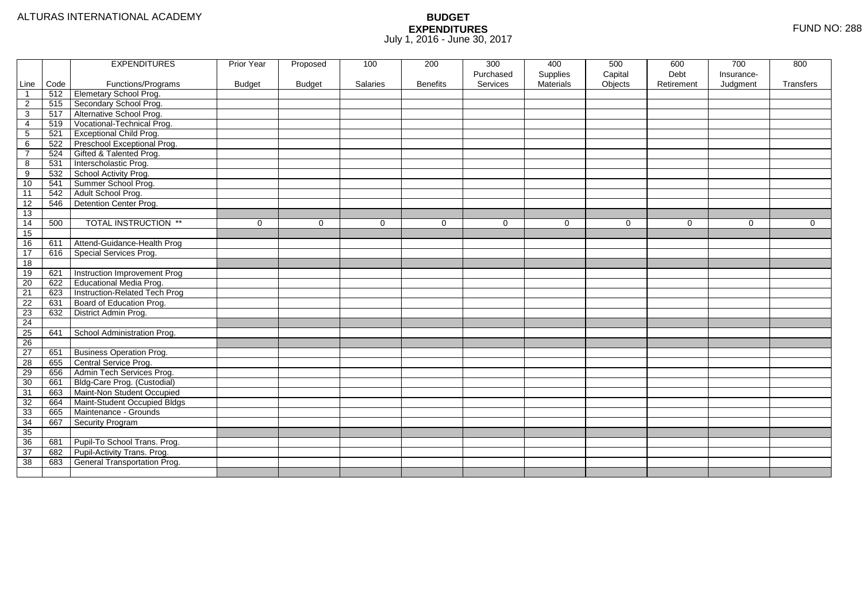|                         |      | <b>EXPENDITURES</b>             | Prior Year    | Proposed      | 100      | 200             | 300         | 400              | 500     | 600        | 700        | 800         |
|-------------------------|------|---------------------------------|---------------|---------------|----------|-----------------|-------------|------------------|---------|------------|------------|-------------|
|                         |      |                                 |               |               |          |                 | Purchased   | Supplies         | Capital | Debt       | Insurance- |             |
| Line                    | Code | Functions/Programs              | <b>Budget</b> | <b>Budget</b> | Salaries | <b>Benefits</b> | Services    | <b>Materials</b> | Objects | Retirement | Judgment   | Transfers   |
| $\overline{\mathbf{1}}$ | 512  | Elemetary School Prog.          |               |               |          |                 |             |                  |         |            |            |             |
| $\overline{2}$          | 515  | Secondary School Prog.          |               |               |          |                 |             |                  |         |            |            |             |
| 3                       | 517  | Alternative School Prog.        |               |               |          |                 |             |                  |         |            |            |             |
| 4                       | 519  | Vocational-Technical Prog.      |               |               |          |                 |             |                  |         |            |            |             |
| 5                       | 521  | <b>Exceptional Child Prog.</b>  |               |               |          |                 |             |                  |         |            |            |             |
| 6                       | 522  | Preschool Exceptional Prog.     |               |               |          |                 |             |                  |         |            |            |             |
| $\overline{7}$          | 524  | Gifted & Talented Prog.         |               |               |          |                 |             |                  |         |            |            |             |
| 8                       | 531  | Interscholastic Prog.           |               |               |          |                 |             |                  |         |            |            |             |
| 9                       | 532  | School Activity Prog.           |               |               |          |                 |             |                  |         |            |            |             |
| 10                      | 541  | Summer School Prog.             |               |               |          |                 |             |                  |         |            |            |             |
| $\overline{11}$         | 542  | Adult School Prog.              |               |               |          |                 |             |                  |         |            |            |             |
| 12                      | 546  | Detention Center Prog.          |               |               |          |                 |             |                  |         |            |            |             |
| 13                      |      |                                 |               |               |          |                 |             |                  |         |            |            |             |
| 14                      | 500  | <b>TOTAL INSTRUCTION **</b>     | $\mathbf 0$   | $\Omega$      | $\Omega$ | $\mathbf 0$     | $\mathbf 0$ | $\Omega$         | 0       | $\Omega$   | 0          | $\mathbf 0$ |
| 15                      |      |                                 |               |               |          |                 |             |                  |         |            |            |             |
| 16                      | 611  | Attend-Guidance-Health Prog     |               |               |          |                 |             |                  |         |            |            |             |
| 17                      | 616  | Special Services Prog.          |               |               |          |                 |             |                  |         |            |            |             |
| 18                      |      |                                 |               |               |          |                 |             |                  |         |            |            |             |
| 19                      | 621  | Instruction Improvement Prog    |               |               |          |                 |             |                  |         |            |            |             |
| $\overline{20}$         | 622  | Educational Media Prog.         |               |               |          |                 |             |                  |         |            |            |             |
| 21                      | 623  | Instruction-Related Tech Prog   |               |               |          |                 |             |                  |         |            |            |             |
| 22                      | 631  | Board of Education Prog.        |               |               |          |                 |             |                  |         |            |            |             |
| 23                      | 632  | District Admin Prog.            |               |               |          |                 |             |                  |         |            |            |             |
| 24                      |      |                                 |               |               |          |                 |             |                  |         |            |            |             |
| 25                      | 641  | School Administration Prog.     |               |               |          |                 |             |                  |         |            |            |             |
| 26                      |      |                                 |               |               |          |                 |             |                  |         |            |            |             |
| 27                      | 651  | <b>Business Operation Prog.</b> |               |               |          |                 |             |                  |         |            |            |             |
| 28                      | 655  | Central Service Prog.           |               |               |          |                 |             |                  |         |            |            |             |
| 29                      | 656  | Admin Tech Services Prog.       |               |               |          |                 |             |                  |         |            |            |             |
| 30                      | 661  | Bldg-Care Prog. (Custodial)     |               |               |          |                 |             |                  |         |            |            |             |
| 31                      | 663  | Maint-Non Student Occupied      |               |               |          |                 |             |                  |         |            |            |             |
| 32                      | 664  | Maint-Student Occupied Bldgs    |               |               |          |                 |             |                  |         |            |            |             |
| 33                      | 665  | Maintenance - Grounds           |               |               |          |                 |             |                  |         |            |            |             |
| 34                      | 667  | Security Program                |               |               |          |                 |             |                  |         |            |            |             |
| 35                      |      |                                 |               |               |          |                 |             |                  |         |            |            |             |
| 36                      | 681  | Pupil-To School Trans. Prog.    |               |               |          |                 |             |                  |         |            |            |             |
| 37                      | 682  | Pupil-Activity Trans. Prog.     |               |               |          |                 |             |                  |         |            |            |             |
| 38                      | 683  | General Transportation Prog.    |               |               |          |                 |             |                  |         |            |            |             |
|                         |      |                                 |               |               |          |                 |             |                  |         |            |            |             |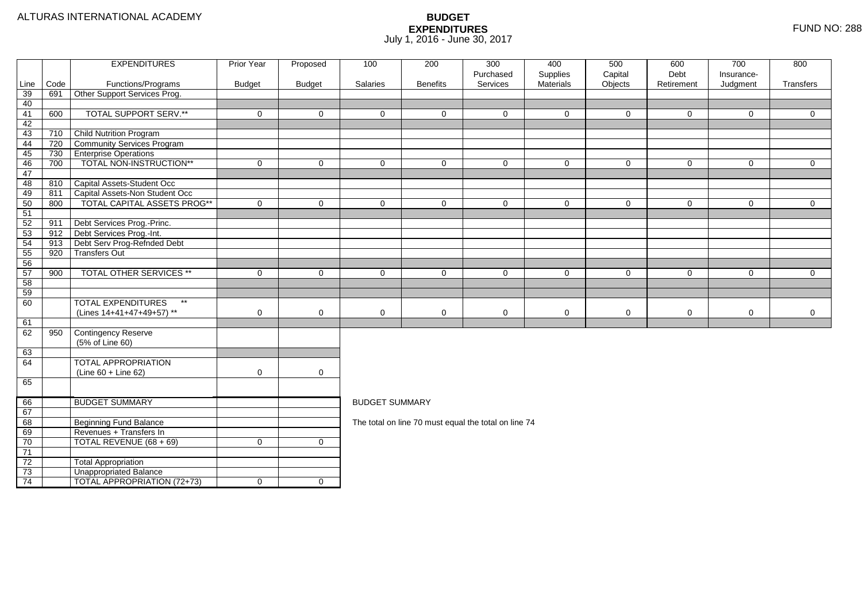|          |      | <b>EXPENDITURES</b>                       | <b>Prior Year</b> | Proposed            | 100                                                                                                           | 200             | 300                                                  | 400                   | 500                | 600                | 700                    | 800            |  |  |
|----------|------|-------------------------------------------|-------------------|---------------------|---------------------------------------------------------------------------------------------------------------|-----------------|------------------------------------------------------|-----------------------|--------------------|--------------------|------------------------|----------------|--|--|
| Line     | Code | Functions/Programs                        | <b>Budget</b>     | <b>Budget</b>       | Salaries                                                                                                      | <b>Benefits</b> | Purchased<br>Services                                | Supplies<br>Materials | Capital<br>Objects | Debt<br>Retirement | Insurance-<br>Judgment | Transfers      |  |  |
| 39       | 691  | Other Support Services Prog.              |                   |                     |                                                                                                               |                 |                                                      |                       |                    |                    |                        |                |  |  |
| 40       |      |                                           |                   |                     |                                                                                                               |                 |                                                      |                       |                    |                    |                        |                |  |  |
| 41       | 600  | <b>TOTAL SUPPORT SERV.**</b>              | $\mathbf 0$       | $\mathbf{0}$        | $\Omega$                                                                                                      | $\Omega$        | $\Omega$                                             | $\Omega$              | $\mathbf{0}$       | $\mathbf 0$        | $\Omega$               | $\overline{0}$ |  |  |
| 42       |      |                                           |                   |                     |                                                                                                               |                 |                                                      |                       |                    |                    |                        |                |  |  |
| 43       | 710  | <b>Child Nutrition Program</b>            |                   |                     |                                                                                                               |                 |                                                      |                       |                    |                    |                        |                |  |  |
| 44       | 720  | Community Services Program                |                   |                     |                                                                                                               |                 |                                                      |                       |                    |                    |                        |                |  |  |
| 45       | 730  | <b>Enterprise Operations</b>              |                   |                     |                                                                                                               |                 |                                                      |                       |                    |                    |                        |                |  |  |
| 46       | 700  | TOTAL NON-INSTRUCTION**                   | $\mathbf 0$       | $\mathbf 0$         | $\mathbf 0$                                                                                                   | $\Omega$        | $\mathbf 0$                                          | $\Omega$              | $\mathbf 0$        | $\mathbf 0$        | $\mathbf 0$            | $\overline{0}$ |  |  |
| 47       |      |                                           |                   |                     |                                                                                                               |                 |                                                      |                       |                    |                    |                        |                |  |  |
| 48       | 810  | Capital Assets-Student Occ                |                   |                     |                                                                                                               |                 |                                                      |                       |                    |                    |                        |                |  |  |
| 49       | 811  | Capital Assets-Non Student Occ            |                   |                     |                                                                                                               |                 |                                                      |                       |                    |                    |                        |                |  |  |
| 50       | 800  | TOTAL CAPITAL ASSETS PROG**               | $\Omega$          | $\overline{0}$      | $\Omega$                                                                                                      | $\Omega$        | $\Omega$                                             | $\Omega$              | $\mathbf 0$        | $\mathbf 0$        | $\mathbf 0$            | $\overline{0}$ |  |  |
| 51       |      |                                           |                   |                     |                                                                                                               |                 |                                                      |                       |                    |                    |                        |                |  |  |
| 52       | 911  | Debt Services Prog.-Princ.                |                   |                     |                                                                                                               |                 |                                                      |                       |                    |                    |                        |                |  |  |
| 53       | 912  | Debt Services Prog.-Int.                  |                   |                     |                                                                                                               |                 |                                                      |                       |                    |                    |                        |                |  |  |
| 54       | 913  | Debt Serv Prog-Refnded Debt               |                   |                     |                                                                                                               |                 |                                                      |                       |                    |                    |                        |                |  |  |
| 55       | 920  | <b>Transfers Out</b>                      |                   |                     |                                                                                                               |                 |                                                      |                       |                    |                    |                        |                |  |  |
| 56       |      | TOTAL OTHER SERVICES **                   |                   |                     |                                                                                                               |                 |                                                      |                       |                    |                    |                        |                |  |  |
| 57<br>58 | 900  |                                           | $\mathbf 0$       | $\mathbf 0$         | $\overline{0}$<br>$\mathbf 0$<br>$\mathbf 0$<br>$\mathbf 0$<br>$\mathbf 0$<br>$\mathbf 0$<br>0<br>$\mathbf 0$ |                 |                                                      |                       |                    |                    |                        |                |  |  |
| 59       |      |                                           |                   |                     |                                                                                                               |                 |                                                      |                       |                    |                    |                        |                |  |  |
| 60       |      | <b>TOTAL EXPENDITURES</b><br>$\star\star$ |                   |                     |                                                                                                               |                 |                                                      |                       |                    |                    |                        |                |  |  |
|          |      | (Lines 14+41+47+49+57) **                 | 0                 | $\mathbf 0$         | $\mathbf 0$                                                                                                   | 0               | 0                                                    | 0                     | $\mathbf 0$        | $\mathbf 0$        | 0                      | $\mathbf 0$    |  |  |
| 61       |      |                                           |                   |                     |                                                                                                               |                 |                                                      |                       |                    |                    |                        |                |  |  |
| 62       | 950  | Contingency Reserve                       |                   |                     |                                                                                                               |                 |                                                      |                       |                    |                    |                        |                |  |  |
|          |      | (5% of Line 60)                           |                   |                     |                                                                                                               |                 |                                                      |                       |                    |                    |                        |                |  |  |
| 63       |      |                                           |                   |                     |                                                                                                               |                 |                                                      |                       |                    |                    |                        |                |  |  |
| 64       |      | <b>TOTAL APPROPRIATION</b>                |                   |                     |                                                                                                               |                 |                                                      |                       |                    |                    |                        |                |  |  |
|          |      | $(Line 60 + Line 62)$                     | $\mathbf 0$       | $\mathsf{O}\xspace$ |                                                                                                               |                 |                                                      |                       |                    |                    |                        |                |  |  |
| 65       |      |                                           |                   |                     |                                                                                                               |                 |                                                      |                       |                    |                    |                        |                |  |  |
|          |      |                                           |                   |                     |                                                                                                               |                 |                                                      |                       |                    |                    |                        |                |  |  |
| 66       |      | <b>BUDGET SUMMARY</b>                     |                   |                     | <b>BUDGET SUMMARY</b>                                                                                         |                 |                                                      |                       |                    |                    |                        |                |  |  |
| 67       |      |                                           |                   |                     |                                                                                                               |                 |                                                      |                       |                    |                    |                        |                |  |  |
| 68       |      | <b>Beginning Fund Balance</b>             |                   |                     |                                                                                                               |                 | The total on line 70 must equal the total on line 74 |                       |                    |                    |                        |                |  |  |
| 69       |      | Revenues + Transfers In                   |                   |                     |                                                                                                               |                 |                                                      |                       |                    |                    |                        |                |  |  |
| 70       |      | TOTAL REVENUE (68 + 69)                   | $\mathbf 0$       | $\mathbf 0$         |                                                                                                               |                 |                                                      |                       |                    |                    |                        |                |  |  |
| 71       |      |                                           |                   |                     |                                                                                                               |                 |                                                      |                       |                    |                    |                        |                |  |  |
| 72       |      | <b>Total Appropriation</b>                |                   |                     |                                                                                                               |                 |                                                      |                       |                    |                    |                        |                |  |  |
| 73       |      | <b>Unappropriated Balance</b>             |                   |                     |                                                                                                               |                 |                                                      |                       |                    |                    |                        |                |  |  |
| 74       |      | TOTAL APPROPRIATION (72+73)               | $\mathbf 0$       | $\overline{0}$      |                                                                                                               |                 |                                                      |                       |                    |                    |                        |                |  |  |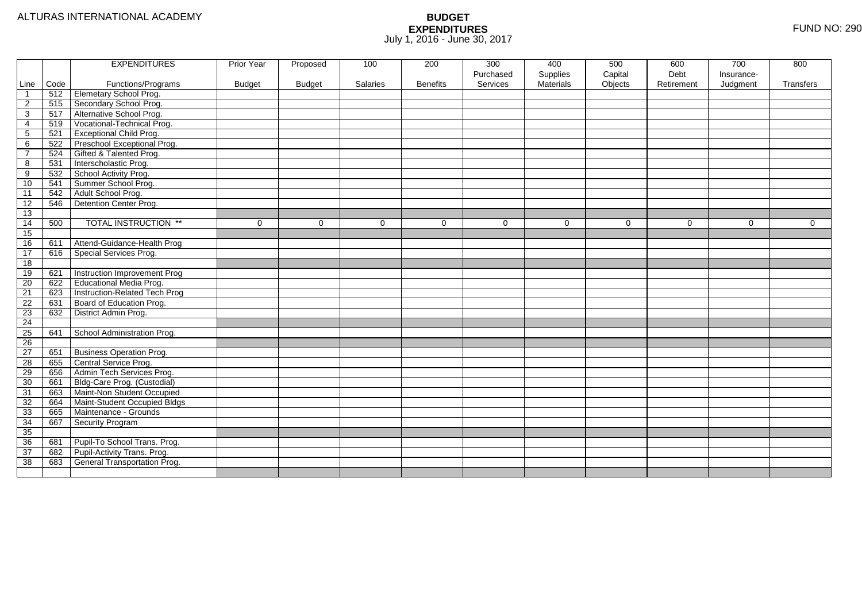|                 |      | <b>EXPENDITURES</b>                 | Prior Year    | Proposed      | 100      | 200             | 300       | 400       | 500      | 600        | 700        | 800       |
|-----------------|------|-------------------------------------|---------------|---------------|----------|-----------------|-----------|-----------|----------|------------|------------|-----------|
|                 |      |                                     |               |               |          |                 | Purchased | Supplies  | Capital  | Debt       | Insurance- |           |
| Line            | Code | Functions/Programs                  | <b>Budget</b> | <b>Budget</b> | Salaries | <b>Benefits</b> | Services  | Materials | Objects  | Retirement | Judgment   | Transfers |
| $\mathbf 1$     | 512  | Elemetary School Prog.              |               |               |          |                 |           |           |          |            |            |           |
| $\overline{2}$  | 515  | Secondary School Prog.              |               |               |          |                 |           |           |          |            |            |           |
| 3               | 517  | Alternative School Prog.            |               |               |          |                 |           |           |          |            |            |           |
| 4               | 519  | Vocational-Technical Prog.          |               |               |          |                 |           |           |          |            |            |           |
| $\mathbf{5}$    | 521  | <b>Exceptional Child Prog.</b>      |               |               |          |                 |           |           |          |            |            |           |
| 6               | 522  | Preschool Exceptional Prog.         |               |               |          |                 |           |           |          |            |            |           |
| $\overline{7}$  | 524  | Gifted & Talented Prog.             |               |               |          |                 |           |           |          |            |            |           |
| 8               | 531  | Interscholastic Prog.               |               |               |          |                 |           |           |          |            |            |           |
| 9               | 532  | School Activity Prog.               |               |               |          |                 |           |           |          |            |            |           |
| 10              | 541  | Summer School Prog.                 |               |               |          |                 |           |           |          |            |            |           |
| 11              | 542  | Adult School Prog.                  |               |               |          |                 |           |           |          |            |            |           |
| 12              | 546  | Detention Center Prog.              |               |               |          |                 |           |           |          |            |            |           |
| 13              |      |                                     |               |               |          |                 |           |           |          |            |            |           |
| 14              | 500  | <b>TOTAL INSTRUCTION **</b>         | $\mathbf 0$   | $\Omega$      | $\Omega$ | $\Omega$        | $\Omega$  | $\Omega$  | $\Omega$ | $\Omega$   | $\Omega$   | $\Omega$  |
| 15              |      |                                     |               |               |          |                 |           |           |          |            |            |           |
| 16              | 611  | Attend-Guidance-Health Prog         |               |               |          |                 |           |           |          |            |            |           |
| 17              | 616  | Special Services Prog.              |               |               |          |                 |           |           |          |            |            |           |
| 18              |      |                                     |               |               |          |                 |           |           |          |            |            |           |
| 19              | 621  | Instruction Improvement Prog        |               |               |          |                 |           |           |          |            |            |           |
| $\overline{20}$ | 622  | <b>Educational Media Prog.</b>      |               |               |          |                 |           |           |          |            |            |           |
| 21              | 623  | Instruction-Related Tech Prog       |               |               |          |                 |           |           |          |            |            |           |
| $\overline{22}$ | 631  | Board of Education Prog.            |               |               |          |                 |           |           |          |            |            |           |
| 23              | 632  | District Admin Prog.                |               |               |          |                 |           |           |          |            |            |           |
| $\overline{24}$ |      |                                     |               |               |          |                 |           |           |          |            |            |           |
| $\overline{25}$ | 641  | School Administration Prog.         |               |               |          |                 |           |           |          |            |            |           |
| 26              |      |                                     |               |               |          |                 |           |           |          |            |            |           |
| 27              | 651  | <b>Business Operation Prog.</b>     |               |               |          |                 |           |           |          |            |            |           |
| 28              | 655  | Central Service Prog.               |               |               |          |                 |           |           |          |            |            |           |
| 29              | 656  | Admin Tech Services Prog.           |               |               |          |                 |           |           |          |            |            |           |
| 30              | 661  | Bldg-Care Prog. (Custodial)         |               |               |          |                 |           |           |          |            |            |           |
| 31              | 663  | Maint-Non Student Occupied          |               |               |          |                 |           |           |          |            |            |           |
| 32              | 664  | Maint-Student Occupied Bldgs        |               |               |          |                 |           |           |          |            |            |           |
| 33              | 665  | Maintenance - Grounds               |               |               |          |                 |           |           |          |            |            |           |
| 34              | 667  | Security Program                    |               |               |          |                 |           |           |          |            |            |           |
| 35              |      |                                     |               |               |          |                 |           |           |          |            |            |           |
| 36              | 681  | Pupil-To School Trans. Prog.        |               |               |          |                 |           |           |          |            |            |           |
| $\overline{37}$ | 682  | Pupil-Activity Trans. Prog.         |               |               |          |                 |           |           |          |            |            |           |
| 38              | 683  | <b>General Transportation Prog.</b> |               |               |          |                 |           |           |          |            |            |           |
|                 |      |                                     |               |               |          |                 |           |           |          |            |            |           |
|                 |      |                                     |               |               |          |                 |           |           |          |            |            |           |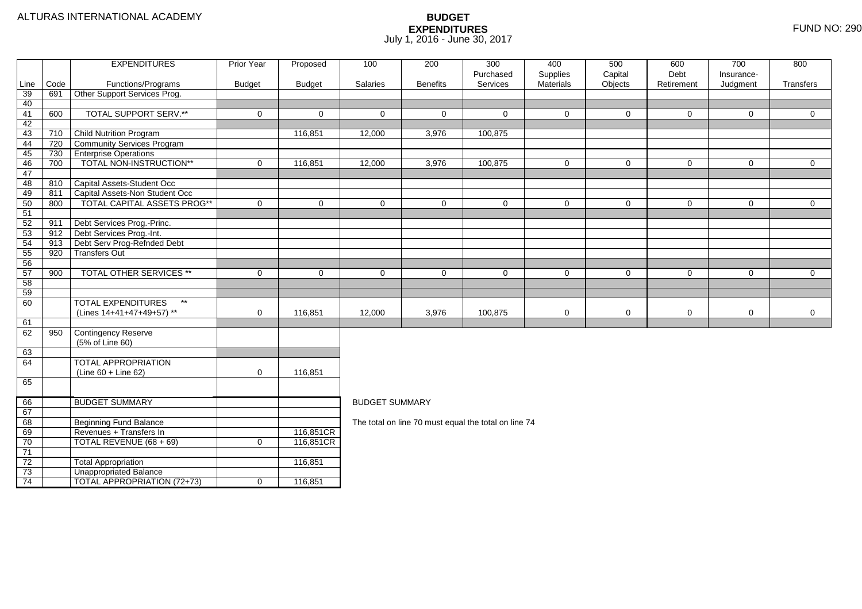|                 |      | <b>EXPENDITURES</b>                                | Prior Year    | Proposed               | 100                   | 200             | 300<br>Purchased                                     | 400<br>Supplies | 500<br>Capital | 600<br>Debt    | 700<br>Insurance- | 800            |
|-----------------|------|----------------------------------------------------|---------------|------------------------|-----------------------|-----------------|------------------------------------------------------|-----------------|----------------|----------------|-------------------|----------------|
| Line            | Code | Functions/Programs                                 | <b>Budget</b> | <b>Budget</b>          | Salaries              | <b>Benefits</b> | Services                                             | Materials       | Objects        | Retirement     | Judgment          | Transfers      |
| 39              | 691  | Other Support Services Prog.                       |               |                        |                       |                 |                                                      |                 |                |                |                   |                |
| 40              |      |                                                    |               |                        |                       |                 |                                                      |                 |                |                |                   |                |
| 41              | 600  | <b>TOTAL SUPPORT SERV.**</b>                       | $\mathbf 0$   | $\mathbf 0$            | $\Omega$              | 0               | $\Omega$                                             | $\Omega$        | $\mathbf 0$    | $\mathbf 0$    | $\Omega$          | $\overline{0}$ |
| 42              |      |                                                    |               |                        |                       |                 |                                                      |                 |                |                |                   |                |
| 43              | 710  | Child Nutrition Program                            |               | 116,851                | 12,000                | 3,976           | 100,875                                              |                 |                |                |                   |                |
| 44              | 720  | Community Services Program                         |               |                        |                       |                 |                                                      |                 |                |                |                   |                |
| 45              | 730  | <b>Enterprise Operations</b>                       |               |                        |                       |                 |                                                      |                 |                |                |                   |                |
| 46              | 700  | TOTAL NON-INSTRUCTION**                            | $\mathbf 0$   | 116,851                | 12,000                | 3,976           | 100,875                                              | $\Omega$        | $\mathbf 0$    | $\mathsf{O}$   | $\mathbf 0$       | $\overline{0}$ |
| 47              |      |                                                    |               |                        |                       |                 |                                                      |                 |                |                |                   |                |
| 48              | 810  | Capital Assets-Student Occ                         |               |                        |                       |                 |                                                      |                 |                |                |                   |                |
| 49              | 811  | Capital Assets-Non Student Occ                     |               |                        |                       |                 |                                                      |                 |                |                |                   |                |
| 50              | 800  | TOTAL CAPITAL ASSETS PROG**                        | $\mathbf 0$   | $\mathbf 0$            | $\mathbf{0}$          | 0               | $\mathbf 0$                                          | $\Omega$        | $\mathbf 0$    | $\overline{0}$ | $\mathbf 0$       | $\overline{0}$ |
| 51              |      |                                                    |               |                        |                       |                 |                                                      |                 |                |                |                   |                |
| 52              | 911  | Debt Services Prog.-Princ.                         |               |                        |                       |                 |                                                      |                 |                |                |                   |                |
| 53              | 912  | Debt Services Prog.-Int.                           |               |                        |                       |                 |                                                      |                 |                |                |                   |                |
| 54              | 913  | Debt Serv Prog-Refnded Debt                        |               |                        |                       |                 |                                                      |                 |                |                |                   |                |
| 55              | 920  | <b>Transfers Out</b>                               |               |                        |                       |                 |                                                      |                 |                |                |                   |                |
| 56              |      |                                                    |               |                        |                       |                 |                                                      |                 |                |                |                   |                |
| 57              | 900  | TOTAL OTHER SERVICES **                            | $\mathbf 0$   | 0                      | $\mathbf 0$           | 0               | $\mathbf 0$                                          | $\mathbf 0$     | 0              | $\mathsf{O}$   | 0                 | $\mathbf 0$    |
| 58              |      |                                                    |               |                        |                       |                 |                                                      |                 |                |                |                   |                |
| 59              |      |                                                    |               |                        |                       |                 |                                                      |                 |                |                |                   |                |
| 60              |      | <b>TOTAL EXPENDITURES</b><br>$\star\star$          |               |                        |                       |                 |                                                      |                 |                |                |                   |                |
|                 |      | (Lines 14+41+47+49+57) **                          | $\mathbf 0$   | 116,851                | 12,000                | 3,976           | 100,875                                              | 0               | $\mathbf 0$    | 0              | 0                 | $\mathbf 0$    |
| 61              |      |                                                    |               |                        |                       |                 |                                                      |                 |                |                |                   |                |
| 62              | 950  | Contingency Reserve                                |               |                        |                       |                 |                                                      |                 |                |                |                   |                |
|                 |      | (5% of Line 60)                                    |               |                        |                       |                 |                                                      |                 |                |                |                   |                |
| 63              |      |                                                    |               |                        |                       |                 |                                                      |                 |                |                |                   |                |
| 64              |      | <b>TOTAL APPROPRIATION</b>                         |               |                        |                       |                 |                                                      |                 |                |                |                   |                |
|                 |      | $(Line 60 + Line 62)$                              | $\mathbf 0$   | 116,851                |                       |                 |                                                      |                 |                |                |                   |                |
| 65              |      |                                                    |               |                        |                       |                 |                                                      |                 |                |                |                   |                |
|                 |      | <b>BUDGET SUMMARY</b>                              |               |                        |                       |                 |                                                      |                 |                |                |                   |                |
| 66              |      |                                                    |               |                        | <b>BUDGET SUMMARY</b> |                 |                                                      |                 |                |                |                   |                |
| 67              |      |                                                    |               |                        |                       |                 |                                                      |                 |                |                |                   |                |
| 68              |      | <b>Beginning Fund Balance</b>                      |               |                        |                       |                 | The total on line 70 must equal the total on line 74 |                 |                |                |                   |                |
| 69<br>70        |      | Revenues + Transfers In<br>TOTAL REVENUE (68 + 69) | $\mathbf 0$   | 116,851CR<br>116,851CR |                       |                 |                                                      |                 |                |                |                   |                |
| 71              |      |                                                    |               |                        |                       |                 |                                                      |                 |                |                |                   |                |
| $\overline{72}$ |      | <b>Total Appropriation</b>                         |               |                        |                       |                 |                                                      |                 |                |                |                   |                |
| $\overline{73}$ |      | <b>Unappropriated Balance</b>                      |               | 116,851                |                       |                 |                                                      |                 |                |                |                   |                |
| 74              |      | <b>TOTAL APPROPRIATION (72+73)</b>                 | $\mathbf 0$   | 116,851                |                       |                 |                                                      |                 |                |                |                   |                |
|                 |      |                                                    |               |                        |                       |                 |                                                      |                 |                |                |                   |                |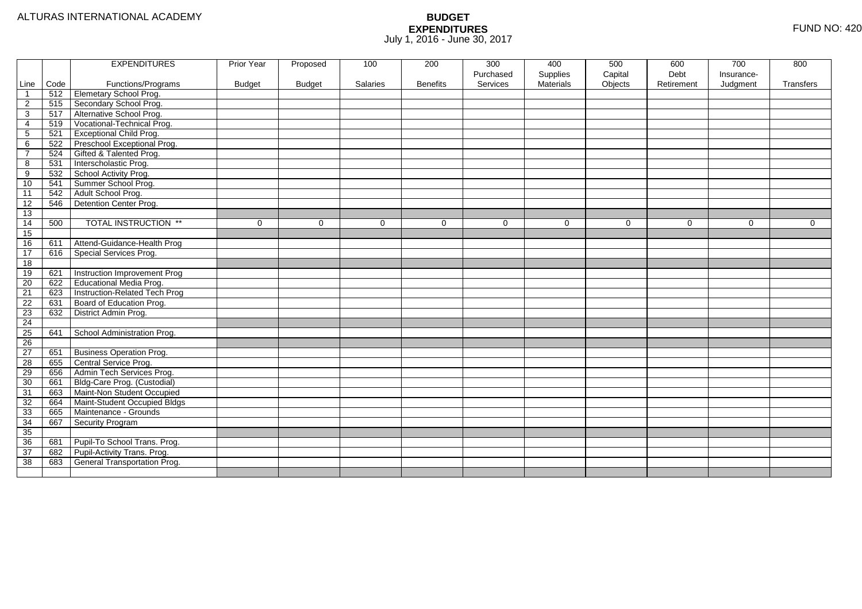|                 |      | <b>EXPENDITURES</b>             | Prior Year    | Proposed      | 100      | 200             | 300       | 400              | 500      | 600        | 700        | 800       |
|-----------------|------|---------------------------------|---------------|---------------|----------|-----------------|-----------|------------------|----------|------------|------------|-----------|
|                 |      |                                 |               |               |          |                 | Purchased | Supplies         | Capital  | Debt       | Insurance- |           |
| Line            | Code | Functions/Programs              | <b>Budget</b> | <b>Budget</b> | Salaries | <b>Benefits</b> | Services  | <b>Materials</b> | Objects  | Retirement | Judgment   | Transfers |
|                 | 512  | <b>Elemetary School Prog.</b>   |               |               |          |                 |           |                  |          |            |            |           |
| $\overline{c}$  | 515  | Secondary School Prog.          |               |               |          |                 |           |                  |          |            |            |           |
| 3               | 517  | Alternative School Prog.        |               |               |          |                 |           |                  |          |            |            |           |
| 4               | 519  | Vocational-Technical Prog.      |               |               |          |                 |           |                  |          |            |            |           |
| 5               | 521  | <b>Exceptional Child Prog.</b>  |               |               |          |                 |           |                  |          |            |            |           |
| 6               | 522  | Preschool Exceptional Prog.     |               |               |          |                 |           |                  |          |            |            |           |
| $\overline{7}$  | 524  | Gifted & Talented Prog.         |               |               |          |                 |           |                  |          |            |            |           |
| 8               | 531  | Interscholastic Prog.           |               |               |          |                 |           |                  |          |            |            |           |
| 9               | 532  | School Activity Prog.           |               |               |          |                 |           |                  |          |            |            |           |
| 10              | 541  | Summer School Prog.             |               |               |          |                 |           |                  |          |            |            |           |
| $\overline{11}$ | 542  | Adult School Prog.              |               |               |          |                 |           |                  |          |            |            |           |
| 12              | 546  | Detention Center Prog.          |               |               |          |                 |           |                  |          |            |            |           |
| 13              |      |                                 |               |               |          |                 |           |                  |          |            |            |           |
| 14              | 500  | <b>TOTAL INSTRUCTION **</b>     | $\Omega$      | $\Omega$      | $\Omega$ | $\Omega$        | $\Omega$  | $\Omega$         | $\Omega$ | $\Omega$   | $\Omega$   | $\Omega$  |
| 15              |      |                                 |               |               |          |                 |           |                  |          |            |            |           |
| 16              | 611  | Attend-Guidance-Health Prog     |               |               |          |                 |           |                  |          |            |            |           |
| 17              | 616  | Special Services Prog.          |               |               |          |                 |           |                  |          |            |            |           |
| 18              |      |                                 |               |               |          |                 |           |                  |          |            |            |           |
| 19              | 621  | Instruction Improvement Prog    |               |               |          |                 |           |                  |          |            |            |           |
| $\overline{20}$ | 622  | Educational Media Prog.         |               |               |          |                 |           |                  |          |            |            |           |
| $\overline{21}$ | 623  | Instruction-Related Tech Prog   |               |               |          |                 |           |                  |          |            |            |           |
| 22              | 631  | Board of Education Prog.        |               |               |          |                 |           |                  |          |            |            |           |
| 23              | 632  | District Admin Prog.            |               |               |          |                 |           |                  |          |            |            |           |
| 24              |      |                                 |               |               |          |                 |           |                  |          |            |            |           |
| 25              | 641  | School Administration Prog.     |               |               |          |                 |           |                  |          |            |            |           |
| 26              |      |                                 |               |               |          |                 |           |                  |          |            |            |           |
| 27              | 651  | <b>Business Operation Prog.</b> |               |               |          |                 |           |                  |          |            |            |           |
| 28              | 655  | Central Service Prog.           |               |               |          |                 |           |                  |          |            |            |           |
| 29              | 656  | Admin Tech Services Prog.       |               |               |          |                 |           |                  |          |            |            |           |
| 30              | 661  | Bldg-Care Prog. (Custodial)     |               |               |          |                 |           |                  |          |            |            |           |
| 31              | 663  | Maint-Non Student Occupied      |               |               |          |                 |           |                  |          |            |            |           |
| 32              | 664  | Maint-Student Occupied Bldgs    |               |               |          |                 |           |                  |          |            |            |           |
| 33              | 665  | Maintenance - Grounds           |               |               |          |                 |           |                  |          |            |            |           |
| 34              | 667  | Security Program                |               |               |          |                 |           |                  |          |            |            |           |
| 35              |      |                                 |               |               |          |                 |           |                  |          |            |            |           |
| 36              | 681  | Pupil-To School Trans. Prog.    |               |               |          |                 |           |                  |          |            |            |           |
| 37              | 682  | Pupil-Activity Trans. Prog.     |               |               |          |                 |           |                  |          |            |            |           |
| 38              | 683  | General Transportation Prog.    |               |               |          |                 |           |                  |          |            |            |           |
|                 |      |                                 |               |               |          |                 |           |                  |          |            |            |           |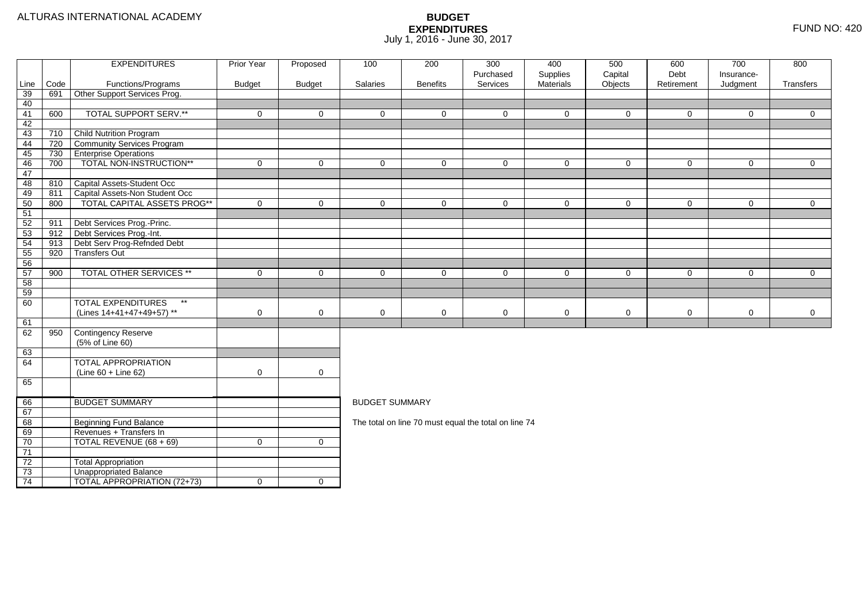|          |      | <b>EXPENDITURES</b>                       | <b>Prior Year</b> | Proposed            | 100                   | 200             | 300                                                  | 400                   | 500                | 600                | 700                    | 800            |
|----------|------|-------------------------------------------|-------------------|---------------------|-----------------------|-----------------|------------------------------------------------------|-----------------------|--------------------|--------------------|------------------------|----------------|
| Line     | Code | Functions/Programs                        | <b>Budget</b>     | <b>Budget</b>       | Salaries              | <b>Benefits</b> | Purchased<br>Services                                | Supplies<br>Materials | Capital<br>Objects | Debt<br>Retirement | Insurance-<br>Judgment | Transfers      |
| 39       | 691  | Other Support Services Prog.              |                   |                     |                       |                 |                                                      |                       |                    |                    |                        |                |
| 40       |      |                                           |                   |                     |                       |                 |                                                      |                       |                    |                    |                        |                |
| 41       | 600  | <b>TOTAL SUPPORT SERV.**</b>              | $\mathbf 0$       | $\mathbf{0}$        | $\Omega$              | $\Omega$        | $\Omega$                                             | $\Omega$              | $\mathbf{0}$       | $\mathbf 0$        | $\Omega$               | $\overline{0}$ |
| 42       |      |                                           |                   |                     |                       |                 |                                                      |                       |                    |                    |                        |                |
| 43       | 710  | <b>Child Nutrition Program</b>            |                   |                     |                       |                 |                                                      |                       |                    |                    |                        |                |
| 44       | 720  | Community Services Program                |                   |                     |                       |                 |                                                      |                       |                    |                    |                        |                |
| 45       | 730  | <b>Enterprise Operations</b>              |                   |                     |                       |                 |                                                      |                       |                    |                    |                        |                |
| 46       | 700  | TOTAL NON-INSTRUCTION**                   | $\mathbf 0$       | $\mathbf 0$         | $\mathbf 0$           | $\Omega$        | $\mathbf 0$                                          | $\Omega$              | $\mathbf 0$        | $\mathbf 0$        | $\mathbf 0$            | $\overline{0}$ |
| 47       |      |                                           |                   |                     |                       |                 |                                                      |                       |                    |                    |                        |                |
| 48       | 810  | Capital Assets-Student Occ                |                   |                     |                       |                 |                                                      |                       |                    |                    |                        |                |
| 49       | 811  | Capital Assets-Non Student Occ            |                   |                     |                       |                 |                                                      |                       |                    |                    |                        |                |
| 50       | 800  | TOTAL CAPITAL ASSETS PROG**               | $\Omega$          | $\overline{0}$      | $\Omega$              | $\Omega$        | $\Omega$                                             | $\Omega$              | $\mathbf 0$        | $\mathbf 0$        | $\mathbf 0$            | $\overline{0}$ |
| 51       |      |                                           |                   |                     |                       |                 |                                                      |                       |                    |                    |                        |                |
| 52       | 911  | Debt Services Prog.-Princ.                |                   |                     |                       |                 |                                                      |                       |                    |                    |                        |                |
| 53       | 912  | Debt Services Prog.-Int.                  |                   |                     |                       |                 |                                                      |                       |                    |                    |                        |                |
| 54       | 913  | Debt Serv Prog-Refnded Debt               |                   |                     |                       |                 |                                                      |                       |                    |                    |                        |                |
| 55       | 920  | <b>Transfers Out</b>                      |                   |                     |                       |                 |                                                      |                       |                    |                    |                        |                |
| 56       |      | TOTAL OTHER SERVICES **                   |                   |                     |                       |                 |                                                      |                       |                    |                    |                        |                |
| 57<br>58 | 900  |                                           | $\mathbf 0$       | $\mathbf 0$         | $\mathbf 0$           | $\mathbf 0$     | $\mathbf 0$                                          | $\mathbf 0$           | $\mathbf 0$        | 0                  | $\mathbf 0$            | $\overline{0}$ |
| 59       |      |                                           |                   |                     |                       |                 |                                                      |                       |                    |                    |                        |                |
| 60       |      | <b>TOTAL EXPENDITURES</b><br>$\star\star$ |                   |                     |                       |                 |                                                      |                       |                    |                    |                        |                |
|          |      | (Lines 14+41+47+49+57) **                 | 0                 | $\mathbf 0$         | $\mathbf 0$           | 0               | 0                                                    | 0                     | $\mathbf 0$        | $\mathbf 0$        | 0                      | $\mathbf 0$    |
| 61       |      |                                           |                   |                     |                       |                 |                                                      |                       |                    |                    |                        |                |
| 62       | 950  | Contingency Reserve                       |                   |                     |                       |                 |                                                      |                       |                    |                    |                        |                |
|          |      | (5% of Line 60)                           |                   |                     |                       |                 |                                                      |                       |                    |                    |                        |                |
| 63       |      |                                           |                   |                     |                       |                 |                                                      |                       |                    |                    |                        |                |
| 64       |      | <b>TOTAL APPROPRIATION</b>                |                   |                     |                       |                 |                                                      |                       |                    |                    |                        |                |
|          |      | $(Line 60 + Line 62)$                     | $\mathbf 0$       | $\mathsf{O}\xspace$ |                       |                 |                                                      |                       |                    |                    |                        |                |
| 65       |      |                                           |                   |                     |                       |                 |                                                      |                       |                    |                    |                        |                |
|          |      |                                           |                   |                     |                       |                 |                                                      |                       |                    |                    |                        |                |
| 66       |      | <b>BUDGET SUMMARY</b>                     |                   |                     | <b>BUDGET SUMMARY</b> |                 |                                                      |                       |                    |                    |                        |                |
| 67       |      |                                           |                   |                     |                       |                 |                                                      |                       |                    |                    |                        |                |
| 68       |      | <b>Beginning Fund Balance</b>             |                   |                     |                       |                 | The total on line 70 must equal the total on line 74 |                       |                    |                    |                        |                |
| 69       |      | Revenues + Transfers In                   |                   |                     |                       |                 |                                                      |                       |                    |                    |                        |                |
| 70       |      | TOTAL REVENUE (68 + 69)                   | $\mathbf 0$       | $\mathbf 0$         |                       |                 |                                                      |                       |                    |                    |                        |                |
| 71       |      |                                           |                   |                     |                       |                 |                                                      |                       |                    |                    |                        |                |
| 72       |      | <b>Total Appropriation</b>                |                   |                     |                       |                 |                                                      |                       |                    |                    |                        |                |
| 73       |      | <b>Unappropriated Balance</b>             |                   |                     |                       |                 |                                                      |                       |                    |                    |                        |                |
| 74       |      | TOTAL APPROPRIATION (72+73)               | $\mathbf 0$       | $\overline{0}$      |                       |                 |                                                      |                       |                    |                    |                        |                |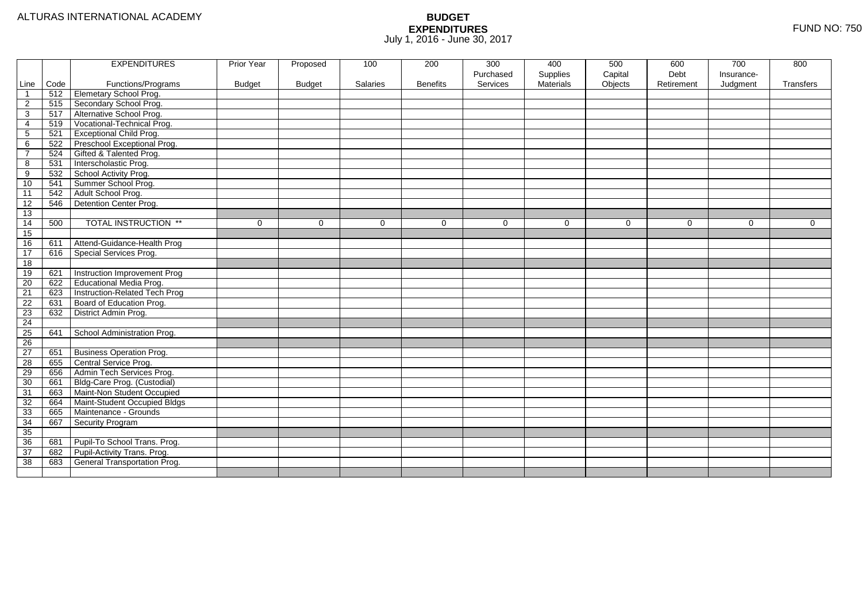| Purchased<br>Supplies<br>Capital<br>Debt<br>Insurance-<br>Code<br>Functions/Programs<br><b>Budget</b><br>Salaries<br><b>Benefits</b><br>Services<br><b>Materials</b><br>Objects<br>Judgment<br>Line<br><b>Budget</b><br>Retirement<br>Transfers<br>Elemetary School Prog.<br>512<br>$\overline{\mathbf{1}}$<br>Secondary School Prog.<br>515<br>$\overline{2}$<br>517<br>Alternative School Prog.<br>3<br>Vocational-Technical Prog.<br>519<br>4<br><b>Exceptional Child Prog.</b><br>5<br>521<br>Preschool Exceptional Prog.<br>522<br>6<br>Gifted & Talented Prog.<br>524<br>$\overline{7}$<br>Interscholastic Prog.<br>8<br>531<br>School Activity Prog.<br>9<br>532<br>Summer School Prog.<br>10<br>541<br>Adult School Prog.<br>$\overline{11}$<br>542<br>12<br>Detention Center Prog.<br>546<br>13<br><b>TOTAL INSTRUCTION **</b><br>14<br>500<br>$\mathbf 0$<br>$\Omega$<br>$\mathbf 0$<br>$\Omega$<br>0<br>$\mathbf 0$<br>$\Omega$<br>$\mathbf 0$<br>$\Omega$<br>0<br>15<br>Attend-Guidance-Health Prog<br>16<br>611<br>Special Services Prog.<br>17<br>616<br>18<br>Instruction Improvement Prog<br>19<br>621<br>Educational Media Prog.<br>$\overline{20}$<br>622<br>21<br>Instruction-Related Tech Prog<br>623<br>22<br>Board of Education Prog.<br>631<br>23<br>District Admin Prog.<br>632<br>24<br>25<br>641<br>School Administration Prog.<br>26<br>27<br><b>Business Operation Prog.</b><br>651<br>28<br>Central Service Prog.<br>655<br>29<br>Admin Tech Services Prog.<br>656<br>Bldg-Care Prog. (Custodial)<br>30<br>661<br>Maint-Non Student Occupied<br>31<br>663<br>32<br>Maint-Student Occupied Bldgs<br>664<br>33<br>Maintenance - Grounds<br>665<br>34<br>667<br>Security Program<br>35<br>36<br>Pupil-To School Trans. Prog.<br>681<br>Pupil-Activity Trans. Prog.<br>37<br>682<br>38<br>General Transportation Prog.<br>683 |  | <b>EXPENDITURES</b> | Prior Year | Proposed | 100 | 200 | 300 | 400 | 500 | 600 | 700 | 800 |
|--------------------------------------------------------------------------------------------------------------------------------------------------------------------------------------------------------------------------------------------------------------------------------------------------------------------------------------------------------------------------------------------------------------------------------------------------------------------------------------------------------------------------------------------------------------------------------------------------------------------------------------------------------------------------------------------------------------------------------------------------------------------------------------------------------------------------------------------------------------------------------------------------------------------------------------------------------------------------------------------------------------------------------------------------------------------------------------------------------------------------------------------------------------------------------------------------------------------------------------------------------------------------------------------------------------------------------------------------------------------------------------------------------------------------------------------------------------------------------------------------------------------------------------------------------------------------------------------------------------------------------------------------------------------------------------------------------------------------------------------------------------------------------------------------------------------------------------------------------|--|---------------------|------------|----------|-----|-----|-----|-----|-----|-----|-----|-----|
|                                                                                                                                                                                                                                                                                                                                                                                                                                                                                                                                                                                                                                                                                                                                                                                                                                                                                                                                                                                                                                                                                                                                                                                                                                                                                                                                                                                                                                                                                                                                                                                                                                                                                                                                                                                                                                                        |  |                     |            |          |     |     |     |     |     |     |     |     |
|                                                                                                                                                                                                                                                                                                                                                                                                                                                                                                                                                                                                                                                                                                                                                                                                                                                                                                                                                                                                                                                                                                                                                                                                                                                                                                                                                                                                                                                                                                                                                                                                                                                                                                                                                                                                                                                        |  |                     |            |          |     |     |     |     |     |     |     |     |
|                                                                                                                                                                                                                                                                                                                                                                                                                                                                                                                                                                                                                                                                                                                                                                                                                                                                                                                                                                                                                                                                                                                                                                                                                                                                                                                                                                                                                                                                                                                                                                                                                                                                                                                                                                                                                                                        |  |                     |            |          |     |     |     |     |     |     |     |     |
|                                                                                                                                                                                                                                                                                                                                                                                                                                                                                                                                                                                                                                                                                                                                                                                                                                                                                                                                                                                                                                                                                                                                                                                                                                                                                                                                                                                                                                                                                                                                                                                                                                                                                                                                                                                                                                                        |  |                     |            |          |     |     |     |     |     |     |     |     |
|                                                                                                                                                                                                                                                                                                                                                                                                                                                                                                                                                                                                                                                                                                                                                                                                                                                                                                                                                                                                                                                                                                                                                                                                                                                                                                                                                                                                                                                                                                                                                                                                                                                                                                                                                                                                                                                        |  |                     |            |          |     |     |     |     |     |     |     |     |
|                                                                                                                                                                                                                                                                                                                                                                                                                                                                                                                                                                                                                                                                                                                                                                                                                                                                                                                                                                                                                                                                                                                                                                                                                                                                                                                                                                                                                                                                                                                                                                                                                                                                                                                                                                                                                                                        |  |                     |            |          |     |     |     |     |     |     |     |     |
|                                                                                                                                                                                                                                                                                                                                                                                                                                                                                                                                                                                                                                                                                                                                                                                                                                                                                                                                                                                                                                                                                                                                                                                                                                                                                                                                                                                                                                                                                                                                                                                                                                                                                                                                                                                                                                                        |  |                     |            |          |     |     |     |     |     |     |     |     |
|                                                                                                                                                                                                                                                                                                                                                                                                                                                                                                                                                                                                                                                                                                                                                                                                                                                                                                                                                                                                                                                                                                                                                                                                                                                                                                                                                                                                                                                                                                                                                                                                                                                                                                                                                                                                                                                        |  |                     |            |          |     |     |     |     |     |     |     |     |
|                                                                                                                                                                                                                                                                                                                                                                                                                                                                                                                                                                                                                                                                                                                                                                                                                                                                                                                                                                                                                                                                                                                                                                                                                                                                                                                                                                                                                                                                                                                                                                                                                                                                                                                                                                                                                                                        |  |                     |            |          |     |     |     |     |     |     |     |     |
|                                                                                                                                                                                                                                                                                                                                                                                                                                                                                                                                                                                                                                                                                                                                                                                                                                                                                                                                                                                                                                                                                                                                                                                                                                                                                                                                                                                                                                                                                                                                                                                                                                                                                                                                                                                                                                                        |  |                     |            |          |     |     |     |     |     |     |     |     |
|                                                                                                                                                                                                                                                                                                                                                                                                                                                                                                                                                                                                                                                                                                                                                                                                                                                                                                                                                                                                                                                                                                                                                                                                                                                                                                                                                                                                                                                                                                                                                                                                                                                                                                                                                                                                                                                        |  |                     |            |          |     |     |     |     |     |     |     |     |
|                                                                                                                                                                                                                                                                                                                                                                                                                                                                                                                                                                                                                                                                                                                                                                                                                                                                                                                                                                                                                                                                                                                                                                                                                                                                                                                                                                                                                                                                                                                                                                                                                                                                                                                                                                                                                                                        |  |                     |            |          |     |     |     |     |     |     |     |     |
|                                                                                                                                                                                                                                                                                                                                                                                                                                                                                                                                                                                                                                                                                                                                                                                                                                                                                                                                                                                                                                                                                                                                                                                                                                                                                                                                                                                                                                                                                                                                                                                                                                                                                                                                                                                                                                                        |  |                     |            |          |     |     |     |     |     |     |     |     |
|                                                                                                                                                                                                                                                                                                                                                                                                                                                                                                                                                                                                                                                                                                                                                                                                                                                                                                                                                                                                                                                                                                                                                                                                                                                                                                                                                                                                                                                                                                                                                                                                                                                                                                                                                                                                                                                        |  |                     |            |          |     |     |     |     |     |     |     |     |
|                                                                                                                                                                                                                                                                                                                                                                                                                                                                                                                                                                                                                                                                                                                                                                                                                                                                                                                                                                                                                                                                                                                                                                                                                                                                                                                                                                                                                                                                                                                                                                                                                                                                                                                                                                                                                                                        |  |                     |            |          |     |     |     |     |     |     |     |     |
|                                                                                                                                                                                                                                                                                                                                                                                                                                                                                                                                                                                                                                                                                                                                                                                                                                                                                                                                                                                                                                                                                                                                                                                                                                                                                                                                                                                                                                                                                                                                                                                                                                                                                                                                                                                                                                                        |  |                     |            |          |     |     |     |     |     |     |     |     |
|                                                                                                                                                                                                                                                                                                                                                                                                                                                                                                                                                                                                                                                                                                                                                                                                                                                                                                                                                                                                                                                                                                                                                                                                                                                                                                                                                                                                                                                                                                                                                                                                                                                                                                                                                                                                                                                        |  |                     |            |          |     |     |     |     |     |     |     |     |
|                                                                                                                                                                                                                                                                                                                                                                                                                                                                                                                                                                                                                                                                                                                                                                                                                                                                                                                                                                                                                                                                                                                                                                                                                                                                                                                                                                                                                                                                                                                                                                                                                                                                                                                                                                                                                                                        |  |                     |            |          |     |     |     |     |     |     |     |     |
|                                                                                                                                                                                                                                                                                                                                                                                                                                                                                                                                                                                                                                                                                                                                                                                                                                                                                                                                                                                                                                                                                                                                                                                                                                                                                                                                                                                                                                                                                                                                                                                                                                                                                                                                                                                                                                                        |  |                     |            |          |     |     |     |     |     |     |     |     |
|                                                                                                                                                                                                                                                                                                                                                                                                                                                                                                                                                                                                                                                                                                                                                                                                                                                                                                                                                                                                                                                                                                                                                                                                                                                                                                                                                                                                                                                                                                                                                                                                                                                                                                                                                                                                                                                        |  |                     |            |          |     |     |     |     |     |     |     |     |
|                                                                                                                                                                                                                                                                                                                                                                                                                                                                                                                                                                                                                                                                                                                                                                                                                                                                                                                                                                                                                                                                                                                                                                                                                                                                                                                                                                                                                                                                                                                                                                                                                                                                                                                                                                                                                                                        |  |                     |            |          |     |     |     |     |     |     |     |     |
|                                                                                                                                                                                                                                                                                                                                                                                                                                                                                                                                                                                                                                                                                                                                                                                                                                                                                                                                                                                                                                                                                                                                                                                                                                                                                                                                                                                                                                                                                                                                                                                                                                                                                                                                                                                                                                                        |  |                     |            |          |     |     |     |     |     |     |     |     |
|                                                                                                                                                                                                                                                                                                                                                                                                                                                                                                                                                                                                                                                                                                                                                                                                                                                                                                                                                                                                                                                                                                                                                                                                                                                                                                                                                                                                                                                                                                                                                                                                                                                                                                                                                                                                                                                        |  |                     |            |          |     |     |     |     |     |     |     |     |
|                                                                                                                                                                                                                                                                                                                                                                                                                                                                                                                                                                                                                                                                                                                                                                                                                                                                                                                                                                                                                                                                                                                                                                                                                                                                                                                                                                                                                                                                                                                                                                                                                                                                                                                                                                                                                                                        |  |                     |            |          |     |     |     |     |     |     |     |     |
|                                                                                                                                                                                                                                                                                                                                                                                                                                                                                                                                                                                                                                                                                                                                                                                                                                                                                                                                                                                                                                                                                                                                                                                                                                                                                                                                                                                                                                                                                                                                                                                                                                                                                                                                                                                                                                                        |  |                     |            |          |     |     |     |     |     |     |     |     |
|                                                                                                                                                                                                                                                                                                                                                                                                                                                                                                                                                                                                                                                                                                                                                                                                                                                                                                                                                                                                                                                                                                                                                                                                                                                                                                                                                                                                                                                                                                                                                                                                                                                                                                                                                                                                                                                        |  |                     |            |          |     |     |     |     |     |     |     |     |
|                                                                                                                                                                                                                                                                                                                                                                                                                                                                                                                                                                                                                                                                                                                                                                                                                                                                                                                                                                                                                                                                                                                                                                                                                                                                                                                                                                                                                                                                                                                                                                                                                                                                                                                                                                                                                                                        |  |                     |            |          |     |     |     |     |     |     |     |     |
|                                                                                                                                                                                                                                                                                                                                                                                                                                                                                                                                                                                                                                                                                                                                                                                                                                                                                                                                                                                                                                                                                                                                                                                                                                                                                                                                                                                                                                                                                                                                                                                                                                                                                                                                                                                                                                                        |  |                     |            |          |     |     |     |     |     |     |     |     |
|                                                                                                                                                                                                                                                                                                                                                                                                                                                                                                                                                                                                                                                                                                                                                                                                                                                                                                                                                                                                                                                                                                                                                                                                                                                                                                                                                                                                                                                                                                                                                                                                                                                                                                                                                                                                                                                        |  |                     |            |          |     |     |     |     |     |     |     |     |
|                                                                                                                                                                                                                                                                                                                                                                                                                                                                                                                                                                                                                                                                                                                                                                                                                                                                                                                                                                                                                                                                                                                                                                                                                                                                                                                                                                                                                                                                                                                                                                                                                                                                                                                                                                                                                                                        |  |                     |            |          |     |     |     |     |     |     |     |     |
|                                                                                                                                                                                                                                                                                                                                                                                                                                                                                                                                                                                                                                                                                                                                                                                                                                                                                                                                                                                                                                                                                                                                                                                                                                                                                                                                                                                                                                                                                                                                                                                                                                                                                                                                                                                                                                                        |  |                     |            |          |     |     |     |     |     |     |     |     |
|                                                                                                                                                                                                                                                                                                                                                                                                                                                                                                                                                                                                                                                                                                                                                                                                                                                                                                                                                                                                                                                                                                                                                                                                                                                                                                                                                                                                                                                                                                                                                                                                                                                                                                                                                                                                                                                        |  |                     |            |          |     |     |     |     |     |     |     |     |
|                                                                                                                                                                                                                                                                                                                                                                                                                                                                                                                                                                                                                                                                                                                                                                                                                                                                                                                                                                                                                                                                                                                                                                                                                                                                                                                                                                                                                                                                                                                                                                                                                                                                                                                                                                                                                                                        |  |                     |            |          |     |     |     |     |     |     |     |     |
|                                                                                                                                                                                                                                                                                                                                                                                                                                                                                                                                                                                                                                                                                                                                                                                                                                                                                                                                                                                                                                                                                                                                                                                                                                                                                                                                                                                                                                                                                                                                                                                                                                                                                                                                                                                                                                                        |  |                     |            |          |     |     |     |     |     |     |     |     |
|                                                                                                                                                                                                                                                                                                                                                                                                                                                                                                                                                                                                                                                                                                                                                                                                                                                                                                                                                                                                                                                                                                                                                                                                                                                                                                                                                                                                                                                                                                                                                                                                                                                                                                                                                                                                                                                        |  |                     |            |          |     |     |     |     |     |     |     |     |
|                                                                                                                                                                                                                                                                                                                                                                                                                                                                                                                                                                                                                                                                                                                                                                                                                                                                                                                                                                                                                                                                                                                                                                                                                                                                                                                                                                                                                                                                                                                                                                                                                                                                                                                                                                                                                                                        |  |                     |            |          |     |     |     |     |     |     |     |     |
|                                                                                                                                                                                                                                                                                                                                                                                                                                                                                                                                                                                                                                                                                                                                                                                                                                                                                                                                                                                                                                                                                                                                                                                                                                                                                                                                                                                                                                                                                                                                                                                                                                                                                                                                                                                                                                                        |  |                     |            |          |     |     |     |     |     |     |     |     |
|                                                                                                                                                                                                                                                                                                                                                                                                                                                                                                                                                                                                                                                                                                                                                                                                                                                                                                                                                                                                                                                                                                                                                                                                                                                                                                                                                                                                                                                                                                                                                                                                                                                                                                                                                                                                                                                        |  |                     |            |          |     |     |     |     |     |     |     |     |
|                                                                                                                                                                                                                                                                                                                                                                                                                                                                                                                                                                                                                                                                                                                                                                                                                                                                                                                                                                                                                                                                                                                                                                                                                                                                                                                                                                                                                                                                                                                                                                                                                                                                                                                                                                                                                                                        |  |                     |            |          |     |     |     |     |     |     |     |     |
|                                                                                                                                                                                                                                                                                                                                                                                                                                                                                                                                                                                                                                                                                                                                                                                                                                                                                                                                                                                                                                                                                                                                                                                                                                                                                                                                                                                                                                                                                                                                                                                                                                                                                                                                                                                                                                                        |  |                     |            |          |     |     |     |     |     |     |     |     |
|                                                                                                                                                                                                                                                                                                                                                                                                                                                                                                                                                                                                                                                                                                                                                                                                                                                                                                                                                                                                                                                                                                                                                                                                                                                                                                                                                                                                                                                                                                                                                                                                                                                                                                                                                                                                                                                        |  |                     |            |          |     |     |     |     |     |     |     |     |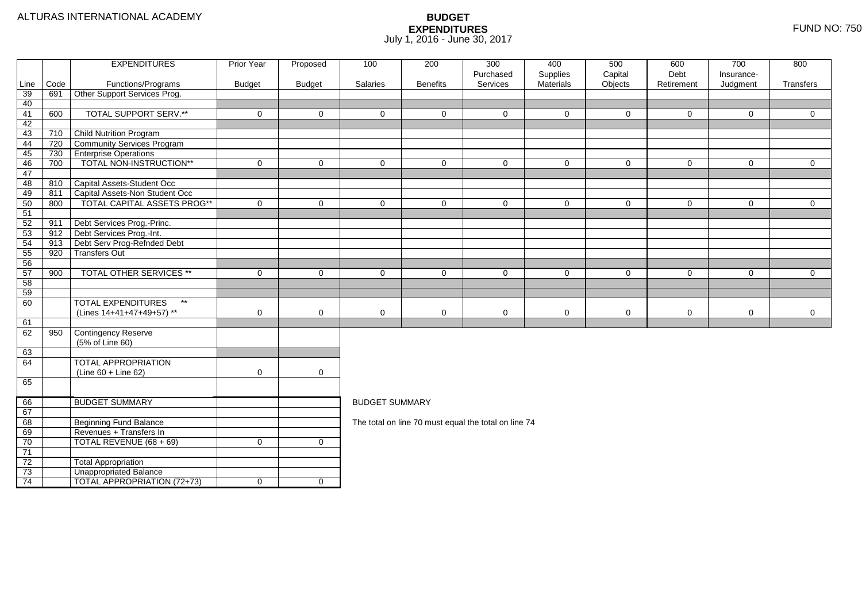|          |      | <b>EXPENDITURES</b>                       | <b>Prior Year</b> | Proposed            | 100                   | 200             | 300                                                  | 400                   | 500                | 600                | 700                    | 800            |
|----------|------|-------------------------------------------|-------------------|---------------------|-----------------------|-----------------|------------------------------------------------------|-----------------------|--------------------|--------------------|------------------------|----------------|
| Line     | Code | Functions/Programs                        | <b>Budget</b>     | <b>Budget</b>       | Salaries              | <b>Benefits</b> | Purchased<br>Services                                | Supplies<br>Materials | Capital<br>Objects | Debt<br>Retirement | Insurance-<br>Judgment | Transfers      |
| 39       | 691  | Other Support Services Prog.              |                   |                     |                       |                 |                                                      |                       |                    |                    |                        |                |
| 40       |      |                                           |                   |                     |                       |                 |                                                      |                       |                    |                    |                        |                |
| 41       | 600  | <b>TOTAL SUPPORT SERV.**</b>              | $\mathbf 0$       | $\mathbf{0}$        | $\Omega$              | $\Omega$        | $\Omega$                                             | $\Omega$              | $\mathbf{0}$       | $\mathbf 0$        | $\Omega$               | $\overline{0}$ |
| 42       |      |                                           |                   |                     |                       |                 |                                                      |                       |                    |                    |                        |                |
| 43       | 710  | <b>Child Nutrition Program</b>            |                   |                     |                       |                 |                                                      |                       |                    |                    |                        |                |
| 44       | 720  | Community Services Program                |                   |                     |                       |                 |                                                      |                       |                    |                    |                        |                |
| 45       | 730  | <b>Enterprise Operations</b>              |                   |                     |                       |                 |                                                      |                       |                    |                    |                        |                |
| 46       | 700  | TOTAL NON-INSTRUCTION**                   | $\mathbf 0$       | $\mathbf 0$         | $\mathbf 0$           | $\Omega$        | $\mathbf 0$                                          | $\Omega$              | $\mathbf 0$        | $\mathbf 0$        | $\mathbf 0$            | $\overline{0}$ |
| 47       |      |                                           |                   |                     |                       |                 |                                                      |                       |                    |                    |                        |                |
| 48       | 810  | Capital Assets-Student Occ                |                   |                     |                       |                 |                                                      |                       |                    |                    |                        |                |
| 49       | 811  | Capital Assets-Non Student Occ            |                   |                     |                       |                 |                                                      |                       |                    |                    |                        |                |
| 50       | 800  | TOTAL CAPITAL ASSETS PROG**               | $\Omega$          | $\overline{0}$      | $\Omega$              | $\Omega$        | $\Omega$                                             | $\Omega$              | $\mathbf 0$        | $\mathbf 0$        | $\mathbf 0$            | $\overline{0}$ |
| 51       |      |                                           |                   |                     |                       |                 |                                                      |                       |                    |                    |                        |                |
| 52       | 911  | Debt Services Prog.-Princ.                |                   |                     |                       |                 |                                                      |                       |                    |                    |                        |                |
| 53       | 912  | Debt Services Prog.-Int.                  |                   |                     |                       |                 |                                                      |                       |                    |                    |                        |                |
| 54       | 913  | Debt Serv Prog-Refnded Debt               |                   |                     |                       |                 |                                                      |                       |                    |                    |                        |                |
| 55       | 920  | <b>Transfers Out</b>                      |                   |                     |                       |                 |                                                      |                       |                    |                    |                        |                |
| 56       |      | TOTAL OTHER SERVICES **                   |                   |                     |                       |                 |                                                      |                       |                    |                    |                        |                |
| 57<br>58 | 900  |                                           | $\mathbf 0$       | $\mathbf 0$         | $\mathbf 0$           | $\mathbf 0$     | $\mathbf 0$                                          | $\mathbf 0$           | $\mathbf 0$        | 0                  | $\mathbf 0$            | $\overline{0}$ |
| 59       |      |                                           |                   |                     |                       |                 |                                                      |                       |                    |                    |                        |                |
| 60       |      | <b>TOTAL EXPENDITURES</b><br>$\star\star$ |                   |                     |                       |                 |                                                      |                       |                    |                    |                        |                |
|          |      | (Lines 14+41+47+49+57) **                 | 0                 | $\mathbf 0$         | $\mathbf 0$           | 0               | 0                                                    | 0                     | $\mathbf 0$        | $\mathbf 0$        | 0                      | $\mathbf 0$    |
| 61       |      |                                           |                   |                     |                       |                 |                                                      |                       |                    |                    |                        |                |
| 62       | 950  | Contingency Reserve                       |                   |                     |                       |                 |                                                      |                       |                    |                    |                        |                |
|          |      | (5% of Line 60)                           |                   |                     |                       |                 |                                                      |                       |                    |                    |                        |                |
| 63       |      |                                           |                   |                     |                       |                 |                                                      |                       |                    |                    |                        |                |
| 64       |      | <b>TOTAL APPROPRIATION</b>                |                   |                     |                       |                 |                                                      |                       |                    |                    |                        |                |
|          |      | $(Line 60 + Line 62)$                     | $\mathbf 0$       | $\mathsf{O}\xspace$ |                       |                 |                                                      |                       |                    |                    |                        |                |
| 65       |      |                                           |                   |                     |                       |                 |                                                      |                       |                    |                    |                        |                |
|          |      |                                           |                   |                     |                       |                 |                                                      |                       |                    |                    |                        |                |
| 66       |      | <b>BUDGET SUMMARY</b>                     |                   |                     | <b>BUDGET SUMMARY</b> |                 |                                                      |                       |                    |                    |                        |                |
| 67       |      |                                           |                   |                     |                       |                 |                                                      |                       |                    |                    |                        |                |
| 68       |      | <b>Beginning Fund Balance</b>             |                   |                     |                       |                 | The total on line 70 must equal the total on line 74 |                       |                    |                    |                        |                |
| 69       |      | Revenues + Transfers In                   |                   |                     |                       |                 |                                                      |                       |                    |                    |                        |                |
| 70       |      | TOTAL REVENUE (68 + 69)                   | $\mathbf 0$       | $\mathbf 0$         |                       |                 |                                                      |                       |                    |                    |                        |                |
| 71       |      |                                           |                   |                     |                       |                 |                                                      |                       |                    |                    |                        |                |
| 72       |      | <b>Total Appropriation</b>                |                   |                     |                       |                 |                                                      |                       |                    |                    |                        |                |
| 73       |      | <b>Unappropriated Balance</b>             |                   |                     |                       |                 |                                                      |                       |                    |                    |                        |                |
| 74       |      | TOTAL APPROPRIATION (72+73)               | $\mathbf 0$       | $\overline{0}$      |                       |                 |                                                      |                       |                    |                    |                        |                |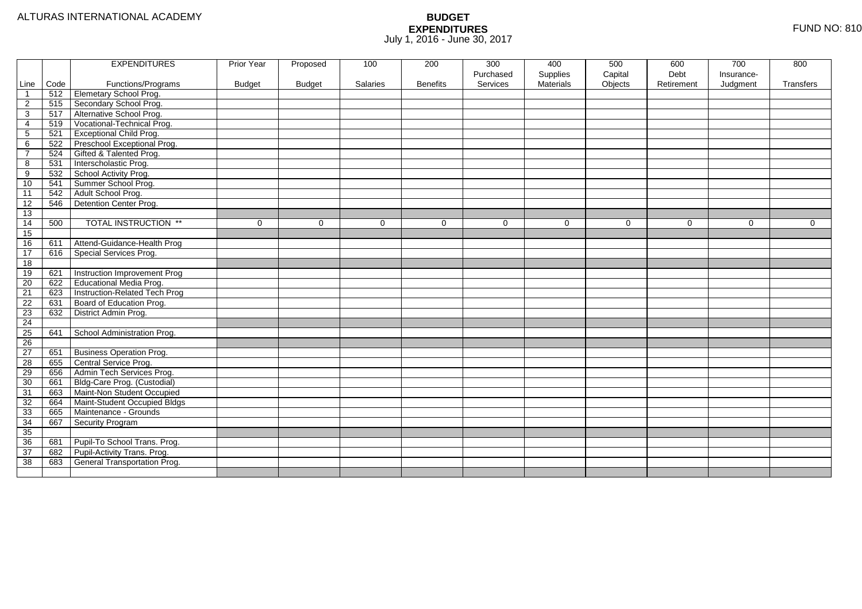| Purchased<br>Supplies<br>Capital<br>Debt<br>Insurance-<br>Code<br>Functions/Programs<br><b>Budget</b><br>Salaries<br><b>Benefits</b><br>Services<br><b>Materials</b><br>Objects<br>Judgment<br>Line<br><b>Budget</b><br>Retirement<br>Transfers<br>Elemetary School Prog.<br>512<br>$\overline{\mathbf{1}}$<br>Secondary School Prog.<br>515<br>$\overline{2}$<br>517<br>Alternative School Prog.<br>3<br>Vocational-Technical Prog.<br>519<br>4<br><b>Exceptional Child Prog.</b><br>5<br>521<br>Preschool Exceptional Prog.<br>522<br>6<br>Gifted & Talented Prog.<br>524<br>$\overline{7}$<br>Interscholastic Prog.<br>8<br>531<br>School Activity Prog.<br>9<br>532<br>Summer School Prog.<br>10<br>541<br>Adult School Prog.<br>$\overline{11}$<br>542<br>12<br>Detention Center Prog.<br>546<br>13<br><b>TOTAL INSTRUCTION **</b><br>14<br>500<br>$\mathbf 0$<br>$\Omega$<br>$\mathbf 0$<br>$\Omega$<br>0<br>$\mathbf 0$<br>$\Omega$<br>$\mathbf 0$<br>$\Omega$<br>0<br>15<br>Attend-Guidance-Health Prog<br>16<br>611<br>Special Services Prog.<br>17<br>616<br>18<br>Instruction Improvement Prog<br>19<br>621<br>Educational Media Prog.<br>$\overline{20}$<br>622<br>21<br>Instruction-Related Tech Prog<br>623<br>22<br>Board of Education Prog.<br>631<br>23<br>District Admin Prog.<br>632<br>24<br>25<br>641<br>School Administration Prog.<br>26<br>27<br><b>Business Operation Prog.</b><br>651<br>28<br>Central Service Prog.<br>655<br>29<br>Admin Tech Services Prog.<br>656<br>Bldg-Care Prog. (Custodial)<br>30<br>661<br>Maint-Non Student Occupied<br>31<br>663<br>32<br>Maint-Student Occupied Bldgs<br>664<br>33<br>Maintenance - Grounds<br>665<br>34<br>667<br>Security Program<br>35<br>36<br>Pupil-To School Trans. Prog.<br>681<br>Pupil-Activity Trans. Prog.<br>37<br>682<br>38<br>General Transportation Prog.<br>683 |  | <b>EXPENDITURES</b> | Prior Year | Proposed | 100 | 200 | 300 | 400 | 500 | 600 | 700 | 800 |
|--------------------------------------------------------------------------------------------------------------------------------------------------------------------------------------------------------------------------------------------------------------------------------------------------------------------------------------------------------------------------------------------------------------------------------------------------------------------------------------------------------------------------------------------------------------------------------------------------------------------------------------------------------------------------------------------------------------------------------------------------------------------------------------------------------------------------------------------------------------------------------------------------------------------------------------------------------------------------------------------------------------------------------------------------------------------------------------------------------------------------------------------------------------------------------------------------------------------------------------------------------------------------------------------------------------------------------------------------------------------------------------------------------------------------------------------------------------------------------------------------------------------------------------------------------------------------------------------------------------------------------------------------------------------------------------------------------------------------------------------------------------------------------------------------------------------------------------------------------|--|---------------------|------------|----------|-----|-----|-----|-----|-----|-----|-----|-----|
|                                                                                                                                                                                                                                                                                                                                                                                                                                                                                                                                                                                                                                                                                                                                                                                                                                                                                                                                                                                                                                                                                                                                                                                                                                                                                                                                                                                                                                                                                                                                                                                                                                                                                                                                                                                                                                                        |  |                     |            |          |     |     |     |     |     |     |     |     |
|                                                                                                                                                                                                                                                                                                                                                                                                                                                                                                                                                                                                                                                                                                                                                                                                                                                                                                                                                                                                                                                                                                                                                                                                                                                                                                                                                                                                                                                                                                                                                                                                                                                                                                                                                                                                                                                        |  |                     |            |          |     |     |     |     |     |     |     |     |
|                                                                                                                                                                                                                                                                                                                                                                                                                                                                                                                                                                                                                                                                                                                                                                                                                                                                                                                                                                                                                                                                                                                                                                                                                                                                                                                                                                                                                                                                                                                                                                                                                                                                                                                                                                                                                                                        |  |                     |            |          |     |     |     |     |     |     |     |     |
|                                                                                                                                                                                                                                                                                                                                                                                                                                                                                                                                                                                                                                                                                                                                                                                                                                                                                                                                                                                                                                                                                                                                                                                                                                                                                                                                                                                                                                                                                                                                                                                                                                                                                                                                                                                                                                                        |  |                     |            |          |     |     |     |     |     |     |     |     |
|                                                                                                                                                                                                                                                                                                                                                                                                                                                                                                                                                                                                                                                                                                                                                                                                                                                                                                                                                                                                                                                                                                                                                                                                                                                                                                                                                                                                                                                                                                                                                                                                                                                                                                                                                                                                                                                        |  |                     |            |          |     |     |     |     |     |     |     |     |
|                                                                                                                                                                                                                                                                                                                                                                                                                                                                                                                                                                                                                                                                                                                                                                                                                                                                                                                                                                                                                                                                                                                                                                                                                                                                                                                                                                                                                                                                                                                                                                                                                                                                                                                                                                                                                                                        |  |                     |            |          |     |     |     |     |     |     |     |     |
|                                                                                                                                                                                                                                                                                                                                                                                                                                                                                                                                                                                                                                                                                                                                                                                                                                                                                                                                                                                                                                                                                                                                                                                                                                                                                                                                                                                                                                                                                                                                                                                                                                                                                                                                                                                                                                                        |  |                     |            |          |     |     |     |     |     |     |     |     |
|                                                                                                                                                                                                                                                                                                                                                                                                                                                                                                                                                                                                                                                                                                                                                                                                                                                                                                                                                                                                                                                                                                                                                                                                                                                                                                                                                                                                                                                                                                                                                                                                                                                                                                                                                                                                                                                        |  |                     |            |          |     |     |     |     |     |     |     |     |
|                                                                                                                                                                                                                                                                                                                                                                                                                                                                                                                                                                                                                                                                                                                                                                                                                                                                                                                                                                                                                                                                                                                                                                                                                                                                                                                                                                                                                                                                                                                                                                                                                                                                                                                                                                                                                                                        |  |                     |            |          |     |     |     |     |     |     |     |     |
|                                                                                                                                                                                                                                                                                                                                                                                                                                                                                                                                                                                                                                                                                                                                                                                                                                                                                                                                                                                                                                                                                                                                                                                                                                                                                                                                                                                                                                                                                                                                                                                                                                                                                                                                                                                                                                                        |  |                     |            |          |     |     |     |     |     |     |     |     |
|                                                                                                                                                                                                                                                                                                                                                                                                                                                                                                                                                                                                                                                                                                                                                                                                                                                                                                                                                                                                                                                                                                                                                                                                                                                                                                                                                                                                                                                                                                                                                                                                                                                                                                                                                                                                                                                        |  |                     |            |          |     |     |     |     |     |     |     |     |
|                                                                                                                                                                                                                                                                                                                                                                                                                                                                                                                                                                                                                                                                                                                                                                                                                                                                                                                                                                                                                                                                                                                                                                                                                                                                                                                                                                                                                                                                                                                                                                                                                                                                                                                                                                                                                                                        |  |                     |            |          |     |     |     |     |     |     |     |     |
|                                                                                                                                                                                                                                                                                                                                                                                                                                                                                                                                                                                                                                                                                                                                                                                                                                                                                                                                                                                                                                                                                                                                                                                                                                                                                                                                                                                                                                                                                                                                                                                                                                                                                                                                                                                                                                                        |  |                     |            |          |     |     |     |     |     |     |     |     |
|                                                                                                                                                                                                                                                                                                                                                                                                                                                                                                                                                                                                                                                                                                                                                                                                                                                                                                                                                                                                                                                                                                                                                                                                                                                                                                                                                                                                                                                                                                                                                                                                                                                                                                                                                                                                                                                        |  |                     |            |          |     |     |     |     |     |     |     |     |
|                                                                                                                                                                                                                                                                                                                                                                                                                                                                                                                                                                                                                                                                                                                                                                                                                                                                                                                                                                                                                                                                                                                                                                                                                                                                                                                                                                                                                                                                                                                                                                                                                                                                                                                                                                                                                                                        |  |                     |            |          |     |     |     |     |     |     |     |     |
|                                                                                                                                                                                                                                                                                                                                                                                                                                                                                                                                                                                                                                                                                                                                                                                                                                                                                                                                                                                                                                                                                                                                                                                                                                                                                                                                                                                                                                                                                                                                                                                                                                                                                                                                                                                                                                                        |  |                     |            |          |     |     |     |     |     |     |     |     |
|                                                                                                                                                                                                                                                                                                                                                                                                                                                                                                                                                                                                                                                                                                                                                                                                                                                                                                                                                                                                                                                                                                                                                                                                                                                                                                                                                                                                                                                                                                                                                                                                                                                                                                                                                                                                                                                        |  |                     |            |          |     |     |     |     |     |     |     |     |
|                                                                                                                                                                                                                                                                                                                                                                                                                                                                                                                                                                                                                                                                                                                                                                                                                                                                                                                                                                                                                                                                                                                                                                                                                                                                                                                                                                                                                                                                                                                                                                                                                                                                                                                                                                                                                                                        |  |                     |            |          |     |     |     |     |     |     |     |     |
|                                                                                                                                                                                                                                                                                                                                                                                                                                                                                                                                                                                                                                                                                                                                                                                                                                                                                                                                                                                                                                                                                                                                                                                                                                                                                                                                                                                                                                                                                                                                                                                                                                                                                                                                                                                                                                                        |  |                     |            |          |     |     |     |     |     |     |     |     |
|                                                                                                                                                                                                                                                                                                                                                                                                                                                                                                                                                                                                                                                                                                                                                                                                                                                                                                                                                                                                                                                                                                                                                                                                                                                                                                                                                                                                                                                                                                                                                                                                                                                                                                                                                                                                                                                        |  |                     |            |          |     |     |     |     |     |     |     |     |
|                                                                                                                                                                                                                                                                                                                                                                                                                                                                                                                                                                                                                                                                                                                                                                                                                                                                                                                                                                                                                                                                                                                                                                                                                                                                                                                                                                                                                                                                                                                                                                                                                                                                                                                                                                                                                                                        |  |                     |            |          |     |     |     |     |     |     |     |     |
|                                                                                                                                                                                                                                                                                                                                                                                                                                                                                                                                                                                                                                                                                                                                                                                                                                                                                                                                                                                                                                                                                                                                                                                                                                                                                                                                                                                                                                                                                                                                                                                                                                                                                                                                                                                                                                                        |  |                     |            |          |     |     |     |     |     |     |     |     |
|                                                                                                                                                                                                                                                                                                                                                                                                                                                                                                                                                                                                                                                                                                                                                                                                                                                                                                                                                                                                                                                                                                                                                                                                                                                                                                                                                                                                                                                                                                                                                                                                                                                                                                                                                                                                                                                        |  |                     |            |          |     |     |     |     |     |     |     |     |
|                                                                                                                                                                                                                                                                                                                                                                                                                                                                                                                                                                                                                                                                                                                                                                                                                                                                                                                                                                                                                                                                                                                                                                                                                                                                                                                                                                                                                                                                                                                                                                                                                                                                                                                                                                                                                                                        |  |                     |            |          |     |     |     |     |     |     |     |     |
|                                                                                                                                                                                                                                                                                                                                                                                                                                                                                                                                                                                                                                                                                                                                                                                                                                                                                                                                                                                                                                                                                                                                                                                                                                                                                                                                                                                                                                                                                                                                                                                                                                                                                                                                                                                                                                                        |  |                     |            |          |     |     |     |     |     |     |     |     |
|                                                                                                                                                                                                                                                                                                                                                                                                                                                                                                                                                                                                                                                                                                                                                                                                                                                                                                                                                                                                                                                                                                                                                                                                                                                                                                                                                                                                                                                                                                                                                                                                                                                                                                                                                                                                                                                        |  |                     |            |          |     |     |     |     |     |     |     |     |
|                                                                                                                                                                                                                                                                                                                                                                                                                                                                                                                                                                                                                                                                                                                                                                                                                                                                                                                                                                                                                                                                                                                                                                                                                                                                                                                                                                                                                                                                                                                                                                                                                                                                                                                                                                                                                                                        |  |                     |            |          |     |     |     |     |     |     |     |     |
|                                                                                                                                                                                                                                                                                                                                                                                                                                                                                                                                                                                                                                                                                                                                                                                                                                                                                                                                                                                                                                                                                                                                                                                                                                                                                                                                                                                                                                                                                                                                                                                                                                                                                                                                                                                                                                                        |  |                     |            |          |     |     |     |     |     |     |     |     |
|                                                                                                                                                                                                                                                                                                                                                                                                                                                                                                                                                                                                                                                                                                                                                                                                                                                                                                                                                                                                                                                                                                                                                                                                                                                                                                                                                                                                                                                                                                                                                                                                                                                                                                                                                                                                                                                        |  |                     |            |          |     |     |     |     |     |     |     |     |
|                                                                                                                                                                                                                                                                                                                                                                                                                                                                                                                                                                                                                                                                                                                                                                                                                                                                                                                                                                                                                                                                                                                                                                                                                                                                                                                                                                                                                                                                                                                                                                                                                                                                                                                                                                                                                                                        |  |                     |            |          |     |     |     |     |     |     |     |     |
|                                                                                                                                                                                                                                                                                                                                                                                                                                                                                                                                                                                                                                                                                                                                                                                                                                                                                                                                                                                                                                                                                                                                                                                                                                                                                                                                                                                                                                                                                                                                                                                                                                                                                                                                                                                                                                                        |  |                     |            |          |     |     |     |     |     |     |     |     |
|                                                                                                                                                                                                                                                                                                                                                                                                                                                                                                                                                                                                                                                                                                                                                                                                                                                                                                                                                                                                                                                                                                                                                                                                                                                                                                                                                                                                                                                                                                                                                                                                                                                                                                                                                                                                                                                        |  |                     |            |          |     |     |     |     |     |     |     |     |
|                                                                                                                                                                                                                                                                                                                                                                                                                                                                                                                                                                                                                                                                                                                                                                                                                                                                                                                                                                                                                                                                                                                                                                                                                                                                                                                                                                                                                                                                                                                                                                                                                                                                                                                                                                                                                                                        |  |                     |            |          |     |     |     |     |     |     |     |     |
|                                                                                                                                                                                                                                                                                                                                                                                                                                                                                                                                                                                                                                                                                                                                                                                                                                                                                                                                                                                                                                                                                                                                                                                                                                                                                                                                                                                                                                                                                                                                                                                                                                                                                                                                                                                                                                                        |  |                     |            |          |     |     |     |     |     |     |     |     |
|                                                                                                                                                                                                                                                                                                                                                                                                                                                                                                                                                                                                                                                                                                                                                                                                                                                                                                                                                                                                                                                                                                                                                                                                                                                                                                                                                                                                                                                                                                                                                                                                                                                                                                                                                                                                                                                        |  |                     |            |          |     |     |     |     |     |     |     |     |
|                                                                                                                                                                                                                                                                                                                                                                                                                                                                                                                                                                                                                                                                                                                                                                                                                                                                                                                                                                                                                                                                                                                                                                                                                                                                                                                                                                                                                                                                                                                                                                                                                                                                                                                                                                                                                                                        |  |                     |            |          |     |     |     |     |     |     |     |     |
|                                                                                                                                                                                                                                                                                                                                                                                                                                                                                                                                                                                                                                                                                                                                                                                                                                                                                                                                                                                                                                                                                                                                                                                                                                                                                                                                                                                                                                                                                                                                                                                                                                                                                                                                                                                                                                                        |  |                     |            |          |     |     |     |     |     |     |     |     |
|                                                                                                                                                                                                                                                                                                                                                                                                                                                                                                                                                                                                                                                                                                                                                                                                                                                                                                                                                                                                                                                                                                                                                                                                                                                                                                                                                                                                                                                                                                                                                                                                                                                                                                                                                                                                                                                        |  |                     |            |          |     |     |     |     |     |     |     |     |
|                                                                                                                                                                                                                                                                                                                                                                                                                                                                                                                                                                                                                                                                                                                                                                                                                                                                                                                                                                                                                                                                                                                                                                                                                                                                                                                                                                                                                                                                                                                                                                                                                                                                                                                                                                                                                                                        |  |                     |            |          |     |     |     |     |     |     |     |     |
|                                                                                                                                                                                                                                                                                                                                                                                                                                                                                                                                                                                                                                                                                                                                                                                                                                                                                                                                                                                                                                                                                                                                                                                                                                                                                                                                                                                                                                                                                                                                                                                                                                                                                                                                                                                                                                                        |  |                     |            |          |     |     |     |     |     |     |     |     |
|                                                                                                                                                                                                                                                                                                                                                                                                                                                                                                                                                                                                                                                                                                                                                                                                                                                                                                                                                                                                                                                                                                                                                                                                                                                                                                                                                                                                                                                                                                                                                                                                                                                                                                                                                                                                                                                        |  |                     |            |          |     |     |     |     |     |     |     |     |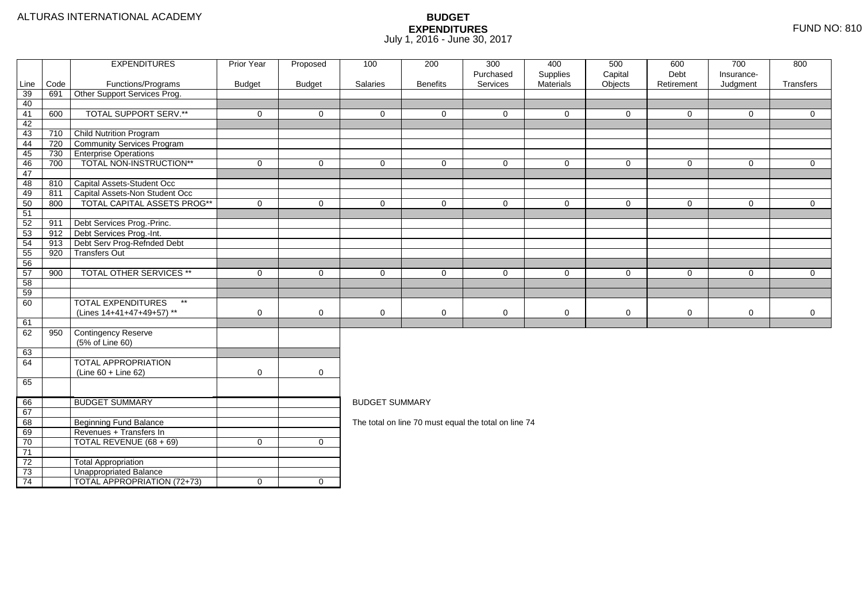|          |      | <b>EXPENDITURES</b>                       | <b>Prior Year</b> | Proposed            | 100                   | 200             | 300                                                  | 400                   | 500                | 600                | 700                    | 800            |
|----------|------|-------------------------------------------|-------------------|---------------------|-----------------------|-----------------|------------------------------------------------------|-----------------------|--------------------|--------------------|------------------------|----------------|
| Line     | Code | Functions/Programs                        | <b>Budget</b>     | <b>Budget</b>       | Salaries              | <b>Benefits</b> | Purchased<br>Services                                | Supplies<br>Materials | Capital<br>Objects | Debt<br>Retirement | Insurance-<br>Judgment | Transfers      |
| 39       | 691  | Other Support Services Prog.              |                   |                     |                       |                 |                                                      |                       |                    |                    |                        |                |
| 40       |      |                                           |                   |                     |                       |                 |                                                      |                       |                    |                    |                        |                |
| 41       | 600  | <b>TOTAL SUPPORT SERV.**</b>              | $\mathbf 0$       | $\mathbf{0}$        | $\Omega$              | $\Omega$        | $\Omega$                                             | $\Omega$              | $\mathbf{0}$       | $\mathbf 0$        | $\Omega$               | $\overline{0}$ |
| 42       |      |                                           |                   |                     |                       |                 |                                                      |                       |                    |                    |                        |                |
| 43       | 710  | <b>Child Nutrition Program</b>            |                   |                     |                       |                 |                                                      |                       |                    |                    |                        |                |
| 44       | 720  | Community Services Program                |                   |                     |                       |                 |                                                      |                       |                    |                    |                        |                |
| 45       | 730  | <b>Enterprise Operations</b>              |                   |                     |                       |                 |                                                      |                       |                    |                    |                        |                |
| 46       | 700  | TOTAL NON-INSTRUCTION**                   | $\mathbf 0$       | $\mathbf 0$         | $\mathbf 0$           | $\Omega$        | $\mathbf 0$                                          | $\Omega$              | $\mathbf 0$        | $\mathbf 0$        | $\mathbf 0$            | $\overline{0}$ |
| 47       |      |                                           |                   |                     |                       |                 |                                                      |                       |                    |                    |                        |                |
| 48       | 810  | Capital Assets-Student Occ                |                   |                     |                       |                 |                                                      |                       |                    |                    |                        |                |
| 49       | 811  | Capital Assets-Non Student Occ            |                   |                     |                       |                 |                                                      |                       |                    |                    |                        |                |
| 50       | 800  | TOTAL CAPITAL ASSETS PROG**               | $\Omega$          | $\overline{0}$      | $\Omega$              | $\Omega$        | $\Omega$                                             | $\Omega$              | $\mathbf 0$        | $\mathbf 0$        | $\mathbf 0$            | $\overline{0}$ |
| 51       |      |                                           |                   |                     |                       |                 |                                                      |                       |                    |                    |                        |                |
| 52       | 911  | Debt Services Prog.-Princ.                |                   |                     |                       |                 |                                                      |                       |                    |                    |                        |                |
| 53       | 912  | Debt Services Prog.-Int.                  |                   |                     |                       |                 |                                                      |                       |                    |                    |                        |                |
| 54       | 913  | Debt Serv Prog-Refnded Debt               |                   |                     |                       |                 |                                                      |                       |                    |                    |                        |                |
| 55       | 920  | <b>Transfers Out</b>                      |                   |                     |                       |                 |                                                      |                       |                    |                    |                        |                |
| 56       |      | TOTAL OTHER SERVICES **                   |                   |                     |                       |                 |                                                      |                       |                    |                    |                        |                |
| 57<br>58 | 900  |                                           | $\mathbf 0$       | $\mathbf 0$         | $\mathbf 0$           | $\mathbf 0$     | $\mathbf 0$                                          | $\mathbf 0$           | $\mathbf 0$        | 0                  | $\mathbf 0$            | $\overline{0}$ |
| 59       |      |                                           |                   |                     |                       |                 |                                                      |                       |                    |                    |                        |                |
| 60       |      | <b>TOTAL EXPENDITURES</b><br>$\star\star$ |                   |                     |                       |                 |                                                      |                       |                    |                    |                        |                |
|          |      | (Lines 14+41+47+49+57) **                 | 0                 | $\mathbf 0$         | $\mathbf 0$           | 0               | 0                                                    | 0                     | $\mathbf 0$        | $\mathbf 0$        | 0                      | $\mathbf 0$    |
| 61       |      |                                           |                   |                     |                       |                 |                                                      |                       |                    |                    |                        |                |
| 62       | 950  | Contingency Reserve                       |                   |                     |                       |                 |                                                      |                       |                    |                    |                        |                |
|          |      | (5% of Line 60)                           |                   |                     |                       |                 |                                                      |                       |                    |                    |                        |                |
| 63       |      |                                           |                   |                     |                       |                 |                                                      |                       |                    |                    |                        |                |
| 64       |      | <b>TOTAL APPROPRIATION</b>                |                   |                     |                       |                 |                                                      |                       |                    |                    |                        |                |
|          |      | $(Line 60 + Line 62)$                     | $\mathbf 0$       | $\mathsf{O}\xspace$ |                       |                 |                                                      |                       |                    |                    |                        |                |
| 65       |      |                                           |                   |                     |                       |                 |                                                      |                       |                    |                    |                        |                |
|          |      |                                           |                   |                     |                       |                 |                                                      |                       |                    |                    |                        |                |
| 66       |      | <b>BUDGET SUMMARY</b>                     |                   |                     | <b>BUDGET SUMMARY</b> |                 |                                                      |                       |                    |                    |                        |                |
| 67       |      |                                           |                   |                     |                       |                 |                                                      |                       |                    |                    |                        |                |
| 68       |      | <b>Beginning Fund Balance</b>             |                   |                     |                       |                 | The total on line 70 must equal the total on line 74 |                       |                    |                    |                        |                |
| 69       |      | Revenues + Transfers In                   |                   |                     |                       |                 |                                                      |                       |                    |                    |                        |                |
| 70       |      | TOTAL REVENUE (68 + 69)                   | $\mathbf 0$       | $\mathbf 0$         |                       |                 |                                                      |                       |                    |                    |                        |                |
| 71       |      |                                           |                   |                     |                       |                 |                                                      |                       |                    |                    |                        |                |
| 72       |      | <b>Total Appropriation</b>                |                   |                     |                       |                 |                                                      |                       |                    |                    |                        |                |
| 73       |      | <b>Unappropriated Balance</b>             |                   |                     |                       |                 |                                                      |                       |                    |                    |                        |                |
| 74       |      | TOTAL APPROPRIATION (72+73)               | $\mathbf 0$       | $\overline{0}$      |                       |                 |                                                      |                       |                    |                    |                        |                |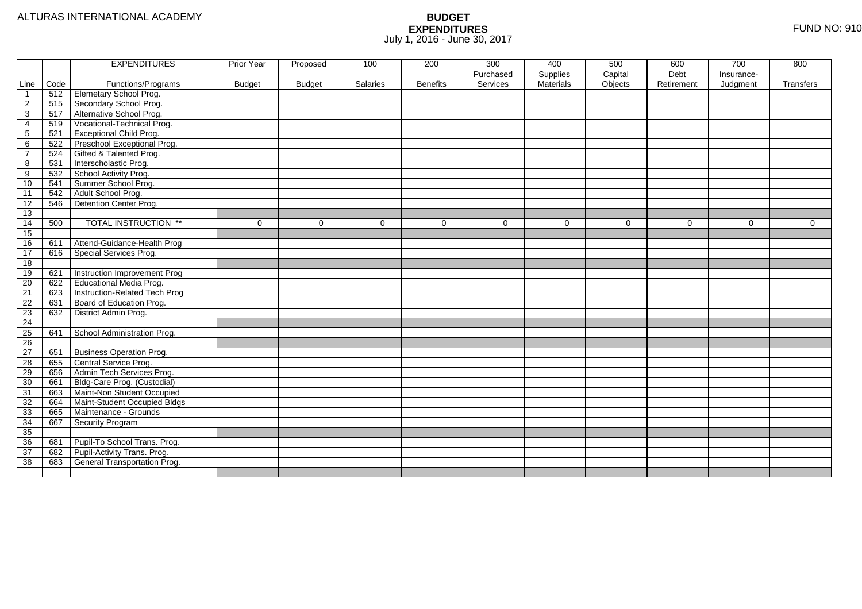| Purchased<br>Supplies<br>Capital<br>Debt<br>Insurance-<br>Code<br>Functions/Programs<br><b>Budget</b><br>Salaries<br><b>Benefits</b><br>Services<br><b>Materials</b><br>Objects<br>Judgment<br>Line<br><b>Budget</b><br>Retirement<br>Transfers<br>Elemetary School Prog.<br>512<br>$\overline{\mathbf{1}}$<br>Secondary School Prog.<br>515<br>$\overline{2}$<br>517<br>Alternative School Prog.<br>3<br>Vocational-Technical Prog.<br>519<br>4<br><b>Exceptional Child Prog.</b><br>5<br>521<br>Preschool Exceptional Prog.<br>522<br>6<br>Gifted & Talented Prog.<br>524<br>$\overline{7}$<br>Interscholastic Prog.<br>8<br>531<br>School Activity Prog.<br>9<br>532<br>Summer School Prog.<br>10<br>541<br>Adult School Prog.<br>$\overline{11}$<br>542<br>12<br>Detention Center Prog.<br>546<br>13<br><b>TOTAL INSTRUCTION **</b><br>14<br>500<br>$\mathbf 0$<br>$\Omega$<br>$\mathbf 0$<br>$\Omega$<br>0<br>$\mathbf 0$<br>$\Omega$<br>$\mathbf 0$<br>$\Omega$<br>0<br>15<br>Attend-Guidance-Health Prog<br>16<br>611<br>Special Services Prog.<br>17<br>616<br>18<br>Instruction Improvement Prog<br>19<br>621<br>Educational Media Prog.<br>$\overline{20}$<br>622<br>21<br>Instruction-Related Tech Prog<br>623<br>22<br>Board of Education Prog.<br>631<br>23<br>District Admin Prog.<br>632<br>24<br>25<br>641<br>School Administration Prog.<br>26<br>27<br><b>Business Operation Prog.</b><br>651<br>28<br>Central Service Prog.<br>655<br>29<br>Admin Tech Services Prog.<br>656<br>Bldg-Care Prog. (Custodial)<br>30<br>661<br>Maint-Non Student Occupied<br>31<br>663<br>32<br>Maint-Student Occupied Bldgs<br>664<br>33<br>Maintenance - Grounds<br>665<br>34<br>667<br>Security Program<br>35<br>36<br>Pupil-To School Trans. Prog.<br>681<br>Pupil-Activity Trans. Prog.<br>37<br>682<br>38<br>General Transportation Prog.<br>683 |  | <b>EXPENDITURES</b> | Prior Year | Proposed | 100 | 200 | 300 | 400 | 500 | 600 | 700 | 800 |
|--------------------------------------------------------------------------------------------------------------------------------------------------------------------------------------------------------------------------------------------------------------------------------------------------------------------------------------------------------------------------------------------------------------------------------------------------------------------------------------------------------------------------------------------------------------------------------------------------------------------------------------------------------------------------------------------------------------------------------------------------------------------------------------------------------------------------------------------------------------------------------------------------------------------------------------------------------------------------------------------------------------------------------------------------------------------------------------------------------------------------------------------------------------------------------------------------------------------------------------------------------------------------------------------------------------------------------------------------------------------------------------------------------------------------------------------------------------------------------------------------------------------------------------------------------------------------------------------------------------------------------------------------------------------------------------------------------------------------------------------------------------------------------------------------------------------------------------------------------|--|---------------------|------------|----------|-----|-----|-----|-----|-----|-----|-----|-----|
|                                                                                                                                                                                                                                                                                                                                                                                                                                                                                                                                                                                                                                                                                                                                                                                                                                                                                                                                                                                                                                                                                                                                                                                                                                                                                                                                                                                                                                                                                                                                                                                                                                                                                                                                                                                                                                                        |  |                     |            |          |     |     |     |     |     |     |     |     |
|                                                                                                                                                                                                                                                                                                                                                                                                                                                                                                                                                                                                                                                                                                                                                                                                                                                                                                                                                                                                                                                                                                                                                                                                                                                                                                                                                                                                                                                                                                                                                                                                                                                                                                                                                                                                                                                        |  |                     |            |          |     |     |     |     |     |     |     |     |
|                                                                                                                                                                                                                                                                                                                                                                                                                                                                                                                                                                                                                                                                                                                                                                                                                                                                                                                                                                                                                                                                                                                                                                                                                                                                                                                                                                                                                                                                                                                                                                                                                                                                                                                                                                                                                                                        |  |                     |            |          |     |     |     |     |     |     |     |     |
|                                                                                                                                                                                                                                                                                                                                                                                                                                                                                                                                                                                                                                                                                                                                                                                                                                                                                                                                                                                                                                                                                                                                                                                                                                                                                                                                                                                                                                                                                                                                                                                                                                                                                                                                                                                                                                                        |  |                     |            |          |     |     |     |     |     |     |     |     |
|                                                                                                                                                                                                                                                                                                                                                                                                                                                                                                                                                                                                                                                                                                                                                                                                                                                                                                                                                                                                                                                                                                                                                                                                                                                                                                                                                                                                                                                                                                                                                                                                                                                                                                                                                                                                                                                        |  |                     |            |          |     |     |     |     |     |     |     |     |
|                                                                                                                                                                                                                                                                                                                                                                                                                                                                                                                                                                                                                                                                                                                                                                                                                                                                                                                                                                                                                                                                                                                                                                                                                                                                                                                                                                                                                                                                                                                                                                                                                                                                                                                                                                                                                                                        |  |                     |            |          |     |     |     |     |     |     |     |     |
|                                                                                                                                                                                                                                                                                                                                                                                                                                                                                                                                                                                                                                                                                                                                                                                                                                                                                                                                                                                                                                                                                                                                                                                                                                                                                                                                                                                                                                                                                                                                                                                                                                                                                                                                                                                                                                                        |  |                     |            |          |     |     |     |     |     |     |     |     |
|                                                                                                                                                                                                                                                                                                                                                                                                                                                                                                                                                                                                                                                                                                                                                                                                                                                                                                                                                                                                                                                                                                                                                                                                                                                                                                                                                                                                                                                                                                                                                                                                                                                                                                                                                                                                                                                        |  |                     |            |          |     |     |     |     |     |     |     |     |
|                                                                                                                                                                                                                                                                                                                                                                                                                                                                                                                                                                                                                                                                                                                                                                                                                                                                                                                                                                                                                                                                                                                                                                                                                                                                                                                                                                                                                                                                                                                                                                                                                                                                                                                                                                                                                                                        |  |                     |            |          |     |     |     |     |     |     |     |     |
|                                                                                                                                                                                                                                                                                                                                                                                                                                                                                                                                                                                                                                                                                                                                                                                                                                                                                                                                                                                                                                                                                                                                                                                                                                                                                                                                                                                                                                                                                                                                                                                                                                                                                                                                                                                                                                                        |  |                     |            |          |     |     |     |     |     |     |     |     |
|                                                                                                                                                                                                                                                                                                                                                                                                                                                                                                                                                                                                                                                                                                                                                                                                                                                                                                                                                                                                                                                                                                                                                                                                                                                                                                                                                                                                                                                                                                                                                                                                                                                                                                                                                                                                                                                        |  |                     |            |          |     |     |     |     |     |     |     |     |
|                                                                                                                                                                                                                                                                                                                                                                                                                                                                                                                                                                                                                                                                                                                                                                                                                                                                                                                                                                                                                                                                                                                                                                                                                                                                                                                                                                                                                                                                                                                                                                                                                                                                                                                                                                                                                                                        |  |                     |            |          |     |     |     |     |     |     |     |     |
|                                                                                                                                                                                                                                                                                                                                                                                                                                                                                                                                                                                                                                                                                                                                                                                                                                                                                                                                                                                                                                                                                                                                                                                                                                                                                                                                                                                                                                                                                                                                                                                                                                                                                                                                                                                                                                                        |  |                     |            |          |     |     |     |     |     |     |     |     |
|                                                                                                                                                                                                                                                                                                                                                                                                                                                                                                                                                                                                                                                                                                                                                                                                                                                                                                                                                                                                                                                                                                                                                                                                                                                                                                                                                                                                                                                                                                                                                                                                                                                                                                                                                                                                                                                        |  |                     |            |          |     |     |     |     |     |     |     |     |
|                                                                                                                                                                                                                                                                                                                                                                                                                                                                                                                                                                                                                                                                                                                                                                                                                                                                                                                                                                                                                                                                                                                                                                                                                                                                                                                                                                                                                                                                                                                                                                                                                                                                                                                                                                                                                                                        |  |                     |            |          |     |     |     |     |     |     |     |     |
|                                                                                                                                                                                                                                                                                                                                                                                                                                                                                                                                                                                                                                                                                                                                                                                                                                                                                                                                                                                                                                                                                                                                                                                                                                                                                                                                                                                                                                                                                                                                                                                                                                                                                                                                                                                                                                                        |  |                     |            |          |     |     |     |     |     |     |     |     |
|                                                                                                                                                                                                                                                                                                                                                                                                                                                                                                                                                                                                                                                                                                                                                                                                                                                                                                                                                                                                                                                                                                                                                                                                                                                                                                                                                                                                                                                                                                                                                                                                                                                                                                                                                                                                                                                        |  |                     |            |          |     |     |     |     |     |     |     |     |
|                                                                                                                                                                                                                                                                                                                                                                                                                                                                                                                                                                                                                                                                                                                                                                                                                                                                                                                                                                                                                                                                                                                                                                                                                                                                                                                                                                                                                                                                                                                                                                                                                                                                                                                                                                                                                                                        |  |                     |            |          |     |     |     |     |     |     |     |     |
|                                                                                                                                                                                                                                                                                                                                                                                                                                                                                                                                                                                                                                                                                                                                                                                                                                                                                                                                                                                                                                                                                                                                                                                                                                                                                                                                                                                                                                                                                                                                                                                                                                                                                                                                                                                                                                                        |  |                     |            |          |     |     |     |     |     |     |     |     |
|                                                                                                                                                                                                                                                                                                                                                                                                                                                                                                                                                                                                                                                                                                                                                                                                                                                                                                                                                                                                                                                                                                                                                                                                                                                                                                                                                                                                                                                                                                                                                                                                                                                                                                                                                                                                                                                        |  |                     |            |          |     |     |     |     |     |     |     |     |
|                                                                                                                                                                                                                                                                                                                                                                                                                                                                                                                                                                                                                                                                                                                                                                                                                                                                                                                                                                                                                                                                                                                                                                                                                                                                                                                                                                                                                                                                                                                                                                                                                                                                                                                                                                                                                                                        |  |                     |            |          |     |     |     |     |     |     |     |     |
|                                                                                                                                                                                                                                                                                                                                                                                                                                                                                                                                                                                                                                                                                                                                                                                                                                                                                                                                                                                                                                                                                                                                                                                                                                                                                                                                                                                                                                                                                                                                                                                                                                                                                                                                                                                                                                                        |  |                     |            |          |     |     |     |     |     |     |     |     |
|                                                                                                                                                                                                                                                                                                                                                                                                                                                                                                                                                                                                                                                                                                                                                                                                                                                                                                                                                                                                                                                                                                                                                                                                                                                                                                                                                                                                                                                                                                                                                                                                                                                                                                                                                                                                                                                        |  |                     |            |          |     |     |     |     |     |     |     |     |
|                                                                                                                                                                                                                                                                                                                                                                                                                                                                                                                                                                                                                                                                                                                                                                                                                                                                                                                                                                                                                                                                                                                                                                                                                                                                                                                                                                                                                                                                                                                                                                                                                                                                                                                                                                                                                                                        |  |                     |            |          |     |     |     |     |     |     |     |     |
|                                                                                                                                                                                                                                                                                                                                                                                                                                                                                                                                                                                                                                                                                                                                                                                                                                                                                                                                                                                                                                                                                                                                                                                                                                                                                                                                                                                                                                                                                                                                                                                                                                                                                                                                                                                                                                                        |  |                     |            |          |     |     |     |     |     |     |     |     |
|                                                                                                                                                                                                                                                                                                                                                                                                                                                                                                                                                                                                                                                                                                                                                                                                                                                                                                                                                                                                                                                                                                                                                                                                                                                                                                                                                                                                                                                                                                                                                                                                                                                                                                                                                                                                                                                        |  |                     |            |          |     |     |     |     |     |     |     |     |
|                                                                                                                                                                                                                                                                                                                                                                                                                                                                                                                                                                                                                                                                                                                                                                                                                                                                                                                                                                                                                                                                                                                                                                                                                                                                                                                                                                                                                                                                                                                                                                                                                                                                                                                                                                                                                                                        |  |                     |            |          |     |     |     |     |     |     |     |     |
|                                                                                                                                                                                                                                                                                                                                                                                                                                                                                                                                                                                                                                                                                                                                                                                                                                                                                                                                                                                                                                                                                                                                                                                                                                                                                                                                                                                                                                                                                                                                                                                                                                                                                                                                                                                                                                                        |  |                     |            |          |     |     |     |     |     |     |     |     |
|                                                                                                                                                                                                                                                                                                                                                                                                                                                                                                                                                                                                                                                                                                                                                                                                                                                                                                                                                                                                                                                                                                                                                                                                                                                                                                                                                                                                                                                                                                                                                                                                                                                                                                                                                                                                                                                        |  |                     |            |          |     |     |     |     |     |     |     |     |
|                                                                                                                                                                                                                                                                                                                                                                                                                                                                                                                                                                                                                                                                                                                                                                                                                                                                                                                                                                                                                                                                                                                                                                                                                                                                                                                                                                                                                                                                                                                                                                                                                                                                                                                                                                                                                                                        |  |                     |            |          |     |     |     |     |     |     |     |     |
|                                                                                                                                                                                                                                                                                                                                                                                                                                                                                                                                                                                                                                                                                                                                                                                                                                                                                                                                                                                                                                                                                                                                                                                                                                                                                                                                                                                                                                                                                                                                                                                                                                                                                                                                                                                                                                                        |  |                     |            |          |     |     |     |     |     |     |     |     |
|                                                                                                                                                                                                                                                                                                                                                                                                                                                                                                                                                                                                                                                                                                                                                                                                                                                                                                                                                                                                                                                                                                                                                                                                                                                                                                                                                                                                                                                                                                                                                                                                                                                                                                                                                                                                                                                        |  |                     |            |          |     |     |     |     |     |     |     |     |
|                                                                                                                                                                                                                                                                                                                                                                                                                                                                                                                                                                                                                                                                                                                                                                                                                                                                                                                                                                                                                                                                                                                                                                                                                                                                                                                                                                                                                                                                                                                                                                                                                                                                                                                                                                                                                                                        |  |                     |            |          |     |     |     |     |     |     |     |     |
|                                                                                                                                                                                                                                                                                                                                                                                                                                                                                                                                                                                                                                                                                                                                                                                                                                                                                                                                                                                                                                                                                                                                                                                                                                                                                                                                                                                                                                                                                                                                                                                                                                                                                                                                                                                                                                                        |  |                     |            |          |     |     |     |     |     |     |     |     |
|                                                                                                                                                                                                                                                                                                                                                                                                                                                                                                                                                                                                                                                                                                                                                                                                                                                                                                                                                                                                                                                                                                                                                                                                                                                                                                                                                                                                                                                                                                                                                                                                                                                                                                                                                                                                                                                        |  |                     |            |          |     |     |     |     |     |     |     |     |
|                                                                                                                                                                                                                                                                                                                                                                                                                                                                                                                                                                                                                                                                                                                                                                                                                                                                                                                                                                                                                                                                                                                                                                                                                                                                                                                                                                                                                                                                                                                                                                                                                                                                                                                                                                                                                                                        |  |                     |            |          |     |     |     |     |     |     |     |     |
|                                                                                                                                                                                                                                                                                                                                                                                                                                                                                                                                                                                                                                                                                                                                                                                                                                                                                                                                                                                                                                                                                                                                                                                                                                                                                                                                                                                                                                                                                                                                                                                                                                                                                                                                                                                                                                                        |  |                     |            |          |     |     |     |     |     |     |     |     |
|                                                                                                                                                                                                                                                                                                                                                                                                                                                                                                                                                                                                                                                                                                                                                                                                                                                                                                                                                                                                                                                                                                                                                                                                                                                                                                                                                                                                                                                                                                                                                                                                                                                                                                                                                                                                                                                        |  |                     |            |          |     |     |     |     |     |     |     |     |
|                                                                                                                                                                                                                                                                                                                                                                                                                                                                                                                                                                                                                                                                                                                                                                                                                                                                                                                                                                                                                                                                                                                                                                                                                                                                                                                                                                                                                                                                                                                                                                                                                                                                                                                                                                                                                                                        |  |                     |            |          |     |     |     |     |     |     |     |     |
|                                                                                                                                                                                                                                                                                                                                                                                                                                                                                                                                                                                                                                                                                                                                                                                                                                                                                                                                                                                                                                                                                                                                                                                                                                                                                                                                                                                                                                                                                                                                                                                                                                                                                                                                                                                                                                                        |  |                     |            |          |     |     |     |     |     |     |     |     |
|                                                                                                                                                                                                                                                                                                                                                                                                                                                                                                                                                                                                                                                                                                                                                                                                                                                                                                                                                                                                                                                                                                                                                                                                                                                                                                                                                                                                                                                                                                                                                                                                                                                                                                                                                                                                                                                        |  |                     |            |          |     |     |     |     |     |     |     |     |